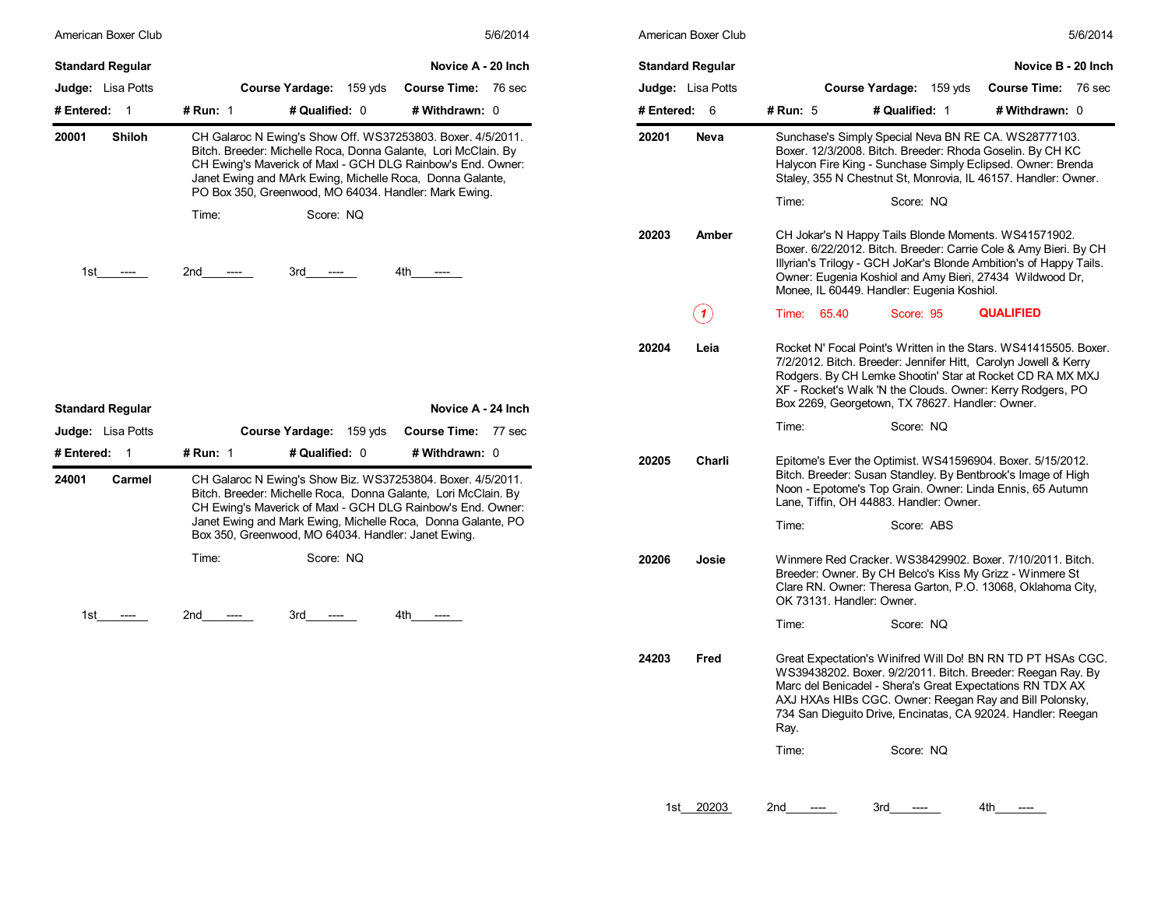| American Boxer Club                                                 | 5/6/2014                                                                                                                                                                                                                                                                                                                                                                   | American Boxer Club                                                 | 5/6/2014                                                                                                                                                                                                                                                                                                                                         |
|---------------------------------------------------------------------|----------------------------------------------------------------------------------------------------------------------------------------------------------------------------------------------------------------------------------------------------------------------------------------------------------------------------------------------------------------------------|---------------------------------------------------------------------|--------------------------------------------------------------------------------------------------------------------------------------------------------------------------------------------------------------------------------------------------------------------------------------------------------------------------------------------------|
| <b>Standard Regular</b><br><b>Judge:</b> Lisa Potts<br># Entered: 1 | Novice A - 20 Inch<br>Course Yardage: 159 yds<br><b>Course Time: 76 sec</b><br># Run: 1<br># Qualified: 0<br># Withdrawn: 0                                                                                                                                                                                                                                                | <b>Standard Regular</b><br><b>Judge:</b> Lisa Potts<br># Entered: 6 | Novice B - 20 Inch<br>Course Yardage: 159 yds<br><b>Course Time: 76 sec</b><br># Run: 5<br># Qualified: 1<br># Withdrawn: 0                                                                                                                                                                                                                      |
| 20001<br><b>Shiloh</b>                                              | CH Galaroc N Ewing's Show Off. WS37253803. Boxer. 4/5/2011.<br>Bitch. Breeder: Michelle Roca, Donna Galante, Lori McClain. By<br>CH Ewing's Maverick of Maxl - GCH DLG Rainbow's End. Owner:<br>Janet Ewing and MArk Ewing, Michelle Roca, Donna Galante,<br>PO Box 350, Greenwood, MO 64034. Handler: Mark Ewing.<br>Score: NO<br>Time:                                   | 20201<br><b>Neva</b>                                                | Sunchase's Simply Special Neva BN RE CA. WS28777103.<br>Boxer. 12/3/2008. Bitch. Breeder: Rhoda Goselin. By CH KC<br>Halycon Fire King - Sunchase Simply Eclipsed. Owner: Brenda<br>Staley, 355 N Chestnut St, Monrovia, IL 46157. Handler: Owner.<br>Time:<br>Score: NQ                                                                         |
| 1st<br>$---$                                                        | 2nd<br>3rd<br>4th<br>$---$<br>$---$<br>$---$                                                                                                                                                                                                                                                                                                                               | 20203<br>Amber                                                      | CH Jokar's N Happy Tails Blonde Moments. WS41571902.<br>Boxer. 6/22/2012. Bitch. Breeder: Carrie Cole & Amy Bieri. By CH<br>Illyrian's Trilogy - GCH JoKar's Blonde Ambition's of Happy Tails.<br>Owner: Eugenia Koshiol and Amy Bieri, 27434 Wildwood Dr.<br>Monee, IL 60449. Handler: Eugenia Koshiol.                                         |
|                                                                     |                                                                                                                                                                                                                                                                                                                                                                            | (1)                                                                 | <b>QUALIFIED</b><br>Time: 65.40<br>Score: 95                                                                                                                                                                                                                                                                                                     |
|                                                                     |                                                                                                                                                                                                                                                                                                                                                                            | 20204<br>Leia                                                       | Rocket N' Focal Point's Written in the Stars. WS41415505. Boxer.<br>7/2/2012. Bitch. Breeder: Jennifer Hitt, Carolyn Jowell & Kerry<br>Rodgers. By CH Lemke Shootin' Star at Rocket CD RA MX MXJ<br>XF - Rocket's Walk 'N the Clouds. Owner: Kerry Rodgers, PO<br>Box 2269, Georgetown, TX 78627. Handler: Owner.                                |
| <b>Standard Regular</b><br><b>Judge:</b> Lisa Potts                 | Novice A - 24 Inch<br>Course Time: 77 sec<br><b>Course Yardage: 159 yds</b>                                                                                                                                                                                                                                                                                                |                                                                     | Time:<br>Score: NQ                                                                                                                                                                                                                                                                                                                               |
| # Entered: 1<br>24001<br>Carmel                                     | # Qualified: 0<br><b># Run: 1</b><br># Withdrawn: 0<br>CH Galaroc N Ewing's Show Biz. WS37253804. Boxer. 4/5/2011.<br>Bitch. Breeder: Michelle Roca, Donna Galante, Lori McClain. By<br>CH Ewing's Maverick of Maxl - GCH DLG Rainbow's End. Owner:<br>Janet Ewing and Mark Ewing, Michelle Roca, Donna Galante, PO<br>Box 350, Greenwood, MO 64034. Handler: Janet Ewing. | 20205<br>Charli                                                     | Epitome's Ever the Optimist. WS41596904. Boxer. 5/15/2012.<br>Bitch. Breeder: Susan Standley. By Bentbrook's Image of High<br>Noon - Epotome's Top Grain. Owner: Linda Ennis, 65 Autumn<br>Lane, Tiffin, OH 44883. Handler: Owner.<br>Time:<br>Score: ABS                                                                                        |
|                                                                     | Score: NQ<br>Time:                                                                                                                                                                                                                                                                                                                                                         | 20206<br>Josie                                                      | Winmere Red Cracker, WS38429902, Boxer, 7/10/2011, Bitch.<br>Breeder: Owner. By CH Belco's Kiss My Grizz - Winmere St<br>Clare RN. Owner: Theresa Garton, P.O. 13068, Oklahoma City,<br>OK 73131. Handler: Owner.                                                                                                                                |
| 1st<br>$---$                                                        | 2nd<br>3rd<br>4th -<br>$---$<br>----<br>$---$                                                                                                                                                                                                                                                                                                                              |                                                                     | Score: NQ<br>Time:                                                                                                                                                                                                                                                                                                                               |
|                                                                     |                                                                                                                                                                                                                                                                                                                                                                            | 24203<br>Fred                                                       | Great Expectation's Winifred Will Do! BN RN TD PT HSAs CGC.<br>WS39438202. Boxer. 9/2/2011. Bitch. Breeder: Reegan Ray. By<br>Marc del Benicadel - Shera's Great Expectations RN TDX AX<br>AXJ HXAs HIBs CGC. Owner: Reegan Ray and Bill Polonsky.<br>734 San Dieguito Drive, Encinatas, CA 92024. Handler: Reegan<br>Ray.<br>Score: NQ<br>Time: |

|            | American Boxer Club      |                           |                                                                                                                                                                                                                                                                                                                    |                     | 5/6/2014 |
|------------|--------------------------|---------------------------|--------------------------------------------------------------------------------------------------------------------------------------------------------------------------------------------------------------------------------------------------------------------------------------------------------------------|---------------------|----------|
|            | <b>Standard Regular</b>  |                           |                                                                                                                                                                                                                                                                                                                    | Novice B - 20 Inch  |          |
|            | <b>Judge:</b> Lisa Potts |                           | <b>Course Yardage:</b><br>159 yds                                                                                                                                                                                                                                                                                  | <b>Course Time:</b> | 76 sec   |
| # Entered: | - 6                      | # Run: 5                  | # Qualified: 1                                                                                                                                                                                                                                                                                                     | # Withdrawn: 0      |          |
| 20201      | Neva                     |                           | Sunchase's Simply Special Neva BN RE CA. WS28777103.<br>Boxer. 12/3/2008. Bitch. Breeder: Rhoda Goselin. By CH KC<br>Halycon Fire King - Sunchase Simply Eclipsed. Owner: Brenda<br>Staley, 355 N Chestnut St, Monrovia, IL 46157. Handler: Owner.                                                                 |                     |          |
|            |                          | Time:                     | Score: NQ                                                                                                                                                                                                                                                                                                          |                     |          |
| 20203      | Amber                    |                           | CH Jokar's N Happy Tails Blonde Moments. WS41571902.<br>Boxer. 6/22/2012. Bitch. Breeder: Carrie Cole & Amy Bieri. By CH<br>Illyrian's Trilogy - GCH JoKar's Blonde Ambition's of Happy Tails.<br>Owner: Eugenia Koshiol and Amy Bieri, 27434 Wildwood Dr,<br>Monee, IL 60449. Handler: Eugenia Koshiol.           |                     |          |
|            | $\mathbf{1}$             | Time:<br>65.40            | Score: 95                                                                                                                                                                                                                                                                                                          | <b>QUALIFIED</b>    |          |
| 20204      | Leia                     |                           | Rocket N' Focal Point's Written in the Stars. WS41415505. Boxer.<br>7/2/2012. Bitch. Breeder: Jennifer Hitt, Carolyn Jowell & Kerry<br>Rodgers. By CH Lemke Shootin' Star at Rocket CD RA MX MXJ<br>XF - Rocket's Walk 'N the Clouds. Owner: Kerry Rodgers, PO<br>Box 2269, Georgetown, TX 78627. Handler: Owner.  |                     |          |
|            |                          | Time:                     | Score: NQ                                                                                                                                                                                                                                                                                                          |                     |          |
| 20205      | Charli                   |                           | Epitome's Ever the Optimist. WS41596904. Boxer. 5/15/2012.<br>Bitch. Breeder: Susan Standley. By Bentbrook's Image of High<br>Noon - Epotome's Top Grain. Owner: Linda Ennis, 65 Autumn<br>Lane, Tiffin, OH 44883. Handler: Owner.                                                                                 |                     |          |
|            |                          | Time:                     | Score: ABS                                                                                                                                                                                                                                                                                                         |                     |          |
| 20206      | Josie                    | OK 73131. Handler: Owner. | Winmere Red Cracker. WS38429902. Boxer. 7/10/2011. Bitch.<br>Breeder: Owner. By CH Belco's Kiss My Grizz - Winmere St<br>Clare RN. Owner: Theresa Garton, P.O. 13068, Oklahoma City,                                                                                                                               |                     |          |
|            |                          | Time:                     | Score: NQ                                                                                                                                                                                                                                                                                                          |                     |          |
| 24203      | Fred                     | Ray.                      | Great Expectation's Winifred Will Do! BN RN TD PT HSAs CGC.<br>WS39438202. Boxer. 9/2/2011. Bitch. Breeder: Reegan Ray. By<br>Marc del Benicadel - Shera's Great Expectations RN TDX AX<br>AXJ HXAs HIBs CGC. Owner: Reegan Ray and Bill Polonsky,<br>734 San Dieguito Drive, Encinatas, CA 92024. Handler: Reegan |                     |          |
|            |                          | Time:                     | Score: NQ                                                                                                                                                                                                                                                                                                          |                     |          |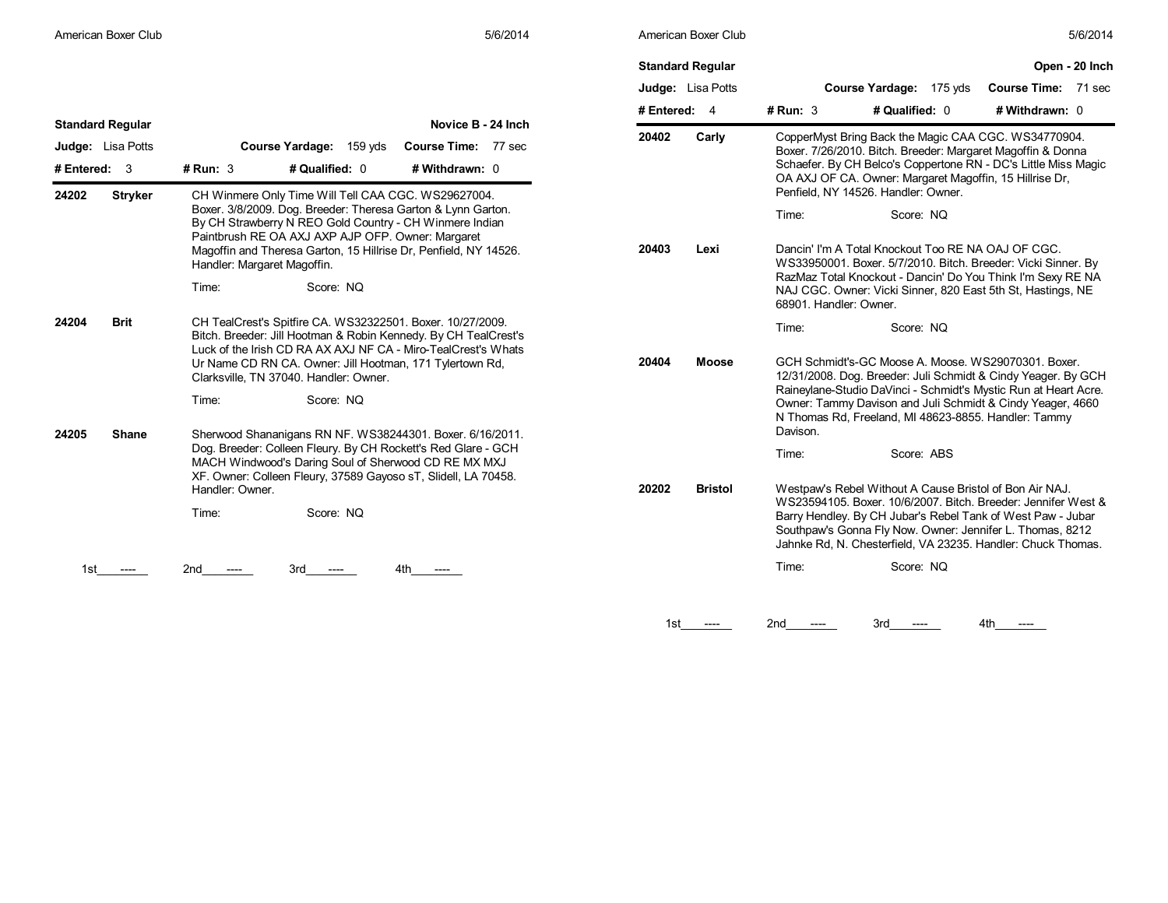| 5/6/2014 |  |  |
|----------|--|--|
|          |  |  |

|                                                                       |                                                                                                                                                                                                                                                                                                                                                              | <b>Standard Regular</b><br>Judge: Lisa Potts | Open - 20 Inch<br>Course Yardage: 175 yds<br>Course Time: 71 sec                                                                                                                                                                                                                                                                                                                                    |  |
|-----------------------------------------------------------------------|--------------------------------------------------------------------------------------------------------------------------------------------------------------------------------------------------------------------------------------------------------------------------------------------------------------------------------------------------------------|----------------------------------------------|-----------------------------------------------------------------------------------------------------------------------------------------------------------------------------------------------------------------------------------------------------------------------------------------------------------------------------------------------------------------------------------------------------|--|
|                                                                       |                                                                                                                                                                                                                                                                                                                                                              | # Entered: 4                                 | # Qualified: 0<br>$#$ Run: 3<br># Withdrawn: 0                                                                                                                                                                                                                                                                                                                                                      |  |
| <b>Standard Regular</b><br><b>Judge:</b> Lisa Potts<br># Entered: $3$ | Novice B - 24 Inch<br>Course Yardage: 159 yds<br>Course Time: 77 sec<br># Qualified: 0<br>$#$ Run: 3<br># Withdrawn: 0                                                                                                                                                                                                                                       | 20402<br>Carly                               | CopperMyst Bring Back the Magic CAA CGC. WS34770904.<br>Boxer. 7/26/2010. Bitch. Breeder: Margaret Magoffin & Donna<br>Schaefer. By CH Belco's Coppertone RN - DC's Little Miss Magic                                                                                                                                                                                                               |  |
| 24202<br><b>Stryker</b>                                               | CH Winmere Only Time Will Tell CAA CGC. WS29627004.<br>Boxer. 3/8/2009. Dog. Breeder: Theresa Garton & Lynn Garton.<br>By CH Strawberry N REO Gold Country - CH Winmere Indian<br>Paintbrush RE OA AXJ AXP AJP OFP. Owner: Margaret<br>Magoffin and Theresa Garton, 15 Hillrise Dr, Penfield, NY 14526.<br>Handler: Margaret Magoffin.<br>Score: NO<br>Time: | 20403<br>Lexi                                | OA AXJ OF CA. Owner: Margaret Magoffin, 15 Hillrise Dr,<br>Penfield, NY 14526. Handler: Owner.<br>Time:<br>Score: NQ<br>Dancin' I'm A Total Knockout Too RE NA OAJ OF CGC.<br>WS33950001. Boxer. 5/7/2010. Bitch. Breeder: Vicki Sinner. By<br>RazMaz Total Knockout - Dancin' Do You Think I'm Sexy RE NA<br>NAJ CGC. Owner: Vicki Sinner, 820 East 5th St, Hastings, NE<br>68901. Handler: Owner. |  |
| 24204<br>Brit                                                         | CH TealCrest's Spitfire CA. WS32322501. Boxer. 10/27/2009.<br>Bitch. Breeder: Jill Hootman & Robin Kennedy. By CH TealCrest's<br>Luck of the Irish CD RA AX AXJ NF CA - Miro-TealCrest's Whats<br>Ur Name CD RN CA. Owner: Jill Hootman, 171 Tylertown Rd,<br>Clarksville, TN 37040. Handler: Owner.<br>Score: NQ<br>Time:                                   | 20404<br><b>Moose</b>                        | Time:<br>Score: NQ<br>GCH Schmidt's-GC Moose A. Moose. WS29070301. Boxer.<br>12/31/2008. Dog. Breeder: Juli Schmidt & Cindy Yeager. By GCH<br>Raineylane-Studio DaVinci - Schmidt's Mystic Run at Heart Acre.<br>Owner: Tammy Davison and Juli Schmidt & Cindy Yeager, 4660<br>N Thomas Rd, Freeland, MI 48623-8855. Handler: Tammy                                                                 |  |
| 24205<br>Shane                                                        | Sherwood Shananigans RN NF. WS38244301. Boxer. 6/16/2011.<br>Dog. Breeder: Colleen Fleury. By CH Rockett's Red Glare - GCH<br>MACH Windwood's Daring Soul of Sherwood CD RE MX MXJ<br>XF. Owner: Colleen Fleury, 37589 Gayoso sT, Slidell, LA 70458.<br>Handler: Owner.<br>Score: NQ<br>Time:<br>2nd<br>3rd<br>4th<br>$---$<br>-----                         | 20202<br><b>Bristol</b>                      | Davison.<br>Score: ABS<br>Time:<br>Westpaw's Rebel Without A Cause Bristol of Bon Air NAJ.<br>WS23594105. Boxer. 10/6/2007. Bitch. Breeder: Jennifer West &<br>Barry Hendley. By CH Jubar's Rebel Tank of West Paw - Jubar<br>Southpaw's Gonna Fly Now. Owner: Jennifer L. Thomas, 8212<br>Jahnke Rd, N. Chesterfield, VA 23235. Handler: Chuck Thomas.<br>Time:<br>Score: NQ                       |  |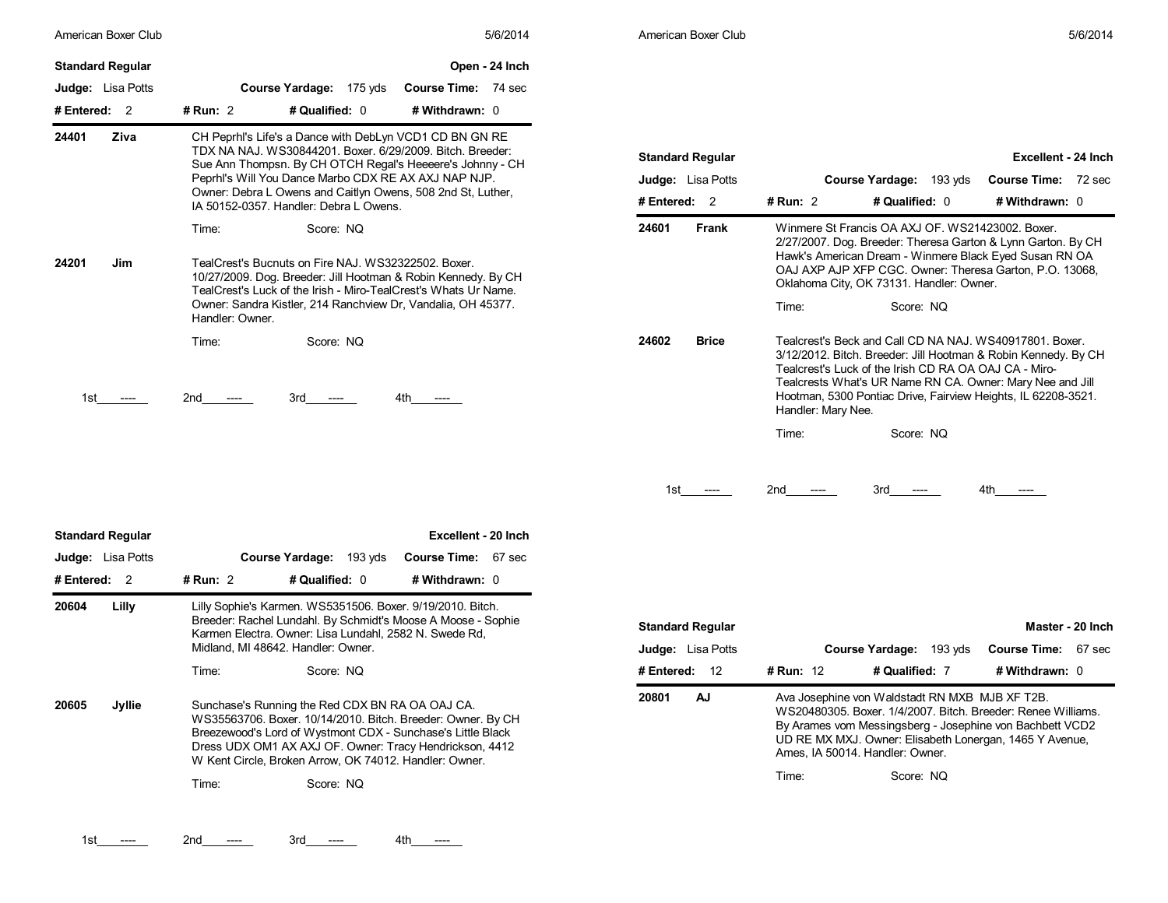| American Boxer Club      | 5/6/2014                                                                                                                                                                                                                                                                                         | American Boxer Club                                 |                                                                                                                                                                                                                                                                                                                                        | 5/6/2014                                          |
|--------------------------|--------------------------------------------------------------------------------------------------------------------------------------------------------------------------------------------------------------------------------------------------------------------------------------------------|-----------------------------------------------------|----------------------------------------------------------------------------------------------------------------------------------------------------------------------------------------------------------------------------------------------------------------------------------------------------------------------------------------|---------------------------------------------------|
| <b>Standard Regular</b>  | Open - 24 Inch                                                                                                                                                                                                                                                                                   |                                                     |                                                                                                                                                                                                                                                                                                                                        |                                                   |
| <b>Judge:</b> Lisa Potts | Course Yardage: 175 yds<br><b>Course Time: 74 sec</b>                                                                                                                                                                                                                                            |                                                     |                                                                                                                                                                                                                                                                                                                                        |                                                   |
| # Entered: $2$           | # Run: 2<br># Qualified: 0<br># Withdrawn: 0                                                                                                                                                                                                                                                     |                                                     |                                                                                                                                                                                                                                                                                                                                        |                                                   |
| Ziva<br>24401            | CH Peprhl's Life's a Dance with DebLyn VCD1 CD BN GN RE<br>TDX NA NAJ. WS30844201. Boxer. 6/29/2009. Bitch. Breeder:<br>Sue Ann Thompsn. By CH OTCH Regal's Heeeere's Johnny - CH<br>Peprhi's Will You Dance Marbo CDX RE AX AXJ NAP NJP.                                                        | <b>Standard Regular</b><br><b>Judge:</b> Lisa Potts | Course Yardage: 193 yds                                                                                                                                                                                                                                                                                                                | Excellent - 24 Inch<br><b>Course Time: 72 sec</b> |
|                          | Owner: Debra L Owens and Caitlyn Owens, 508 2nd St, Luther,<br>IA 50152-0357. Handler: Debra L Owens.                                                                                                                                                                                            | # Entered: 2                                        | <b># Run: 2</b><br># Qualified: 0                                                                                                                                                                                                                                                                                                      | # Withdrawn: 0                                    |
| 24201<br>Jim             | Time:<br>Score: NQ<br>TealCrest's Bucnuts on Fire NAJ. WS32322502. Boxer.<br>10/27/2009. Dog. Breeder: Jill Hootman & Robin Kennedy. By CH<br>TealCrest's Luck of the Irish - Miro-TealCrest's Whats Ur Name.<br>Owner: Sandra Kistler, 214 Ranchview Dr, Vandalia, OH 45377.<br>Handler: Owner. | 24601<br>Frank                                      | Winmere St Francis OA AXJ OF, WS21423002, Boxer.<br>2/27/2007. Dog. Breeder: Theresa Garton & Lynn Garton. By CH<br>Hawk's American Dream - Winmere Black Eyed Susan RN OA<br>OAJ AXP AJP XFP CGC. Owner: Theresa Garton, P.O. 13068,<br>Oklahoma City, OK 73131. Handler: Owner.<br>Time:<br>Score: NQ                                |                                                   |
| 1st                      | Time:<br>Score: NQ<br>2nd<br>3rd<br>4th<br>$---$<br>$---$                                                                                                                                                                                                                                        | 24602<br><b>Brice</b>                               | Tealcrest's Beck and Call CD NA NAJ. WS40917801. Boxer.<br>3/12/2012. Bitch. Breeder: Jill Hootman & Robin Kennedy. By CH<br>Tealcrest's Luck of the Irish CD RA OA OAJ CA - Miro-<br>Tealcrests What's UR Name RN CA. Owner: Mary Nee and Jill<br>Hootman, 5300 Pontiac Drive, Fairview Heights, IL 62208-3521.<br>Handler: Mary Nee. |                                                   |
|                          |                                                                                                                                                                                                                                                                                                  |                                                     | Score: NQ<br>Time:                                                                                                                                                                                                                                                                                                                     |                                                   |

| <b>Standard Regular</b>  | Excellent - 24 Inch                                                                                                                                                                                                                                                                                                                    |
|--------------------------|----------------------------------------------------------------------------------------------------------------------------------------------------------------------------------------------------------------------------------------------------------------------------------------------------------------------------------------|
| <b>Judge:</b> Lisa Potts | <b>Course Time:</b><br>Course Yardage: 193 yds<br>72 sec                                                                                                                                                                                                                                                                               |
| # Entered: 2             | # Run: $2$<br># Qualified: 0<br># Withdrawn: 0                                                                                                                                                                                                                                                                                         |
| 24601<br>Frank           | Winmere St Francis OA AXJ OF. WS21423002. Boxer.<br>2/27/2007. Dog. Breeder: Theresa Garton & Lynn Garton. By CH<br>Hawk's American Dream - Winmere Black Eyed Susan RN OA<br>OAJ AXP AJP XFP CGC. Owner: Theresa Garton, P.O. 13068,<br>Oklahoma City, OK 73131. Handler: Owner.                                                      |
|                          | Time:<br>Score: NQ                                                                                                                                                                                                                                                                                                                     |
| 24602<br>Brice           | Tealcrest's Beck and Call CD NA NAJ. WS40917801. Boxer.<br>3/12/2012. Bitch. Breeder: Jill Hootman & Robin Kennedy. By CH<br>Tealcrest's Luck of the Irish CD RA OA OAJ CA - Miro-<br>Tealcrests What's UR Name RN CA. Owner: Mary Nee and Jill<br>Hootman, 5300 Pontiac Drive, Fairview Heights, IL 62208-3521.<br>Handler: Mary Nee. |
|                          | Time:<br>Score: NQ                                                                                                                                                                                                                                                                                                                     |
| 1st l                    | 2nd<br>4th<br>3rd a                                                                                                                                                                                                                                                                                                                    |
| <b>Standard Regular</b>  | Master - 20 Inch                                                                                                                                                                                                                                                                                                                       |
| <b>Judge:</b> Lisa Potts | <b>Course Time:</b><br>Course Yardage: 193 yds<br>67 sec                                                                                                                                                                                                                                                                               |
| # Entered:<br>12         | # Qualified: 7<br># Withdrawn: 0<br><b># Run: 12</b>                                                                                                                                                                                                                                                                                   |
| 20801<br>AJ              | Ava Josephine von Waldstadt RN MXB MJB XF T2B.<br>WS20480305, Boxer, 1/4/2007, Bitch, Breeder: Renee Williams,                                                                                                                                                                                                                         |

Time: Score: NQ

Ames, IA 50014. Handler: Owner.

By Arames vom Messingsberg - Josephine von Bachbett VCD2 UD RE MX MXJ. Owner: Elisabeth Lonergan, 1465 Y Avenue,

| 20605 | Jvllie |       | Sunchase's Running the Red CDX BN RA OA OAJ CA.<br>WS35563706. Boxer. 10/14/2010. Bitch. Breeder: Owner. By CH<br>Breezewood's Lord of Wystmont CDX - Sunchase's Little Black<br>Dress UDX OM1 AX AXJ OF. Owner: Tracy Hendrickson, 4412<br>W Kent Circle, Broken Arrow, OK 74012. Handler: Owner. |  |
|-------|--------|-------|----------------------------------------------------------------------------------------------------------------------------------------------------------------------------------------------------------------------------------------------------------------------------------------------------|--|
|       |        | Time: | Score: NQ                                                                                                                                                                                                                                                                                          |  |

**Judge:** Lisa Potts **Course Yardage:** 193 yds **Course Time:** 67 sec **Standard Regular Excellent - 20 Inch**

**20604 Lilly** Lilly Sophie's Karmen. WS5351506. Boxer. 9/19/2010. Bitch.

Breeder: Rachel Lundahl. By Schmidt's Moose A Moose - Sophie Karmen Electra. Owner: Lisa Lundahl, 2582 N. Swede Rd,

**# Entered:** 2 **# Run:** 2 **# Qualified:** 0 **# Withdrawn:** 0

Time: Score: NQ

Midland, MI 48642. Handler: Owner.

1st ---- 2nd ---- 3rd ---- 4th ----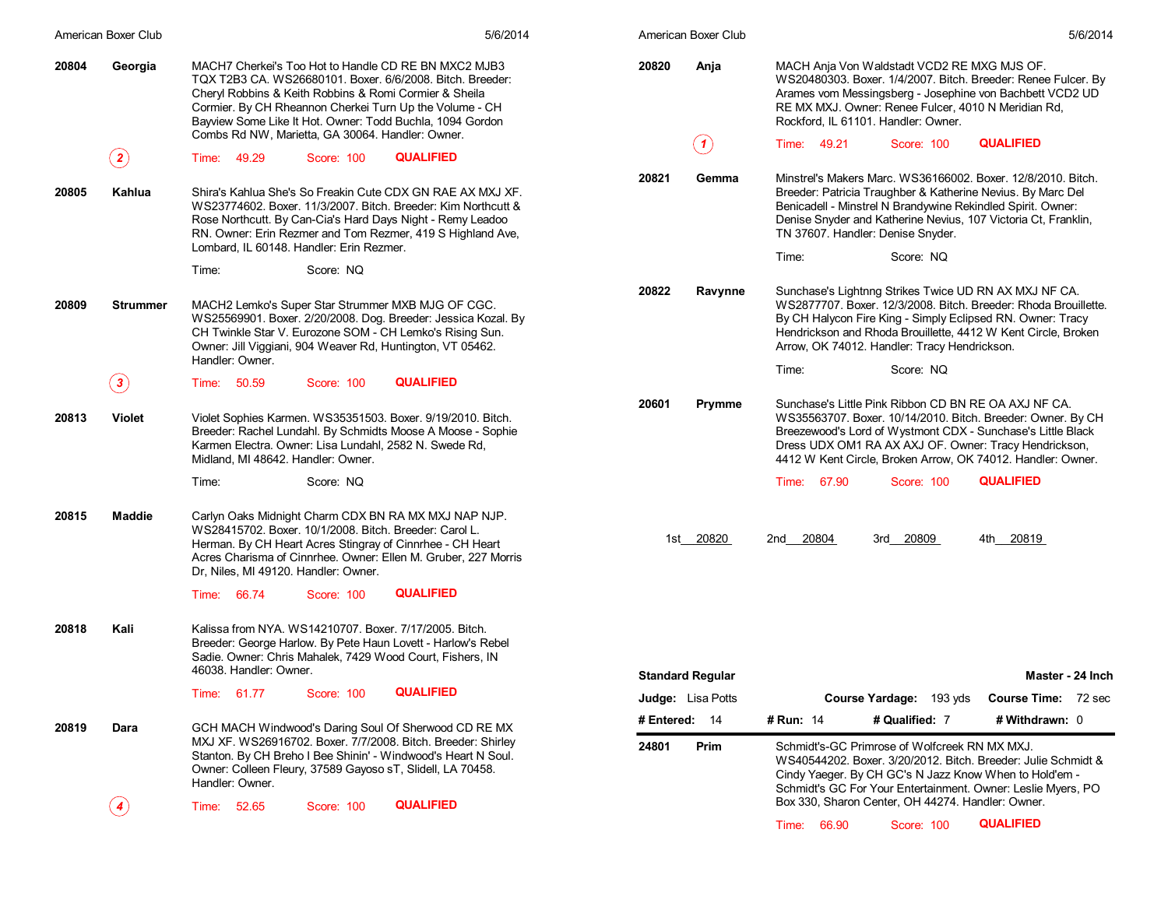|       | American Boxer Club | 5/6/2014                                                                                                                                                                                                                                                                                                                                                | American Boxer Club     | 5/6/2014                                                                                                                                                                                                                                                                                                                |
|-------|---------------------|---------------------------------------------------------------------------------------------------------------------------------------------------------------------------------------------------------------------------------------------------------------------------------------------------------------------------------------------------------|-------------------------|-------------------------------------------------------------------------------------------------------------------------------------------------------------------------------------------------------------------------------------------------------------------------------------------------------------------------|
| 20804 | Georgia             | MACH7 Cherkei's Too Hot to Handle CD RE BN MXC2 MJB3<br>TQX T2B3 CA. WS26680101. Boxer. 6/6/2008. Bitch. Breeder:<br>Cheryl Robbins & Keith Robbins & Romi Cormier & Sheila<br>Cormier. By CH Rheannon Cherkei Turn Up the Volume - CH<br>Bayview Some Like It Hot. Owner: Todd Buchla, 1094 Gordon<br>Combs Rd NW, Marietta, GA 30064. Handler: Owner. | 20820<br>Anja<br>(1)    | MACH Anja Von Waldstadt VCD2 RE MXG MJS OF.<br>WS20480303. Boxer. 1/4/2007. Bitch. Breeder: Renee Fulcer. By<br>Arames vom Messingsberg - Josephine von Bachbett VCD2 UD<br>RE MX MXJ. Owner: Renee Fulcer, 4010 N Meridian Rd,<br>Rockford, IL 61101. Handler: Owner.<br><b>QUALIFIED</b><br>Time: 49.21<br>Score: 100 |
|       | $\bf(2)$            | <b>QUALIFIED</b><br>Time: 49.29<br>Score: 100                                                                                                                                                                                                                                                                                                           |                         |                                                                                                                                                                                                                                                                                                                         |
| 20805 | Kahlua              | Shira's Kahlua She's So Freakin Cute CDX GN RAE AX MXJ XF.<br>WS23774602, Boxer, 11/3/2007, Bitch, Breeder: Kim Northcutt &<br>Rose Northcutt. By Can-Cia's Hard Days Night - Remy Leadoo<br>RN. Owner: Erin Rezmer and Tom Rezmer, 419 S Highland Ave,<br>Lombard, IL 60148. Handler: Erin Rezmer.                                                     | 20821<br>Gemma          | Minstrel's Makers Marc. WS36166002. Boxer. 12/8/2010. Bitch.<br>Breeder: Patricia Traughber & Katherine Nevius. By Marc Del<br>Benicadell - Minstrel N Brandywine Rekindled Spirit. Owner:<br>Denise Snyder and Katherine Nevius, 107 Victoria Ct, Franklin,<br>TN 37607. Handler: Denise Snyder.                       |
|       |                     | Time:<br>Score: NQ                                                                                                                                                                                                                                                                                                                                      |                         | Score: NQ<br>Time:                                                                                                                                                                                                                                                                                                      |
| 20809 | <b>Strummer</b>     | MACH2 Lemko's Super Star Strummer MXB MJG OF CGC.<br>WS25569901. Boxer. 2/20/2008. Dog. Breeder: Jessica Kozal. By<br>CH Twinkle Star V. Eurozone SOM - CH Lemko's Rising Sun.<br>Owner: Jill Viggiani, 904 Weaver Rd, Huntington, VT 05462.<br>Handler: Owner.                                                                                         | 20822<br>Ravynne        | Sunchase's Lightnng Strikes Twice UD RN AX MXJ NF CA.<br>WS2877707. Boxer. 12/3/2008. Bitch. Breeder: Rhoda Brouillette.<br>By CH Halycon Fire King - Simply Eclipsed RN. Owner: Tracy<br>Hendrickson and Rhoda Brouillette, 4412 W Kent Circle, Broken<br>Arrow, OK 74012. Handler: Tracy Hendrickson.                 |
|       | $\bf(3)$            | <b>QUALIFIED</b><br>Time: 50.59<br>Score: 100                                                                                                                                                                                                                                                                                                           |                         | Score: NQ<br>Time:                                                                                                                                                                                                                                                                                                      |
| 20813 | <b>Violet</b>       | Violet Sophies Karmen. WS35351503. Boxer. 9/19/2010. Bitch.<br>Breeder: Rachel Lundahl. By Schmidts Moose A Moose - Sophie<br>Karmen Electra. Owner: Lisa Lundahl, 2582 N. Swede Rd,<br>Midland, MI 48642. Handler: Owner.                                                                                                                              | 20601<br>Prymme         | Sunchase's Little Pink Ribbon CD BN RE OA AXJ NF CA.<br>WS35563707. Boxer. 10/14/2010. Bitch. Breeder: Owner. By CH<br>Breezewood's Lord of Wystmont CDX - Sunchase's Little Black<br>Dress UDX OM1 RA AX AXJ OF. Owner: Tracy Hendrickson,<br>4412 W Kent Circle, Broken Arrow, OK 74012. Handler: Owner.              |
|       |                     | Score: NQ<br>Time:                                                                                                                                                                                                                                                                                                                                      |                         | <b>QUALIFIED</b><br>Time: 67.90<br>Score: 100                                                                                                                                                                                                                                                                           |
| 20815 | <b>Maddie</b>       | Carlyn Oaks Midnight Charm CDX BN RA MX MXJ NAP NJP.<br>WS28415702. Boxer. 10/1/2008. Bitch. Breeder: Carol L.<br>Herman. By CH Heart Acres Stingray of Cinnrhee - CH Heart<br>Acres Charisma of Cinnrhee. Owner: Ellen M. Gruber, 227 Morris<br>Dr, Niles, MI 49120. Handler: Owner.                                                                   | 1st 20820               | 2nd 20804<br>3rd 20809<br>4th 20819                                                                                                                                                                                                                                                                                     |
|       |                     | <b>QUALIFIED</b><br>Time: 66.74<br>Score: 100                                                                                                                                                                                                                                                                                                           |                         |                                                                                                                                                                                                                                                                                                                         |
| 20818 | Kali                | Kalissa from NYA. WS14210707. Boxer. 7/17/2005. Bitch.<br>Breeder: George Harlow. By Pete Haun Lovett - Harlow's Rebel<br>Sadie. Owner: Chris Mahalek, 7429 Wood Court, Fishers, IN<br>46038. Handler: Owner.                                                                                                                                           | <b>Standard Regular</b> | Master - 24 Inch                                                                                                                                                                                                                                                                                                        |
|       |                     | <b>QUALIFIED</b><br>Time: 61.77<br>Score: 100                                                                                                                                                                                                                                                                                                           | Judge: Lisa Potts       | Course Yardage: 193 yds<br>Course Time: 72 sec                                                                                                                                                                                                                                                                          |
| 20819 | Dara                | GCH MACH Windwood's Daring Soul Of Sherwood CD RE MX                                                                                                                                                                                                                                                                                                    | # Entered: 14           | # Withdrawn: 0<br># Run: 14<br># Qualified: 7                                                                                                                                                                                                                                                                           |
|       |                     | MXJ XF. WS26916702. Boxer. 7/7/2008. Bitch. Breeder: Shirley<br>Stanton. By CH Breho I Bee Shinin' - Windwood's Heart N Soul.<br>Owner: Colleen Fleury, 37589 Gayoso sT, Slidell, LA 70458.<br>Handler: Owner.                                                                                                                                          | 24801<br>Prim           | Schmidt's-GC Primrose of Wolfcreek RN MX MXJ.<br>WS40544202, Boxer, 3/20/2012, Bitch, Breeder: Julie Schmidt &<br>Cindy Yaeger. By CH GC's N Jazz Know When to Hold'em -<br>Schmidt's GC For Your Entertainment. Owner: Leslie Myers, PO                                                                                |
|       | $\left( 4\right)$   | <b>QUALIFIED</b><br>52.65<br>Score: 100<br>Time:                                                                                                                                                                                                                                                                                                        |                         | Box 330, Sharon Center, OH 44274. Handler: Owner.                                                                                                                                                                                                                                                                       |
|       |                     |                                                                                                                                                                                                                                                                                                                                                         |                         | <b>QUALIFIED</b><br>Time: 66.90<br>Score: 100                                                                                                                                                                                                                                                                           |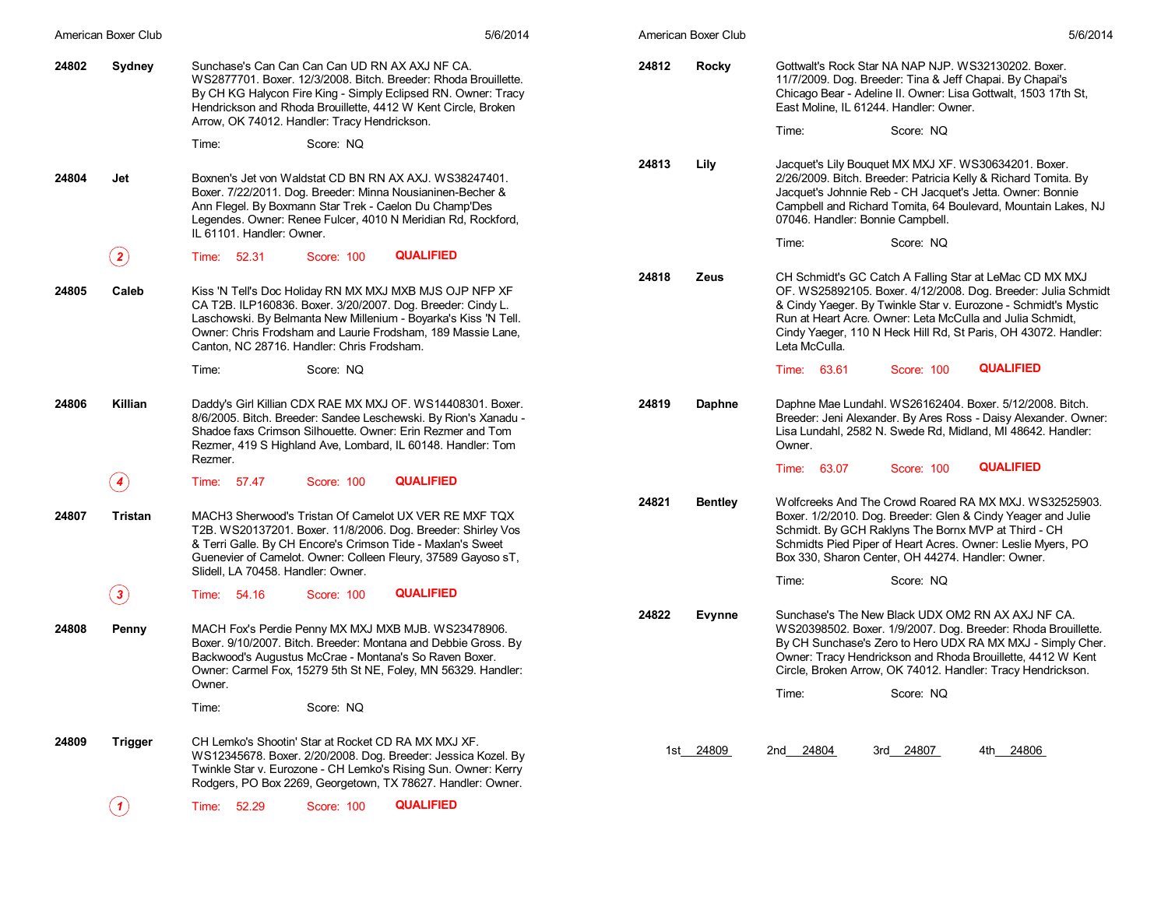|       | American Boxer Club        | 5/6/2014                                                                                                                                                                                                                                                                                               | American Boxer Club     | 5/6/2014                                                                                                                                                                                                                                                                                                                                   |
|-------|----------------------------|--------------------------------------------------------------------------------------------------------------------------------------------------------------------------------------------------------------------------------------------------------------------------------------------------------|-------------------------|--------------------------------------------------------------------------------------------------------------------------------------------------------------------------------------------------------------------------------------------------------------------------------------------------------------------------------------------|
| 24802 | Sydney                     | Sunchase's Can Can Can Can UD RN AX AXJ NF CA.<br>WS2877701. Boxer. 12/3/2008. Bitch. Breeder: Rhoda Brouillette.<br>By CH KG Halycon Fire King - Simply Eclipsed RN. Owner: Tracy<br>Hendrickson and Rhoda Brouillette, 4412 W Kent Circle, Broken<br>Arrow, OK 74012. Handler: Tracy Hendrickson.    | 24812<br><b>Rocky</b>   | Gottwalt's Rock Star NA NAP NJP. WS32130202. Boxer.<br>11/7/2009. Dog. Breeder: Tina & Jeff Chapai. By Chapai's<br>Chicago Bear - Adeline II. Owner: Lisa Gottwalt, 1503 17th St,<br>East Moline, IL 61244. Handler: Owner.<br>Time:<br>Score: NQ                                                                                          |
|       |                            | Time:<br>Score: NQ                                                                                                                                                                                                                                                                                     |                         |                                                                                                                                                                                                                                                                                                                                            |
| 24804 | Jet                        | Boxnen's Jet von Waldstat CD BN RN AX AXJ, WS38247401.<br>Boxer. 7/22/2011. Dog. Breeder: Minna Nousianinen-Becher &<br>Ann Flegel. By Boxmann Star Trek - Caelon Du Champ'Des<br>Legendes. Owner: Renee Fulcer, 4010 N Meridian Rd, Rockford,<br>IL 61101. Handler: Owner.                            | 24813<br>Lily           | Jacquet's Lily Bouquet MX MXJ XF. WS30634201. Boxer.<br>2/26/2009. Bitch. Breeder: Patricia Kelly & Richard Tomita. By<br>Jacquet's Johnnie Reb - CH Jacquet's Jetta. Owner: Bonnie<br>Campbell and Richard Tomita, 64 Boulevard, Mountain Lakes, NJ<br>07046. Handler: Bonnie Campbell.<br>Time:<br>Score: NQ                             |
|       | $\bf(2)$                   | <b>QUALIFIED</b><br>Time: 52.31<br>Score: 100                                                                                                                                                                                                                                                          |                         |                                                                                                                                                                                                                                                                                                                                            |
| 24805 | Caleb                      | Kiss 'N Tell's Doc Holiday RN MX MXJ MXB MJS OJP NFP XF<br>CA T2B. ILP160836. Boxer. 3/20/2007. Dog. Breeder: Cindy L.<br>Laschowski. By Belmanta New Millenium - Boyarka's Kiss 'N Tell.<br>Owner: Chris Frodsham and Laurie Frodsham, 189 Massie Lane,<br>Canton, NC 28716. Handler: Chris Frodsham. | 24818<br>Zeus           | CH Schmidt's GC Catch A Falling Star at LeMac CD MX MXJ<br>OF. WS25892105. Boxer. 4/12/2008. Dog. Breeder: Julia Schmidt<br>& Cindy Yaeger. By Twinkle Star v. Eurozone - Schmidt's Mystic<br>Run at Heart Acre. Owner: Leta McCulla and Julia Schmidt,<br>Cindy Yaeger, 110 N Heck Hill Rd, St Paris, OH 43072. Handler:<br>Leta McCulla. |
|       |                            | Time:<br>Score: NQ                                                                                                                                                                                                                                                                                     |                         | <b>QUALIFIED</b><br><b>Score: 100</b><br>Time: 63.61                                                                                                                                                                                                                                                                                       |
| 24806 | Killian                    | Daddy's Girl Killian CDX RAE MX MXJ OF. WS14408301. Boxer.<br>8/6/2005. Bitch. Breeder: Sandee Leschewski. By Rion's Xanadu -<br>Shadoe faxs Crimson Silhouette, Owner: Erin Rezmer and Tom<br>Rezmer, 419 S Highland Ave, Lombard, IL 60148. Handler: Tom<br>Rezmer.                                  | 24819<br><b>Daphne</b>  | Daphne Mae Lundahl. WS26162404. Boxer. 5/12/2008. Bitch.<br>Breeder: Jeni Alexander. By Ares Ross - Daisy Alexander. Owner:<br>Lisa Lundahl, 2582 N. Swede Rd, Midland, MI 48642. Handler:<br>Owner.                                                                                                                                       |
|       | $\left( \textbf{4}\right)$ | <b>QUALIFIED</b><br>Time: 57.47<br>Score: 100                                                                                                                                                                                                                                                          |                         | <b>QUALIFIED</b><br>Time: 63.07<br><b>Score: 100</b>                                                                                                                                                                                                                                                                                       |
| 24807 | Tristan                    | MACH3 Sherwood's Tristan Of Camelot UX VER RE MXF TQX<br>T2B. WS20137201. Boxer. 11/8/2006. Dog. Breeder: Shirley Vos<br>& Terri Galle. By CH Encore's Crimson Tide - Maxlan's Sweet<br>Guenevier of Camelot. Owner: Colleen Fleury, 37589 Gayoso sT,<br>Slidell, LA 70458. Handler: Owner.            | 24821<br><b>Bentley</b> | Wolfcreeks And The Crowd Roared RA MX MXJ. WS32525903.<br>Boxer. 1/2/2010. Dog. Breeder: Glen & Cindy Yeager and Julie<br>Schmidt. By GCH Raklyns The Bornx MVP at Third - CH<br>Schmidts Pied Piper of Heart Acres. Owner: Leslie Myers, PO<br>Box 330, Sharon Center, OH 44274. Handler: Owner.                                          |
|       | $\bf(3)$                   | <b>QUALIFIED</b><br>Time: 54.16<br>Score: 100                                                                                                                                                                                                                                                          |                         | Time:<br>Score: NQ                                                                                                                                                                                                                                                                                                                         |
| 24808 | Penny                      | MACH Fox's Perdie Penny MX MXJ MXB MJB. WS23478906.<br>Boxer. 9/10/2007. Bitch. Breeder: Montana and Debbie Gross. By<br>Backwood's Augustus McCrae - Montana's So Raven Boxer.<br>Owner: Carmel Fox, 15279 5th St NE, Foley, MN 56329. Handler:                                                       | 24822<br>Evynne         | Sunchase's The New Black UDX OM2 RN AX AXJ NF CA.<br>WS20398502. Boxer. 1/9/2007. Dog. Breeder: Rhoda Brouillette.<br>By CH Sunchase's Zero to Hero UDX RA MX MXJ - Simply Cher.<br>Owner: Tracy Hendrickson and Rhoda Brouillette, 4412 W Kent<br>Circle, Broken Arrow, OK 74012. Handler: Tracy Hendrickson.                             |
|       |                            | Owner.                                                                                                                                                                                                                                                                                                 |                         | Score: NQ<br>Time:                                                                                                                                                                                                                                                                                                                         |
|       |                            | Time:<br>Score: NQ                                                                                                                                                                                                                                                                                     |                         |                                                                                                                                                                                                                                                                                                                                            |
| 24809 | <b>Trigger</b>             | CH Lemko's Shootin' Star at Rocket CD RA MX MXJ XF.<br>WS12345678. Boxer. 2/20/2008. Dog. Breeder: Jessica Kozel. By<br>Twinkle Star v. Eurozone - CH Lemko's Rising Sun. Owner: Kerry<br>Rodgers, PO Box 2269, Georgetown, TX 78627. Handler: Owner.                                                  | 1st 24809               | 2nd 24804<br>3rd 24807<br>4th 24806                                                                                                                                                                                                                                                                                                        |
|       | (1)                        | <b>QUALIFIED</b><br>Time: 52.29<br>Score: 100                                                                                                                                                                                                                                                          |                         |                                                                                                                                                                                                                                                                                                                                            |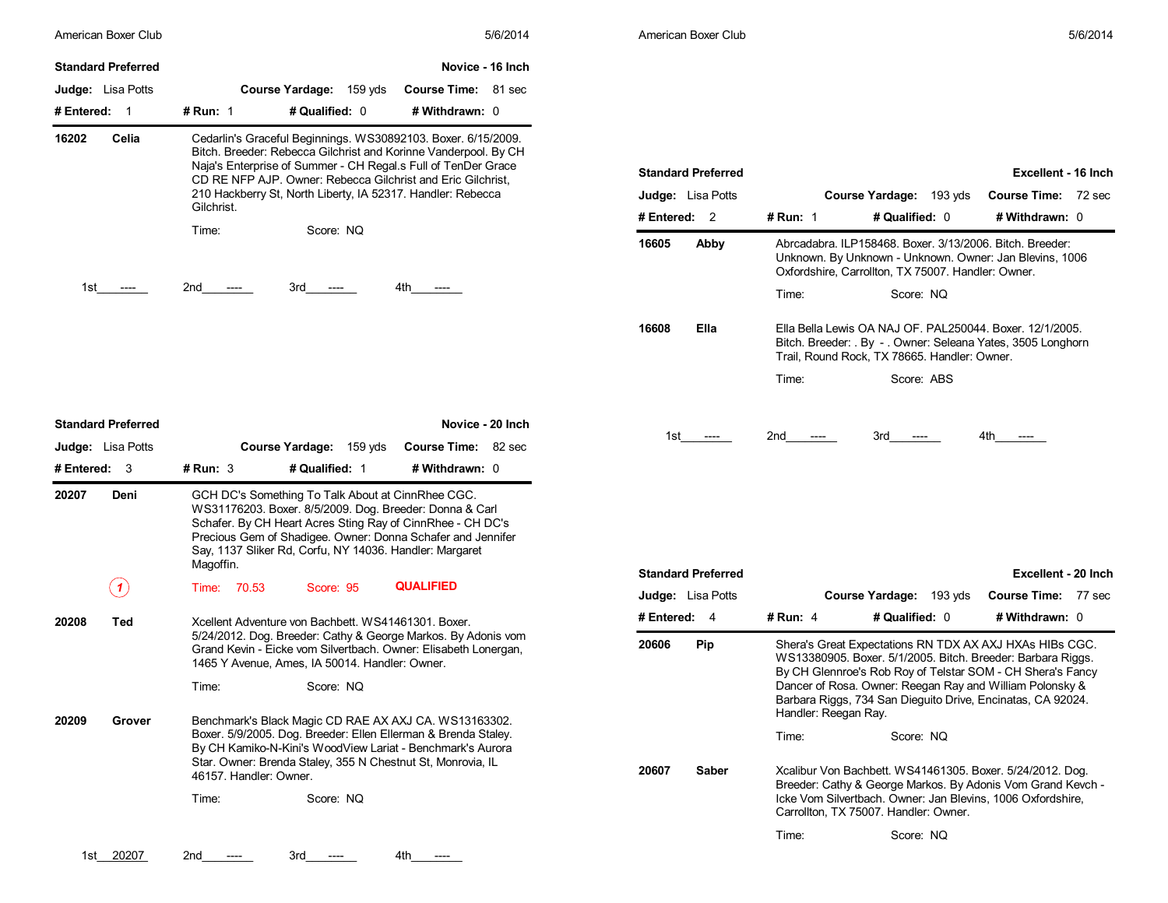|                                                       | American Boxer Club |                                                                                                                                                                                                                                                                                                                                 |                            | 5/6/2014         |                   | American Boxer Club       |                                                                                                                                                                          |                                                                                                                | 5/6/2014                                                                                                                                                                             |
|-------------------------------------------------------|---------------------|---------------------------------------------------------------------------------------------------------------------------------------------------------------------------------------------------------------------------------------------------------------------------------------------------------------------------------|----------------------------|------------------|-------------------|---------------------------|--------------------------------------------------------------------------------------------------------------------------------------------------------------------------|----------------------------------------------------------------------------------------------------------------|--------------------------------------------------------------------------------------------------------------------------------------------------------------------------------------|
| <b>Standard Preferred</b>                             |                     |                                                                                                                                                                                                                                                                                                                                 |                            | Novice - 16 Inch |                   |                           |                                                                                                                                                                          |                                                                                                                |                                                                                                                                                                                      |
| Judge: Lisa Potts                                     |                     | Course Yardage: 159 yds                                                                                                                                                                                                                                                                                                         | <b>Course Time: 81 sec</b> |                  |                   |                           |                                                                                                                                                                          |                                                                                                                |                                                                                                                                                                                      |
| # Entered: 1                                          | # Run: 1            | # Qualified: 0                                                                                                                                                                                                                                                                                                                  | # Withdrawn: 0             |                  |                   |                           |                                                                                                                                                                          |                                                                                                                |                                                                                                                                                                                      |
| 16202<br>Celia                                        | Gilchrist.          | Cedarlin's Graceful Beginnings. WS30892103. Boxer. 6/15/2009.<br>Bitch. Breeder: Rebecca Gilchrist and Korinne Vanderpool. By CH<br>Naja's Enterprise of Summer - CH Regal.s Full of TenDer Grace<br>CD RE NFP AJP. Owner: Rebecca Gilchrist and Eric Gilchrist,<br>210 Hackberry St, North Liberty, IA 52317. Handler: Rebecca |                            |                  | Judge: Lisa Potts | <b>Standard Preferred</b> |                                                                                                                                                                          | Course Yardage: 193 yds                                                                                        | Excellent - 16 Inch<br><b>Course Time: 72 sec</b>                                                                                                                                    |
|                                                       | Time:               | Score: NQ                                                                                                                                                                                                                                                                                                                       |                            |                  | # Entered: 2      |                           | # Run: 1                                                                                                                                                                 | # Qualified: 0                                                                                                 | # Withdrawn: 0                                                                                                                                                                       |
|                                                       |                     |                                                                                                                                                                                                                                                                                                                                 |                            |                  | 16605             | Abby                      |                                                                                                                                                                          | Abrcadabra. ILP158468. Boxer. 3/13/2006. Bitch. Breeder:<br>Oxfordshire, Carrollton, TX 75007. Handler: Owner. | Unknown. By Unknown - Unknown. Owner: Jan Blevins, 1006                                                                                                                              |
| 1st<br>$\hspace{0.05cm} \ldots \hspace{0.05cm}$       | 2nd<br>-----        | 3rd<br>$---$                                                                                                                                                                                                                                                                                                                    | 4th<br>----                |                  |                   |                           | Time:                                                                                                                                                                    | Score: NQ                                                                                                      |                                                                                                                                                                                      |
|                                                       |                     |                                                                                                                                                                                                                                                                                                                                 |                            |                  | 16608             | Ella                      | Ella Bella Lewis OA NAJ OF. PAL250044. Boxer. 12/1/2005.<br>Bitch. Breeder: . By - . Owner: Seleana Yates, 3505 Longhorn<br>Trail, Round Rock, TX 78665. Handler: Owner. |                                                                                                                |                                                                                                                                                                                      |
|                                                       |                     |                                                                                                                                                                                                                                                                                                                                 |                            |                  |                   |                           | Time:                                                                                                                                                                    | Score: ABS                                                                                                     |                                                                                                                                                                                      |
| <b>Standard Preferred</b><br><b>Judge:</b> Lisa Potts |                     | Course Yardage: 159 yds                                                                                                                                                                                                                                                                                                         | Course Time: 82 sec        | Novice - 20 Inch |                   | 1st ----                  | 2nd<br>$---$                                                                                                                                                             | 3rd<br>----                                                                                                    | 4th<br>----                                                                                                                                                                          |
| # Entered: 3<br>20207<br>Deni                         | # Run: $3$          | # Qualified: 1<br>GCH DC's Something To Talk About at CinnRhee CGC.<br>WS31176203. Boxer. 8/5/2009. Dog. Breeder: Donna & Carl<br>Schafer. By CH Heart Acres Sting Ray of CinnRhee - CH DC's<br>Precious Gem of Shadigee. Owner: Donna Schafer and Jennifer                                                                     | # Withdrawn: 0             |                  |                   |                           |                                                                                                                                                                          |                                                                                                                |                                                                                                                                                                                      |
|                                                       | Magoffin.           | Say, 1137 Sliker Rd, Corfu, NY 14036. Handler: Margaret                                                                                                                                                                                                                                                                         |                            |                  |                   |                           |                                                                                                                                                                          |                                                                                                                |                                                                                                                                                                                      |
| (1)                                                   | Time: 70.53         | Score: 95                                                                                                                                                                                                                                                                                                                       | <b>QUALIFIED</b>           |                  | Judge: Lisa Potts | <b>Standard Preferred</b> |                                                                                                                                                                          | Course Yardage: 193 yds                                                                                        | Excellent - 20 Inch<br><b>Course Time: 77 sec</b>                                                                                                                                    |
| 20208<br>Ted                                          |                     | Xcellent Adventure von Bachbett. WS41461301. Boxer.                                                                                                                                                                                                                                                                             |                            |                  | # Entered: $4$    |                           | # Run: 4                                                                                                                                                                 | # Qualified: 0                                                                                                 | # Withdrawn: 0                                                                                                                                                                       |
|                                                       |                     | 5/24/2012. Dog. Breeder: Cathy & George Markos. By Adonis vom<br>Grand Kevin - Eicke vom Silvertbach. Owner: Elisabeth Lonergan,<br>1465 Y Avenue, Ames, IA 50014. Handler: Owner.                                                                                                                                              |                            |                  | 20606             | Pip                       |                                                                                                                                                                          |                                                                                                                | Shera's Great Expectations RN TDX AX AXJ HXAs HIBs CGC.<br>WS13380905. Boxer. 5/1/2005. Bitch. Breeder: Barbara Riggs.<br>By CH Glennroe's Rob Roy of Telstar SOM - CH Shera's Fancy |
|                                                       | Time:               | Score: NQ                                                                                                                                                                                                                                                                                                                       |                            |                  |                   |                           | Handler: Reegan Ray.                                                                                                                                                     | Dancer of Rosa. Owner: Reegan Ray and William Polonsky &                                                       | Barbara Riggs, 734 San Dieguito Drive, Encinatas, CA 92024.                                                                                                                          |
| 20209<br>Grover                                       |                     | Benchmark's Black Magic CD RAE AX AXJ CA. WS13163302.<br>Boxer. 5/9/2005. Dog. Breeder: Ellen Ellerman & Brenda Staley.<br>By CH Kamiko-N-Kini's WoodView Lariat - Benchmark's Aurora<br>Star. Owner: Brenda Staley, 355 N Chestnut St, Monrovia, IL<br>46157. Handler: Owner.                                                  |                            |                  | 20607             | Saber                     | Time:                                                                                                                                                                    | Score: NQ                                                                                                      | Xcalibur Von Bachbett. WS41461305. Boxer. 5/24/2012. Dog.                                                                                                                            |

| Judge: Lisa Potts  |                      | Course Yardage: 193 yds                                                                                                                                                                                                                                                                                         | <b>Course Time:</b> | 72 sec |
|--------------------|----------------------|-----------------------------------------------------------------------------------------------------------------------------------------------------------------------------------------------------------------------------------------------------------------------------------------------------------------|---------------------|--------|
| # Entered:<br>2    | <b># Run: 1</b>      | # Qualified: 0                                                                                                                                                                                                                                                                                                  | # Withdrawn: 0      |        |
| 16605<br>Abby      |                      | Abrcadabra. ILP158468. Boxer. 3/13/2006. Bitch. Breeder:<br>Unknown. By Unknown - Unknown. Owner: Jan Blevins, 1006<br>Oxfordshire, Carrollton, TX 75007. Handler: Owner.                                                                                                                                       |                     |        |
|                    | Time:                | Score: NQ                                                                                                                                                                                                                                                                                                       |                     |        |
| Ella<br>16608      |                      | Ella Bella Lewis OA NAJ OF, PAL250044, Boxer, 12/1/2005.<br>Bitch. Breeder: . By - . Owner: Seleana Yates, 3505 Longhorn<br>Trail, Round Rock, TX 78665. Handler: Owner.                                                                                                                                        |                     |        |
|                    | Time:                | Score: ABS                                                                                                                                                                                                                                                                                                      |                     |        |
|                    |                      |                                                                                                                                                                                                                                                                                                                 |                     |        |
| 1st l              | 2nd                  | 3rd -                                                                                                                                                                                                                                                                                                           | 4th a               |        |
|                    |                      |                                                                                                                                                                                                                                                                                                                 |                     |        |
|                    |                      |                                                                                                                                                                                                                                                                                                                 |                     |        |
|                    |                      |                                                                                                                                                                                                                                                                                                                 |                     |        |
|                    |                      |                                                                                                                                                                                                                                                                                                                 |                     |        |
| Standard Preferred |                      |                                                                                                                                                                                                                                                                                                                 | Excellent - 20 Inch |        |
| Judge: Lisa Potts  |                      | Course Yardage: 193 yds                                                                                                                                                                                                                                                                                         | <b>Course Time:</b> | 77 sec |
| # Entered:<br>-4   | # Run: 4             | # Qualified: 0                                                                                                                                                                                                                                                                                                  | # Withdrawn: 0      |        |
| 20606<br>Pip       | Handler: Reegan Ray. | Shera's Great Expectations RN TDX AX AXJ HXAs HIBs CGC.<br>WS13380905. Boxer. 5/1/2005. Bitch. Breeder: Barbara Riggs.<br>By CH Glennroe's Rob Roy of Telstar SOM - CH Shera's Fancy<br>Dancer of Rosa. Owner: Reegan Ray and William Polonsky &<br>Barbara Riggs, 734 San Dieguito Drive, Encinatas, CA 92024. |                     |        |
|                    | Time:                | Score: NQ                                                                                                                                                                                                                                                                                                       |                     |        |
| Saber<br>20607     |                      | Xcalibur Von Bachbett. WS41461305. Boxer. 5/24/2012. Dog.<br>Breeder: Cathy & George Markos. By Adonis Vom Grand Kevch -<br>Icke Vom Silvertbach. Owner: Jan Blevins, 1006 Oxfordshire,<br>Carrollton, TX 75007. Handler: Owner.                                                                                |                     |        |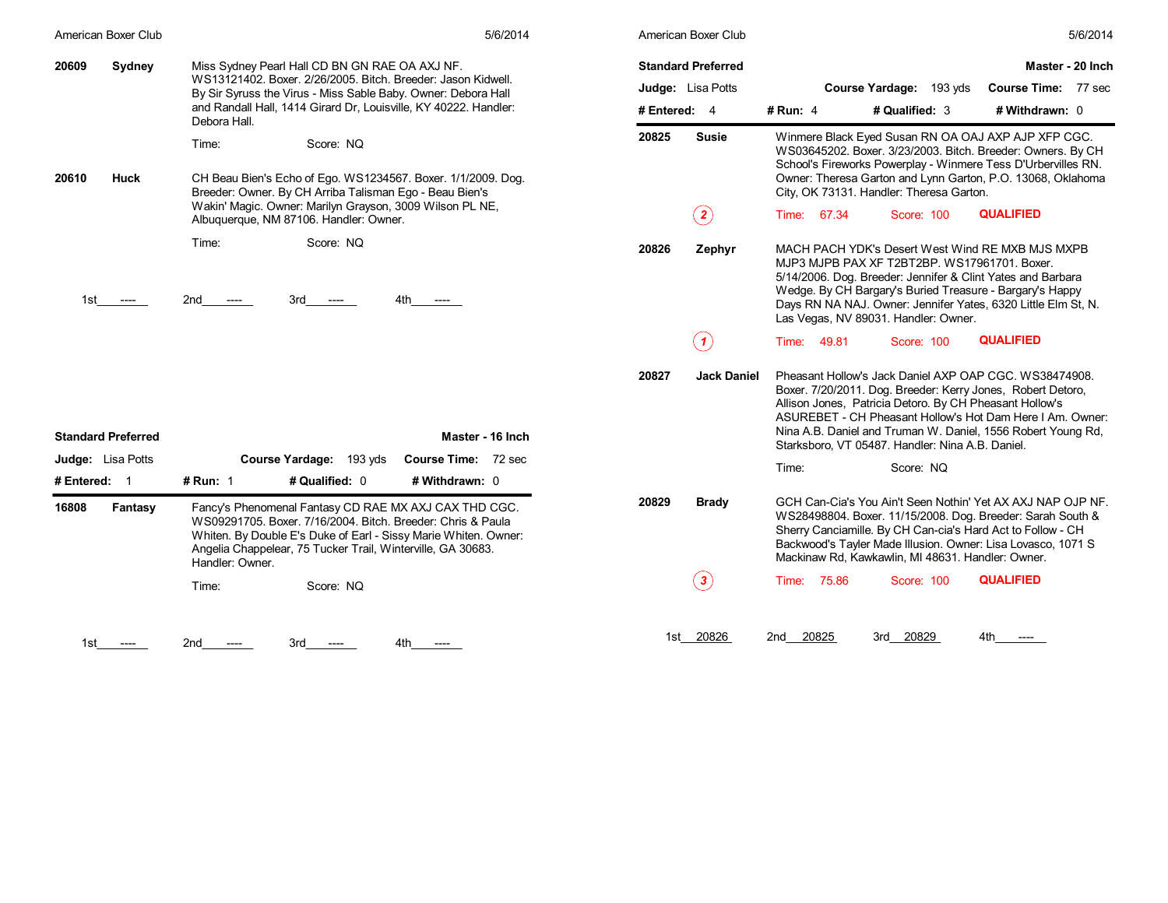| American Boxer Club       | 5/6/2014                                                                                                                                                                                                                                                                  |                | American Boxer Club         | 5/6/2014                                                                                                                                                                                                                                                                                                                                                          |
|---------------------------|---------------------------------------------------------------------------------------------------------------------------------------------------------------------------------------------------------------------------------------------------------------------------|----------------|-----------------------------|-------------------------------------------------------------------------------------------------------------------------------------------------------------------------------------------------------------------------------------------------------------------------------------------------------------------------------------------------------------------|
| 20609<br>Sydney           | Miss Sydney Pearl Hall CD BN GN RAE OA AXJ NF.<br>WS13121402. Boxer. 2/26/2005. Bitch. Breeder: Jason Kidwell.                                                                                                                                                            |                | <b>Standard Preferred</b>   | Master - 20 Inch                                                                                                                                                                                                                                                                                                                                                  |
| Debora Hall.              | By Sir Syruss the Virus - Miss Sable Baby. Owner: Debora Hall                                                                                                                                                                                                             |                | Judge: Lisa Potts           | Course Time: 77 sec<br>Course Yardage: 193 yds                                                                                                                                                                                                                                                                                                                    |
|                           | and Randall Hall, 1414 Girard Dr, Louisville, KY 40222. Handler:                                                                                                                                                                                                          | # Entered: $4$ |                             | # Qualified: 3<br># Withdrawn: 0<br># Run: $4$                                                                                                                                                                                                                                                                                                                    |
| 20610<br>Huck             | Time:<br>Score: NQ<br>CH Beau Bien's Echo of Ego. WS1234567. Boxer. 1/1/2009. Dog.<br>Breeder: Owner. By CH Arriba Talisman Ego - Beau Bien's                                                                                                                             | 20825          | <b>Susie</b>                | Winmere Black Eyed Susan RN OA OAJ AXP AJP XFP CGC.<br>WS03645202. Boxer. 3/23/2003. Bitch. Breeder: Owners. By CH<br>School's Fireworks Powerplay - Winmere Tess D'Urbervilles RN.<br>Owner: Theresa Garton and Lynn Garton, P.O. 13068, Oklahoma<br>City, OK 73131. Handler: Theresa Garton.                                                                    |
|                           | Wakin' Magic. Owner: Marilyn Grayson, 3009 Wilson PL NE,<br>Albuquerque, NM 87106. Handler: Owner.                                                                                                                                                                        |                | $\bf(2)$                    | <b>QUALIFIED</b><br>Time: 67.34<br><b>Score: 100</b>                                                                                                                                                                                                                                                                                                              |
| 1st                       | Time:<br>Score: NQ<br>2nd<br>3rd<br>4th<br>$---$<br>$---$                                                                                                                                                                                                                 | 20826          | Zephyr                      | MACH PACH YDK's Desert West Wind RE MXB MJS MXPB<br>MJP3 MJPB PAX XF T2BT2BP, WS17961701, Boxer,<br>5/14/2006. Dog. Breeder: Jennifer & Clint Yates and Barbara<br>Wedge. By CH Bargary's Buried Treasure - Bargary's Happy<br>Days RN NA NAJ. Owner: Jennifer Yates, 6320 Little Elm St, N.<br>Las Vegas, NV 89031. Handler: Owner.                              |
|                           |                                                                                                                                                                                                                                                                           |                | (1)                         | <b>QUALIFIED</b><br>Time: 49.81<br>Score: 100                                                                                                                                                                                                                                                                                                                     |
| <b>Standard Preferred</b> | Master - 16 Inch                                                                                                                                                                                                                                                          | 20827          | <b>Jack Daniel</b>          | Pheasant Hollow's Jack Daniel AXP OAP CGC, WS38474908.<br>Boxer. 7/20/2011. Dog. Breeder: Kerry Jones, Robert Detoro,<br>Allison Jones, Patricia Detoro. By CH Pheasant Hollow's<br>ASUREBET - CH Pheasant Hollow's Hot Dam Here I Am. Owner:<br>Nina A.B. Daniel and Truman W. Daniel, 1556 Robert Young Rd,<br>Starksboro, VT 05487. Handler: Nina A.B. Daniel. |
| <b>Judge:</b> Lisa Potts  | Course Time: 72 sec<br>Course Yardage: 193 yds                                                                                                                                                                                                                            |                |                             | Time:<br>Score: NQ                                                                                                                                                                                                                                                                                                                                                |
| # Entered: 1              | # Run: 1<br># Qualified: 0<br># Withdrawn: 0                                                                                                                                                                                                                              |                |                             |                                                                                                                                                                                                                                                                                                                                                                   |
| 16808<br>Fantasy          | Fancy's Phenomenal Fantasy CD RAE MX AXJ CAX THD CGC.<br>WS09291705. Boxer. 7/16/2004. Bitch. Breeder: Chris & Paula<br>Whiten. By Double E's Duke of Earl - Sissy Marie Whiten. Owner:<br>Angelia Chappelear, 75 Tucker Trail, Winterville, GA 30683.<br>Handler: Owner. | 20829          | <b>Brady</b>                | GCH Can-Cia's You Ain't Seen Nothin' Yet AX AXJ NAP OJP NF.<br>WS28498804. Boxer. 11/15/2008. Dog. Breeder: Sarah South &<br>Sherry Canciamille. By CH Can-cia's Hard Act to Follow - CH<br>Backwood's Tayler Made Illusion. Owner: Lisa Lovasco, 1071 S<br>Mackinaw Rd. Kawkawlin, MI 48631, Handler: Owner.                                                     |
|                           | Time:<br>Score: NQ                                                                                                                                                                                                                                                        |                | $\left( \, {\bf 3} \right)$ | <b>QUALIFIED</b><br>Time: 75.86<br><b>Score: 100</b>                                                                                                                                                                                                                                                                                                              |
| 1st                       | 3rd.                                                                                                                                                                                                                                                                      |                | 1st 20826                   | 20825<br>3rd 20829<br>2nd<br>4th                                                                                                                                                                                                                                                                                                                                  |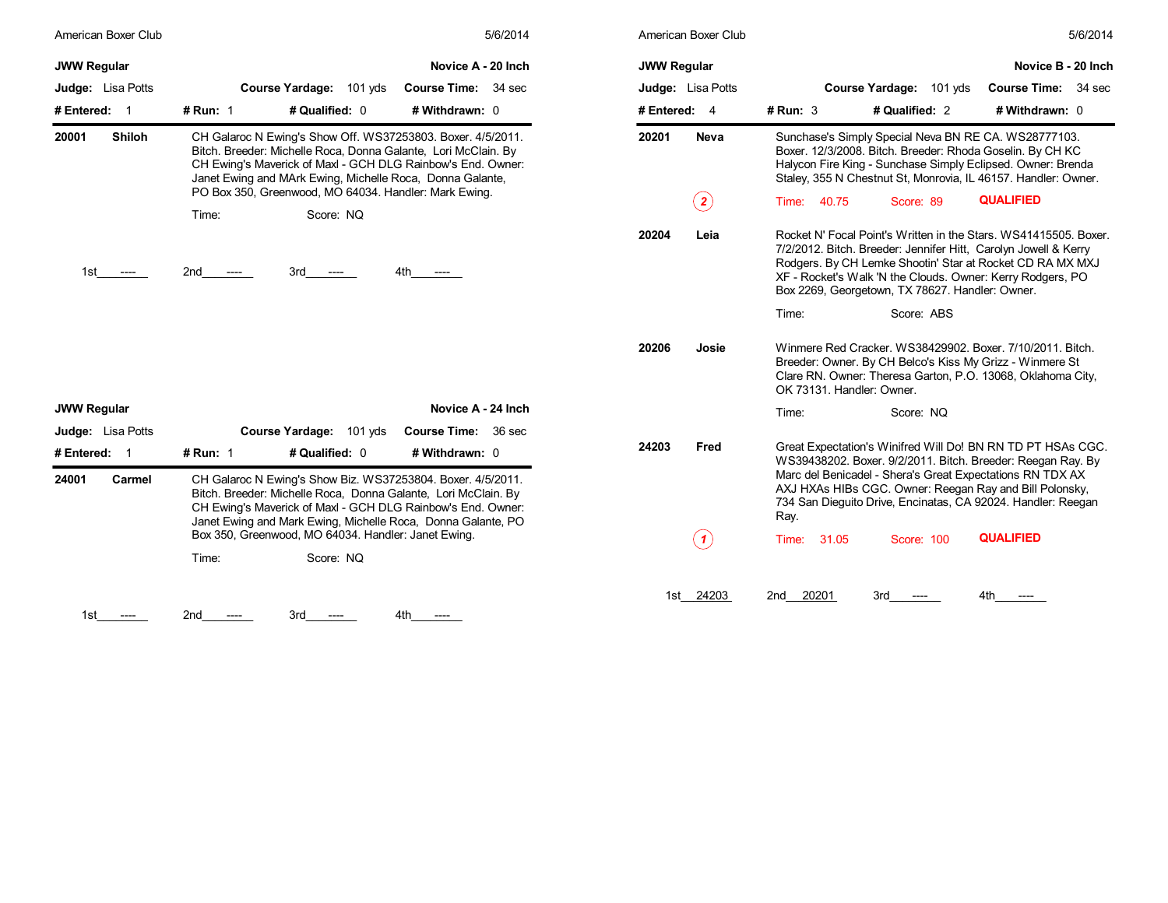| American Boxer Club      | 5/6/2014                                                                                                                                                                                                                                                     | American Boxer Club      | 5/6/2014                                                                                                                                                                                                                                                                                                          |
|--------------------------|--------------------------------------------------------------------------------------------------------------------------------------------------------------------------------------------------------------------------------------------------------------|--------------------------|-------------------------------------------------------------------------------------------------------------------------------------------------------------------------------------------------------------------------------------------------------------------------------------------------------------------|
| <b>JWW Regular</b>       | Novice A - 20 Inch                                                                                                                                                                                                                                           | <b>JWW Regular</b>       | Novice B - 20 Inch                                                                                                                                                                                                                                                                                                |
| <b>Judge:</b> Lisa Potts | Course Yardage: 101 yds<br>Course Time: 34 sec                                                                                                                                                                                                               | <b>Judge:</b> Lisa Potts | Course Yardage: 101 yds<br>Course Time: 34 sec                                                                                                                                                                                                                                                                    |
| # Entered: 1             | # Qualified: 0<br># Run: $1$<br># Withdrawn: 0                                                                                                                                                                                                               | # Entered: 4             | # Qualified: 2<br># Withdrawn: 0<br># $Run: 3$                                                                                                                                                                                                                                                                    |
| 20001<br><b>Shiloh</b>   | CH Galaroc N Ewing's Show Off. WS37253803. Boxer. 4/5/2011.<br>Bitch. Breeder: Michelle Roca, Donna Galante, Lori McClain. By<br>CH Ewing's Maverick of Maxl - GCH DLG Rainbow's End. Owner:<br>Janet Ewing and MArk Ewing, Michelle Roca, Donna Galante,    | 20201<br><b>Neva</b>     | Sunchase's Simply Special Neva BN RE CA. WS28777103.<br>Boxer. 12/3/2008. Bitch. Breeder: Rhoda Goselin. By CH KC<br>Halycon Fire King - Sunchase Simply Eclipsed. Owner: Brenda<br>Staley, 355 N Chestnut St, Monrovia, IL 46157. Handler: Owner.                                                                |
|                          | PO Box 350, Greenwood, MO 64034. Handler: Mark Ewing.                                                                                                                                                                                                        | $\bf(2)$                 | <b>QUALIFIED</b><br>40.75<br>Score: 89<br>Time:                                                                                                                                                                                                                                                                   |
|                          | Score: NQ<br>Time:                                                                                                                                                                                                                                           |                          |                                                                                                                                                                                                                                                                                                                   |
| 1st.                     | 2nd<br>3rd<br>4th<br>$---$<br>----                                                                                                                                                                                                                           | 20204<br>Leia            | Rocket N' Focal Point's Written in the Stars, WS41415505, Boxer.<br>7/2/2012. Bitch. Breeder: Jennifer Hitt, Carolyn Jowell & Kerry<br>Rodgers. By CH Lemke Shootin' Star at Rocket CD RA MX MXJ<br>XF - Rocket's Walk 'N the Clouds. Owner: Kerry Rodgers, PO<br>Box 2269, Georgetown, TX 78627. Handler: Owner. |
|                          |                                                                                                                                                                                                                                                              |                          | Score: ABS<br>Time:                                                                                                                                                                                                                                                                                               |
|                          |                                                                                                                                                                                                                                                              | 20206<br>Josie           | Winmere Red Cracker, WS38429902, Boxer, 7/10/2011, Bitch.<br>Breeder: Owner. By CH Belco's Kiss My Grizz - Winmere St<br>Clare RN. Owner: Theresa Garton, P.O. 13068, Oklahoma City,<br>OK 73131, Handler: Owner,                                                                                                 |
| <b>JWW Regular</b>       | Novice A - 24 Inch                                                                                                                                                                                                                                           |                          | Time:<br>Score: NQ                                                                                                                                                                                                                                                                                                |
| Judge: Lisa Potts        | Course Yardage: 101 yds<br>Course Time: 36 sec                                                                                                                                                                                                               |                          |                                                                                                                                                                                                                                                                                                                   |
| # Entered: 1             | # Run: 1<br># Qualified: 0<br># Withdrawn: 0                                                                                                                                                                                                                 | 24203<br>Fred            | Great Expectation's Winifred Will Do! BN RN TD PT HSAs CGC.<br>WS39438202. Boxer. 9/2/2011. Bitch. Breeder: Reegan Ray. By                                                                                                                                                                                        |
| 24001<br>Carmel          | CH Galaroc N Ewing's Show Biz. WS37253804. Boxer. 4/5/2011.<br>Bitch. Breeder: Michelle Roca, Donna Galante, Lori McClain. By<br>CH Ewing's Maverick of Maxl - GCH DLG Rainbow's End. Owner:<br>Janet Ewing and Mark Ewing, Michelle Roca, Donna Galante, PO |                          | Marc del Benicadel - Shera's Great Expectations RN TDX AX<br>AXJ HXAs HIBs CGC. Owner: Reegan Ray and Bill Polonsky,<br>734 San Diequito Drive, Encinatas, CA 92024. Handler: Reegan<br>Ray.                                                                                                                      |
|                          | Box 350, Greenwood, MO 64034. Handler: Janet Ewing.                                                                                                                                                                                                          | (1)                      | <b>QUALIFIED</b><br>31.05<br>Score: 100<br>Time:                                                                                                                                                                                                                                                                  |
|                          | Score: NO<br>Time:                                                                                                                                                                                                                                           |                          |                                                                                                                                                                                                                                                                                                                   |
|                          |                                                                                                                                                                                                                                                              | 1st 24203                | 2nd<br>20201<br>3rd<br>$---$                                                                                                                                                                                                                                                                                      |
| 1st                      | 3rd<br>4th<br>2nd<br>$---$<br>$---$                                                                                                                                                                                                                          |                          |                                                                                                                                                                                                                                                                                                                   |

| American Boxer Club |                           |                                                                                                                                                                                                                                                                                                                    |                     | 5/6/2014 |
|---------------------|---------------------------|--------------------------------------------------------------------------------------------------------------------------------------------------------------------------------------------------------------------------------------------------------------------------------------------------------------------|---------------------|----------|
| JWW Regular         |                           |                                                                                                                                                                                                                                                                                                                    | Novice B - 20 Inch  |          |
| Judge: Lisa Potts   |                           | <b>Course Yardage:</b><br>$101$ yds                                                                                                                                                                                                                                                                                | <b>Course Time:</b> | 34 sec   |
| # Entered:<br>4     | $#$ Run: 3                | # Qualified: 2                                                                                                                                                                                                                                                                                                     | # Withdrawn: 0      |          |
| 20201<br>Neva       |                           | Sunchase's Simply Special Neva BN RE CA. WS28777103.<br>Boxer. 12/3/2008. Bitch. Breeder: Rhoda Goselin. By CH KC<br>Halycon Fire King - Sunchase Simply Eclipsed. Owner: Brenda<br>Staley, 355 N Chestnut St, Monrovia, IL 46157. Handler: Owner.                                                                 |                     |          |
| $\overline{2}$      | Time:<br>40.75            | Score: 89                                                                                                                                                                                                                                                                                                          | <b>QUALIFIED</b>    |          |
| Leia<br>20204       |                           | Rocket N' Focal Point's Written in the Stars. WS41415505. Boxer.<br>7/2/2012. Bitch. Breeder: Jennifer Hitt, Carolyn Jowell & Kerry<br>Rodgers. By CH Lemke Shootin' Star at Rocket CD RA MX MXJ<br>XF - Rocket's Walk 'N the Clouds. Owner: Kerry Rodgers, PO<br>Box 2269, Georgetown, TX 78627. Handler: Owner.  |                     |          |
|                     | Time:                     | Score: ABS                                                                                                                                                                                                                                                                                                         |                     |          |
| 20206<br>Josie      | OK 73131. Handler: Owner. | Winmere Red Cracker, WS38429902, Boxer, 7/10/2011, Bitch.<br>Breeder: Owner. By CH Belco's Kiss My Grizz - Winmere St<br>Clare RN. Owner: Theresa Garton, P.O. 13068, Oklahoma City,                                                                                                                               |                     |          |
|                     | Time:                     | Score: NO                                                                                                                                                                                                                                                                                                          |                     |          |
| 24203<br>Fred       | Ray.                      | Great Expectation's Winifred Will Do! BN RN TD PT HSAs CGC.<br>WS39438202. Boxer. 9/2/2011. Bitch. Breeder: Reegan Ray. By<br>Marc del Benicadel - Shera's Great Expectations RN TDX AX<br>AXJ HXAs HIBs CGC. Owner: Reegan Ray and Bill Polonsky,<br>734 San Dieguito Drive, Encinatas, CA 92024. Handler: Reegan |                     |          |
| 1                   | Time:<br>31.05            | Score: 100                                                                                                                                                                                                                                                                                                         | <b>QUALIFIED</b>    |          |
| 24203<br>1st        | 20201<br>2nd              | 3rd                                                                                                                                                                                                                                                                                                                | 4th                 |          |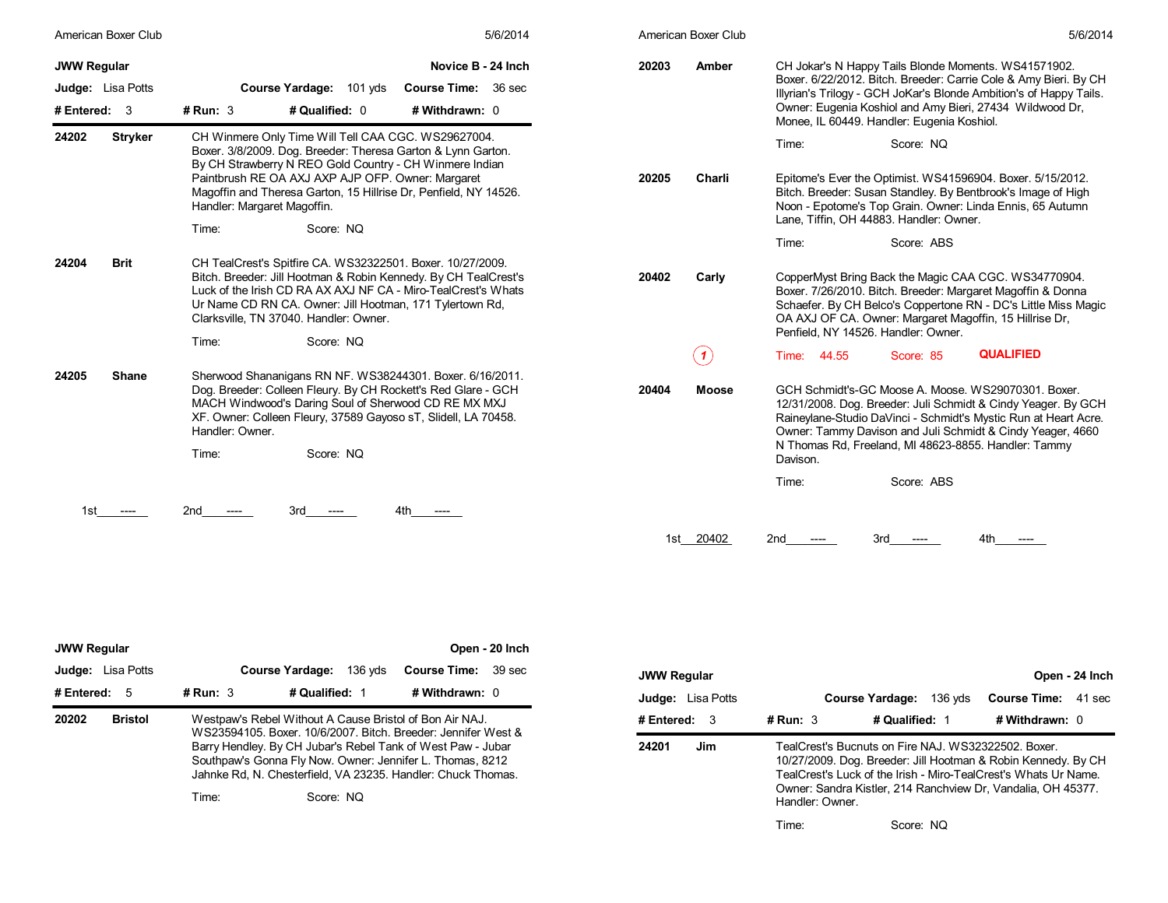| American Boxer Club                                     | 5/6/2014                                                                                                                                                                                                                                                                                                                                                     | American Boxer Club                         | 5/6/2014                                                                                                                                                                                                                                                                                                                                         |
|---------------------------------------------------------|--------------------------------------------------------------------------------------------------------------------------------------------------------------------------------------------------------------------------------------------------------------------------------------------------------------------------------------------------------------|---------------------------------------------|--------------------------------------------------------------------------------------------------------------------------------------------------------------------------------------------------------------------------------------------------------------------------------------------------------------------------------------------------|
| <b>JWW Regular</b><br>Judge: Lisa Potts<br># Entered: 3 | Novice B - 24 Inch<br>Course Yardage: 101 yds<br>Course Time: 36 sec<br># Qualified: 0<br># Withdrawn: 0<br>$#$ Run: 3                                                                                                                                                                                                                                       | 20203<br>Amber                              | CH Jokar's N Happy Tails Blonde Moments. WS41571902.<br>Boxer. 6/22/2012. Bitch. Breeder: Carrie Cole & Amy Bieri. By CH<br>Illyrian's Trilogy - GCH JoKar's Blonde Ambition's of Happy Tails.<br>Owner: Eugenia Koshiol and Amy Bieri, 27434 Wildwood Dr,<br>Monee, IL 60449. Handler: Eugenia Koshiol.                                         |
| 24202<br><b>Stryker</b>                                 | CH Winmere Only Time Will Tell CAA CGC. WS29627004.<br>Boxer. 3/8/2009. Dog. Breeder: Theresa Garton & Lynn Garton.<br>By CH Strawberry N REO Gold Country - CH Winmere Indian<br>Paintbrush RE OA AXJ AXP AJP OFP. Owner: Margaret<br>Magoffin and Theresa Garton, 15 Hillrise Dr, Penfield, NY 14526.<br>Handler: Margaret Magoffin.<br>Score: NQ<br>Time: | 20205<br>Charli                             | Time:<br>Score: NQ<br>Epitome's Ever the Optimist. WS41596904. Boxer. 5/15/2012.<br>Bitch. Breeder: Susan Standley. By Bentbrook's Image of High<br>Noon - Epotome's Top Grain. Owner: Linda Ennis, 65 Autumn<br>Lane, Tiffin, OH 44883. Handler: Owner.<br>Score: ABS<br>Time:                                                                  |
| <b>Brit</b><br>24204                                    | CH TealCrest's Spitfire CA. WS32322501. Boxer. 10/27/2009.<br>Bitch. Breeder: Jill Hootman & Robin Kennedy. By CH TealCrest's<br>Luck of the Irish CD RA AX AXJ NF CA - Miro-TealCrest's Whats<br>Ur Name CD RN CA. Owner: Jill Hootman, 171 Tylertown Rd,<br>Clarksville, TN 37040. Handler: Owner.<br>Time:<br>Score: NQ                                   | 20402<br>Carly<br>$\left( \text{ }n\right)$ | CopperMyst Bring Back the Magic CAA CGC. WS34770904.<br>Boxer. 7/26/2010. Bitch. Breeder: Margaret Magoffin & Donna<br>Schaefer. By CH Belco's Coppertone RN - DC's Little Miss Magic<br>OA AXJ OF CA. Owner: Margaret Magoffin, 15 Hillrise Dr,<br>Penfield, NY 14526. Handler: Owner.<br><b>QUALIFIED</b><br>Time: 44.55<br>Score: 85          |
| 24205<br><b>Shane</b>                                   | Sherwood Shananigans RN NF. WS38244301. Boxer. 6/16/2011.<br>Dog. Breeder: Colleen Fleury. By CH Rockett's Red Glare - GCH<br>MACH Windwood's Daring Soul of Sherwood CD RE MX MXJ<br>XF. Owner: Colleen Fleury, 37589 Gayoso sT, Slidell, LA 70458.<br>Handler: Owner.<br>Time:<br>Score: NQ                                                                | 20404<br><b>Moose</b>                       | GCH Schmidt's-GC Moose A. Moose, WS29070301, Boxer.<br>12/31/2008. Dog. Breeder: Juli Schmidt & Cindy Yeager. By GCH<br>Raineylane-Studio DaVinci - Schmidt's Mystic Run at Heart Acre.<br>Owner: Tammy Davison and Juli Schmidt & Cindy Yeager, 4660<br>N Thomas Rd, Freeland, MI 48623-8855. Handler: Tammy<br>Davison.<br>Time:<br>Score: ABS |
|                                                         | 2nd<br>4th<br>3rd -                                                                                                                                                                                                                                                                                                                                          | 1st 20402<br>2nd                            | 3rd<br>-----                                                                                                                                                                                                                                                                                                                                     |

| <b>JWW Regular</b>                         |                                                         |                           | Open - 20 Inch                                                                                                                                                                                                                                            |                    |
|--------------------------------------------|---------------------------------------------------------|---------------------------|-----------------------------------------------------------------------------------------------------------------------------------------------------------------------------------------------------------------------------------------------------------|--------------------|
| <b>Judge:</b> Lisa Potts<br># Entered: $5$ | <b>Course Yardage:</b><br># Run: $3$                    | 136 yds<br># Qualified: 1 | <b>Course Time: 39 sec</b><br># Withdrawn: $0$                                                                                                                                                                                                            | <b>JWW</b><br>Judg |
| 20202<br><b>Bristol</b>                    | Westpaw's Rebel Without A Cause Bristol of Bon Air NAJ. |                           | WS23594105, Boxer, 10/6/2007, Bitch, Breeder: Jennifer West &<br>Barry Hendley. By CH Jubar's Rebel Tank of West Paw - Jubar<br>Southpaw's Gonna Fly Now. Owner: Jennifer L. Thomas, 8212<br>Jahnke Rd, N. Chesterfield, VA 23235. Handler: Chuck Thomas. | # Ent<br>2420'     |
|                                            | Time:                                                   | Score: NQ                 |                                                                                                                                                                                                                                                           |                    |

| JWW Regular              |                 |                                                                                                                                                                                                                                                         |         |                            | Open - 24 Inch |
|--------------------------|-----------------|---------------------------------------------------------------------------------------------------------------------------------------------------------------------------------------------------------------------------------------------------------|---------|----------------------------|----------------|
| <b>Judge:</b> Lisa Potts |                 | <b>Course Yardage:</b>                                                                                                                                                                                                                                  | 136 vds | <b>Course Time: 41 sec</b> |                |
| # Entered:  3            | # Run: $3$      | # Qualified: 1                                                                                                                                                                                                                                          |         | # Withdrawn: 0             |                |
| 24201<br>Jim             | Handler: Owner. | TealCrest's Bucnuts on Fire NAJ. WS32322502. Boxer.<br>10/27/2009. Dog. Breeder: Jill Hootman & Robin Kennedy. By CH<br>TealCrest's Luck of the Irish - Miro-TealCrest's Whats Ur Name.<br>Owner: Sandra Kistler, 214 Ranchview Dr, Vandalia, OH 45377. |         |                            |                |
|                          | Time:           | Score: NQ                                                                                                                                                                                                                                               |         |                            |                |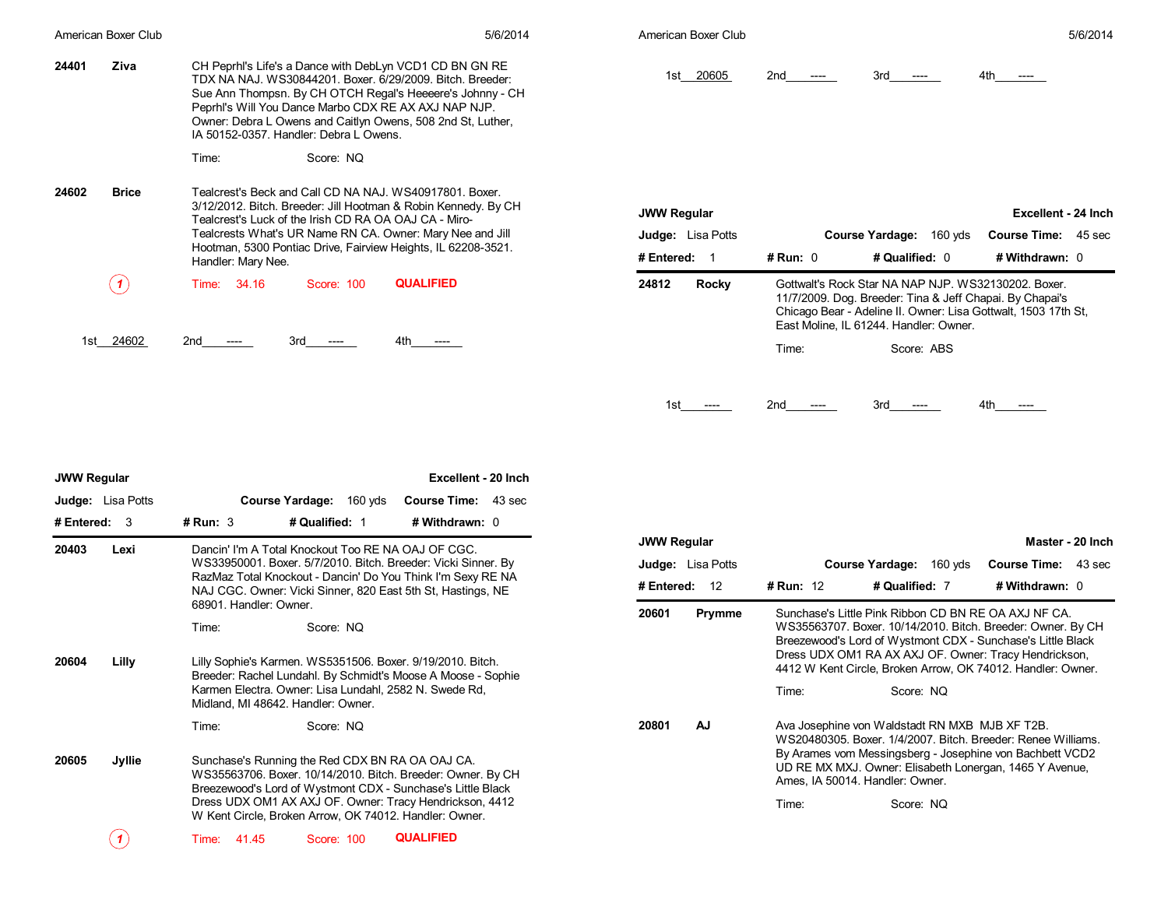|       | American Boxer Club                    |                                                                                                                      | 5/6/2014                                                                                                                                                                                                                                                | American Boxer Club                                            |                                                                                                                                                                                                                             | 5/6/2014                                                            |
|-------|----------------------------------------|----------------------------------------------------------------------------------------------------------------------|---------------------------------------------------------------------------------------------------------------------------------------------------------------------------------------------------------------------------------------------------------|----------------------------------------------------------------|-----------------------------------------------------------------------------------------------------------------------------------------------------------------------------------------------------------------------------|---------------------------------------------------------------------|
| 24401 | Ziva                                   | Peprhi's Will You Dance Marbo CDX RE AX AXJ NAP NJP.<br>IA 50152-0357. Handler: Debra L Owens.<br>Score: NQ<br>Time: | CH Peprhi's Life's a Dance with DebLyn VCD1 CD BN GN RE<br>TDX NA NAJ. WS30844201. Boxer. 6/29/2009. Bitch. Breeder:<br>Sue Ann Thompsn. By CH OTCH Regal's Heeeere's Johnny - CH<br>Owner: Debra L Owens and Caitlyn Owens, 508 2nd St, Luther,        | 1st 20605                                                      | $3rd$ ----<br>2nd<br>$---$                                                                                                                                                                                                  |                                                                     |
|       |                                        |                                                                                                                      |                                                                                                                                                                                                                                                         |                                                                |                                                                                                                                                                                                                             |                                                                     |
| 24602 | <b>Brice</b>                           | Tealcrest's Luck of the Irish CD RA OA OAJ CA - Miro-<br>Handler: Mary Nee.                                          | Tealcrest's Beck and Call CD NA NAJ. WS40917801. Boxer.<br>3/12/2012. Bitch. Breeder: Jill Hootman & Robin Kennedy. By CH<br>Tealcrests What's UR Name RN CA. Owner: Mary Nee and Jill<br>Hootman, 5300 Pontiac Drive, Fairview Heights, IL 62208-3521. | <b>JWW Regular</b><br><b>Judge:</b> Lisa Potts<br># Entered: 1 | Course Yardage: 160 yds<br># Run: 0<br># Qualified: 0                                                                                                                                                                       | Excellent - 24 Inch<br><b>Course Time: 45 sec</b><br># Withdrawn: 0 |
|       | $\left( \, \textbf{\textit{1}}\right)$ | 34.16<br>Score: 100<br>Time:                                                                                         | <b>QUALIFIED</b>                                                                                                                                                                                                                                        | 24812<br>Rocky                                                 | Gottwalt's Rock Star NA NAP NJP, WS32130202, Boxer.<br>11/7/2009. Dog. Breeder: Tina & Jeff Chapai. By Chapai's<br>Chicago Bear - Adeline II. Owner: Lisa Gottwalt, 1503 17th St,<br>East Moline, IL 61244. Handler: Owner. |                                                                     |
| 1st   | 24602                                  | $2nd$ ----<br>$3rd$ ----                                                                                             | 4th ----                                                                                                                                                                                                                                                |                                                                | Score: ABS<br>Time:                                                                                                                                                                                                         |                                                                     |

| <b>JWW Regular</b>       | Excellent - 20 Inch                                                                                                                                                                                                                                                                                |
|--------------------------|----------------------------------------------------------------------------------------------------------------------------------------------------------------------------------------------------------------------------------------------------------------------------------------------------|
| <b>Judge:</b> Lisa Potts | <b>Course Yardage:</b><br><b>Course Time: 43 sec</b><br>160 yds                                                                                                                                                                                                                                    |
| # Entered:<br>3          | # Run: $3$<br># Qualified: 1<br># Withdrawn: 0                                                                                                                                                                                                                                                     |
| 20403<br>Lexi            | Dancin' I'm A Total Knockout Too RE NA OAJ OF CGC.<br>WS33950001. Boxer. 5/7/2010. Bitch. Breeder: Vicki Sinner. By<br>RazMaz Total Knockout - Dancin' Do You Think I'm Sexy RE NA<br>NAJ CGC. Owner: Vicki Sinner, 820 East 5th St, Hastings, NE<br>68901. Handler: Owner.                        |
|                          | Score: NO<br>Time:                                                                                                                                                                                                                                                                                 |
| 20604<br>Lilly           | Lilly Sophie's Karmen. WS5351506. Boxer. 9/19/2010. Bitch.<br>Breeder: Rachel Lundahl. By Schmidt's Moose A Moose - Sophie<br>Karmen Electra. Owner: Lisa Lundahl, 2582 N. Swede Rd,<br>Midland, MI 48642. Handler: Owner.                                                                         |
|                          | Time:<br>Score: NQ                                                                                                                                                                                                                                                                                 |
| 20605<br>Jyllie          | Sunchase's Running the Red CDX BN RA OA OAJ CA.<br>WS35563706. Boxer. 10/14/2010. Bitch. Breeder: Owner. By CH<br>Breezewood's Lord of Wystmont CDX - Sunchase's Little Black<br>Dress UDX OM1 AX AXJ OF. Owner: Tracy Hendrickson, 4412<br>W Kent Circle, Broken Arrow, OK 74012. Handler: Owner. |
| 1                        | <b>QUALIFIED</b><br>41.45<br>Score: 100<br>Time:                                                                                                                                                                                                                                                   |

| <b>JWW Regular</b>       |           |                                                                                                                                                                                                                                                                                                            |         |                            | Master - 20 Inch |
|--------------------------|-----------|------------------------------------------------------------------------------------------------------------------------------------------------------------------------------------------------------------------------------------------------------------------------------------------------------------|---------|----------------------------|------------------|
| <b>Judge:</b> Lisa Potts |           | <b>Course Yardage:</b>                                                                                                                                                                                                                                                                                     | 160 vds | <b>Course Time: 43 sec</b> |                  |
| # Entered:<br>12         | # Run: 12 | # Qualified: 7                                                                                                                                                                                                                                                                                             |         | # Withdrawn: 0             |                  |
| 20601<br>Prymme          |           | Sunchase's Little Pink Ribbon CD BN RE OA AXJ NF CA.<br>WS35563707. Boxer. 10/14/2010. Bitch. Breeder: Owner. By CH<br>Breezewood's Lord of Wystmont CDX - Sunchase's Little Black<br>Dress UDX OM1 RA AX AXJ OF. Owner: Tracy Hendrickson,<br>4412 W Kent Circle, Broken Arrow, OK 74012. Handler: Owner. |         |                            |                  |
|                          | Time:     | Score: NO                                                                                                                                                                                                                                                                                                  |         |                            |                  |
| AJ<br>20801              |           | Ava Josephine von Waldstadt RN MXB MJB XF T2B.<br>WS20480305, Boxer, 1/4/2007, Bitch, Breeder: Renee Williams,<br>By Arames vom Messingsberg - Josephine von Bachbett VCD2<br>UD RE MX MXJ. Owner: Elisabeth Lonergan, 1465 Y Avenue,<br>Ames, IA 50014. Handler: Owner.                                   |         |                            |                  |
|                          | Time:     | Score: NQ                                                                                                                                                                                                                                                                                                  |         |                            |                  |

1st\_\_\_\_\_\_\_\_ ---- 2nd\_\_\_\_\_\_\_\_ ---- 3rd\_\_\_\_\_\_\_\_ ---- 4th\_\_\_\_\_\_\_\_ ----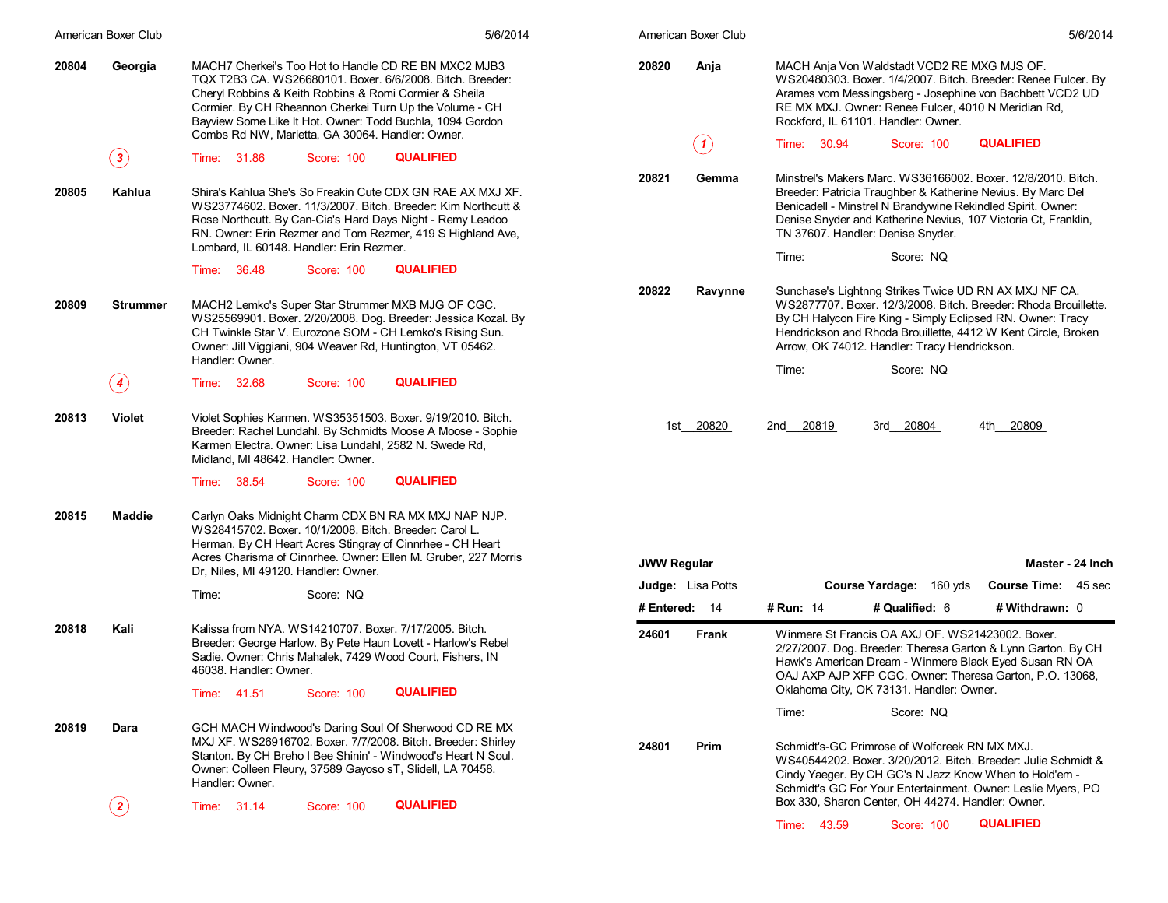|       | American Boxer Club | 5/6/2014                                                                                                                                                                                                                                                                                                                                                | American Boxer Club  | 5/6/2014                                                                                                                                                                                                                                                                                                                |
|-------|---------------------|---------------------------------------------------------------------------------------------------------------------------------------------------------------------------------------------------------------------------------------------------------------------------------------------------------------------------------------------------------|----------------------|-------------------------------------------------------------------------------------------------------------------------------------------------------------------------------------------------------------------------------------------------------------------------------------------------------------------------|
| 20804 | Georgia             | MACH7 Cherkei's Too Hot to Handle CD RE BN MXC2 MJB3<br>TQX T2B3 CA. WS26680101. Boxer. 6/6/2008. Bitch. Breeder:<br>Cheryl Robbins & Keith Robbins & Romi Cormier & Sheila<br>Cormier. By CH Rheannon Cherkei Turn Up the Volume - CH<br>Bayview Some Like It Hot. Owner: Todd Buchla, 1094 Gordon<br>Combs Rd NW, Marietta, GA 30064. Handler: Owner. | 20820<br>Anja<br>(1) | MACH Anja Von Waldstadt VCD2 RE MXG MJS OF.<br>WS20480303. Boxer. 1/4/2007. Bitch. Breeder: Renee Fulcer. By<br>Arames vom Messingsberg - Josephine von Bachbett VCD2 UD<br>RE MX MXJ. Owner: Renee Fulcer, 4010 N Meridian Rd,<br>Rockford, IL 61101. Handler: Owner.<br><b>QUALIFIED</b><br>Time: 30.94<br>Score: 100 |
|       | $\bf(3)$            | <b>QUALIFIED</b><br>Time: 31.86<br>Score: 100                                                                                                                                                                                                                                                                                                           |                      |                                                                                                                                                                                                                                                                                                                         |
| 20805 | Kahlua              | Shira's Kahlua She's So Freakin Cute CDX GN RAE AX MXJ XF.<br>WS23774602. Boxer. 11/3/2007. Bitch. Breeder: Kim Northcutt &<br>Rose Northcutt. By Can-Cia's Hard Days Night - Remy Leadoo<br>RN. Owner: Erin Rezmer and Tom Rezmer, 419 S Highland Ave,<br>Lombard, IL 60148. Handler: Erin Rezmer.                                                     | 20821<br>Gemma       | Minstrel's Makers Marc. WS36166002. Boxer. 12/8/2010. Bitch.<br>Breeder: Patricia Traughber & Katherine Nevius. By Marc Del<br>Benicadell - Minstrel N Brandywine Rekindled Spirit. Owner:<br>Denise Snyder and Katherine Nevius, 107 Victoria Ct, Franklin,<br>TN 37607. Handler: Denise Snyder.                       |
|       |                     | <b>QUALIFIED</b><br>Time: 36.48<br>Score: 100                                                                                                                                                                                                                                                                                                           |                      | Time:<br>Score: NQ                                                                                                                                                                                                                                                                                                      |
| 20809 | <b>Strummer</b>     | MACH2 Lemko's Super Star Strummer MXB MJG OF CGC.<br>WS25569901. Boxer. 2/20/2008. Dog. Breeder: Jessica Kozal. By<br>CH Twinkle Star V. Eurozone SOM - CH Lemko's Rising Sun.<br>Owner: Jill Viggiani, 904 Weaver Rd, Huntington, VT 05462.<br>Handler: Owner.                                                                                         | 20822<br>Ravynne     | Sunchase's Lightnng Strikes Twice UD RN AX MXJ NF CA.<br>WS2877707. Boxer. 12/3/2008. Bitch. Breeder: Rhoda Brouillette.<br>By CH Halycon Fire King - Simply Eclipsed RN. Owner: Tracy<br>Hendrickson and Rhoda Brouillette, 4412 W Kent Circle, Broken<br>Arrow, OK 74012. Handler: Tracy Hendrickson.                 |
|       | $\left( 4\right)$   | <b>QUALIFIED</b><br>Time: 32.68<br>Score: 100                                                                                                                                                                                                                                                                                                           |                      | Time:<br>Score: NQ                                                                                                                                                                                                                                                                                                      |
|       |                     |                                                                                                                                                                                                                                                                                                                                                         |                      |                                                                                                                                                                                                                                                                                                                         |
| 20813 | <b>Violet</b>       | Violet Sophies Karmen. WS35351503. Boxer. 9/19/2010. Bitch.<br>Breeder: Rachel Lundahl. By Schmidts Moose A Moose - Sophie<br>Karmen Electra. Owner: Lisa Lundahl, 2582 N. Swede Rd,<br>Midland, MI 48642. Handler: Owner.                                                                                                                              | 1st 20820            | 2nd 20819<br>3rd 20804<br>4th 20809                                                                                                                                                                                                                                                                                     |
|       |                     | <b>QUALIFIED</b><br>Time: 38.54<br>Score: 100                                                                                                                                                                                                                                                                                                           |                      |                                                                                                                                                                                                                                                                                                                         |
| 20815 | Maddie              | Carlyn Oaks Midnight Charm CDX BN RA MX MXJ NAP NJP.<br>WS28415702. Boxer. 10/1/2008. Bitch. Breeder: Carol L.<br>Herman. By CH Heart Acres Stingray of Cinnrhee - CH Heart<br>Acres Charisma of Cinnrhee. Owner: Ellen M. Gruber, 227 Morris<br>Dr, Niles, MI 49120. Handler: Owner.                                                                   | <b>JWW Regular</b>   | Master - 24 Inch                                                                                                                                                                                                                                                                                                        |
|       |                     | Time:<br>Score: NQ                                                                                                                                                                                                                                                                                                                                      | Judge: Lisa Potts    | Course Yardage: 160 yds<br>Course Time: 45 sec                                                                                                                                                                                                                                                                          |
| 20818 | Kali                | Kalissa from NYA. WS14210707. Boxer. 7/17/2005. Bitch.                                                                                                                                                                                                                                                                                                  | # Entered: $14$      | # Qualified: 6<br># Run: 14<br># Withdrawn: 0                                                                                                                                                                                                                                                                           |
|       |                     | Breeder: George Harlow. By Pete Haun Lovett - Harlow's Rebel<br>Sadie. Owner: Chris Mahalek, 7429 Wood Court, Fishers, IN<br>46038. Handler: Owner.<br><b>QUALIFIED</b><br>Score: 100<br>Time: 41.51                                                                                                                                                    | 24601<br>Frank       | Winmere St Francis OA AXJ OF. WS21423002. Boxer.<br>2/27/2007. Dog. Breeder: Theresa Garton & Lynn Garton. By CH<br>Hawk's American Dream - Winmere Black Eyed Susan RN OA<br>OAJ AXP AJP XFP CGC. Owner: Theresa Garton, P.O. 13068,<br>Oklahoma City, OK 73131. Handler: Owner.                                       |
|       |                     |                                                                                                                                                                                                                                                                                                                                                         |                      | Time:<br>Score: NQ                                                                                                                                                                                                                                                                                                      |
| 20819 | Dara                | GCH MACH Windwood's Daring Soul Of Sherwood CD RE MX<br>MXJ XF. WS26916702. Boxer. 7/7/2008. Bitch. Breeder: Shirley<br>Stanton. By CH Breho I Bee Shinin' - Windwood's Heart N Soul.<br>Owner: Colleen Fleury, 37589 Gayoso sT, Slidell, LA 70458.<br>Handler: Owner.                                                                                  | 24801<br>Prim        | Schmidt's-GC Primrose of Wolfcreek RN MX MXJ.<br>WS40544202. Boxer. 3/20/2012. Bitch. Breeder: Julie Schmidt &<br>Cindy Yaeger. By CH GC's N Jazz Know When to Hold'em -<br>Schmidt's GC For Your Entertainment. Owner: Leslie Myers, PO                                                                                |
|       | $\bf(2)$            | <b>QUALIFIED</b><br>Time: 31.14<br>Score: 100                                                                                                                                                                                                                                                                                                           |                      | Box 330, Sharon Center, OH 44274. Handler: Owner.                                                                                                                                                                                                                                                                       |
|       |                     |                                                                                                                                                                                                                                                                                                                                                         |                      | <b>QUALIFIED</b><br>Time: 43.59<br><b>Score: 100</b>                                                                                                                                                                                                                                                                    |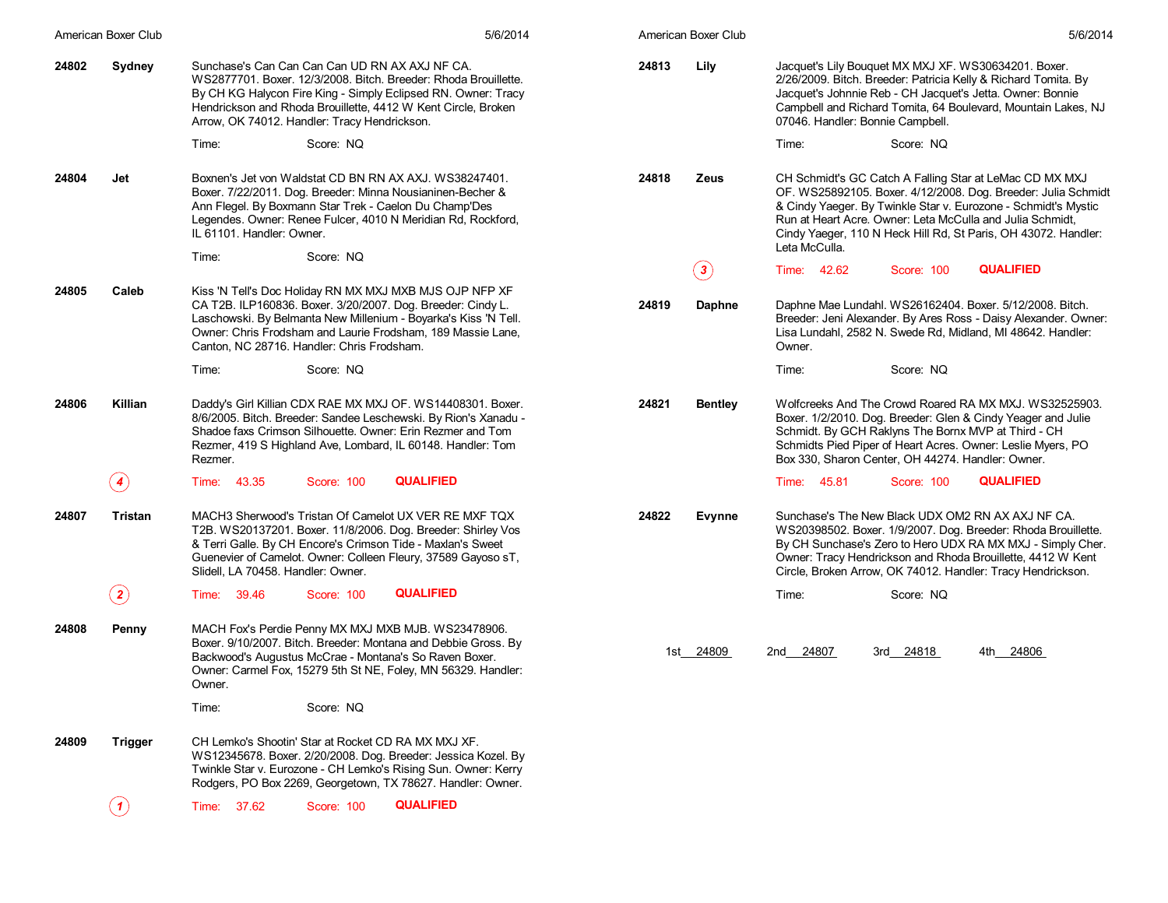|       | American Boxer Club | 5/6/2014                                                                                                                                                                                                                                                                                               | American Boxer Club         | 5/6/2014                                                                                                                                                                                                                                                                                                                                   |
|-------|---------------------|--------------------------------------------------------------------------------------------------------------------------------------------------------------------------------------------------------------------------------------------------------------------------------------------------------|-----------------------------|--------------------------------------------------------------------------------------------------------------------------------------------------------------------------------------------------------------------------------------------------------------------------------------------------------------------------------------------|
| 24802 | Sydney              | Sunchase's Can Can Can Can UD RN AX AXJ NF CA.<br>WS2877701, Boxer, 12/3/2008. Bitch, Breeder: Rhoda Brouillette.<br>By CH KG Halycon Fire King - Simply Eclipsed RN. Owner: Tracy<br>Hendrickson and Rhoda Brouillette, 4412 W Kent Circle, Broken<br>Arrow, OK 74012. Handler: Tracy Hendrickson.    | 24813<br>Lily               | Jacquet's Lily Bouquet MX MXJ XF. WS30634201. Boxer.<br>2/26/2009. Bitch. Breeder: Patricia Kelly & Richard Tomita. By<br>Jacquet's Johnnie Reb - CH Jacquet's Jetta. Owner: Bonnie<br>Campbell and Richard Tomita, 64 Boulevard, Mountain Lakes, NJ<br>07046. Handler: Bonnie Campbell.                                                   |
|       |                     | Score: NQ<br>Time:                                                                                                                                                                                                                                                                                     |                             | Time:<br>Score: NQ                                                                                                                                                                                                                                                                                                                         |
| 24804 | Jet                 | Boxnen's Jet von Waldstat CD BN RN AX AXJ. WS38247401.<br>Boxer. 7/22/2011. Dog. Breeder: Minna Nousianinen-Becher &<br>Ann Flegel. By Boxmann Star Trek - Caelon Du Champ'Des<br>Legendes. Owner: Renee Fulcer, 4010 N Meridian Rd, Rockford,<br>IL 61101. Handler: Owner.                            | 24818<br>Zeus               | CH Schmidt's GC Catch A Falling Star at LeMac CD MX MXJ<br>OF. WS25892105. Boxer. 4/12/2008. Dog. Breeder: Julia Schmidt<br>& Cindy Yaeger. By Twinkle Star v. Eurozone - Schmidt's Mystic<br>Run at Heart Acre. Owner: Leta McCulla and Julia Schmidt,<br>Cindy Yaeger, 110 N Heck Hill Rd, St Paris, OH 43072. Handler:<br>Leta McCulla. |
|       |                     | Time:<br>Score: NQ                                                                                                                                                                                                                                                                                     | $\left( \, {\bf 3} \right)$ | <b>QUALIFIED</b><br>Time: 42.62<br>Score: 100                                                                                                                                                                                                                                                                                              |
| 24805 | Caleb               | Kiss 'N Tell's Doc Holiday RN MX MXJ MXB MJS OJP NFP XF<br>CA T2B. ILP160836. Boxer. 3/20/2007. Dog. Breeder: Cindy L.<br>Laschowski. By Belmanta New Millenium - Boyarka's Kiss 'N Tell.<br>Owner: Chris Frodsham and Laurie Frodsham, 189 Massie Lane,<br>Canton, NC 28716. Handler: Chris Frodsham. | 24819<br><b>Daphne</b>      | Daphne Mae Lundahl. WS26162404. Boxer. 5/12/2008. Bitch.<br>Breeder: Jeni Alexander. By Ares Ross - Daisy Alexander. Owner:<br>Lisa Lundahl, 2582 N. Swede Rd, Midland, MI 48642. Handler:<br>Owner.                                                                                                                                       |
|       |                     | Time:<br>Score: NQ                                                                                                                                                                                                                                                                                     |                             | Score: NQ<br>Time:                                                                                                                                                                                                                                                                                                                         |
| 24806 | Killian             | Daddy's Girl Killian CDX RAE MX MXJ OF. WS14408301. Boxer.<br>8/6/2005. Bitch. Breeder: Sandee Leschewski. By Rion's Xanadu -<br>Shadoe faxs Crimson Silhouette. Owner: Erin Rezmer and Tom<br>Rezmer, 419 S Highland Ave, Lombard, IL 60148. Handler: Tom<br>Rezmer.                                  | 24821<br><b>Bentley</b>     | Wolfcreeks And The Crowd Roared RA MX MXJ. WS32525903.<br>Boxer. 1/2/2010. Dog. Breeder: Glen & Cindy Yeager and Julie<br>Schmidt. By GCH Raklyns The Bornx MVP at Third - CH<br>Schmidts Pied Piper of Heart Acres. Owner: Leslie Myers, PO<br>Box 330, Sharon Center, OH 44274. Handler: Owner.                                          |
|       | $\left( 4\right)$   | <b>QUALIFIED</b><br>Time: 43.35<br>Score: 100                                                                                                                                                                                                                                                          |                             | <b>QUALIFIED</b><br>Time: 45.81<br>Score: 100                                                                                                                                                                                                                                                                                              |
| 24807 | Tristan             | MACH3 Sherwood's Tristan Of Camelot UX VER RE MXF TQX<br>T2B. WS20137201. Boxer. 11/8/2006. Dog. Breeder: Shirley Vos<br>& Terri Galle. By CH Encore's Crimson Tide - Maxlan's Sweet<br>Guenevier of Camelot. Owner: Colleen Fleury, 37589 Gayoso sT,<br>Slidell, LA 70458. Handler: Owner.            | 24822<br>Evynne             | Sunchase's The New Black UDX OM2 RN AX AXJ NF CA.<br>WS20398502. Boxer. 1/9/2007. Dog. Breeder: Rhoda Brouillette.<br>By CH Sunchase's Zero to Hero UDX RA MX MXJ - Simply Cher.<br>Owner: Tracy Hendrickson and Rhoda Brouillette, 4412 W Kent<br>Circle, Broken Arrow, OK 74012. Handler: Tracy Hendrickson.                             |
|       | $\bf(2)$            | <b>QUALIFIED</b><br>Time: 39.46<br>Score: 100                                                                                                                                                                                                                                                          |                             | Score: NQ<br>Time:                                                                                                                                                                                                                                                                                                                         |
| 24808 | Penny               | MACH Fox's Perdie Penny MX MXJ MXB MJB. WS23478906.<br>Boxer. 9/10/2007. Bitch. Breeder: Montana and Debbie Gross. By<br>Backwood's Augustus McCrae - Montana's So Raven Boxer.<br>Owner: Carmel Fox, 15279 5th St NE, Foley, MN 56329. Handler:<br>Owner.                                             | 1st 24809                   | 2nd 24807<br>3rd 24818<br>4th 24806                                                                                                                                                                                                                                                                                                        |
|       |                     | Time:<br>Score: NQ                                                                                                                                                                                                                                                                                     |                             |                                                                                                                                                                                                                                                                                                                                            |
| 24809 | Trigger             | CH Lemko's Shootin' Star at Rocket CD RA MX MXJ XF.<br>WS12345678. Boxer. 2/20/2008. Dog. Breeder: Jessica Kozel. By<br>Twinkle Star v. Eurozone - CH Lemko's Rising Sun. Owner: Kerry<br>Rodgers, PO Box 2269, Georgetown, TX 78627. Handler: Owner.                                                  |                             |                                                                                                                                                                                                                                                                                                                                            |
|       | (1)                 | <b>QUALIFIED</b><br>Time: 37.62<br>Score: 100                                                                                                                                                                                                                                                          |                             |                                                                                                                                                                                                                                                                                                                                            |
|       |                     |                                                                                                                                                                                                                                                                                                        |                             |                                                                                                                                                                                                                                                                                                                                            |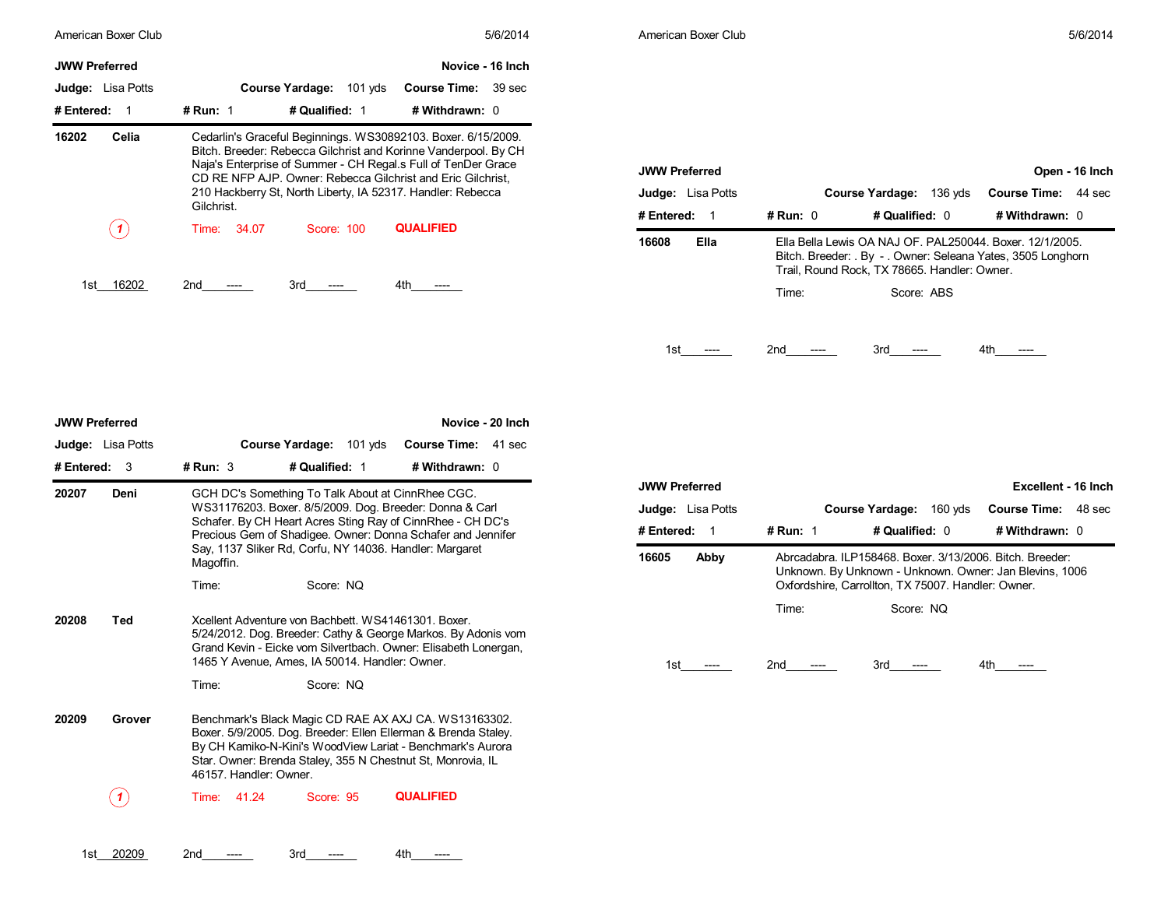| American Boxer Club      | 5/6/2014                                                                                                                                                                                                                                                                                                                                      | American Boxer Club                                                                                                                                                                       | 5/6/2014                                                                  |
|--------------------------|-----------------------------------------------------------------------------------------------------------------------------------------------------------------------------------------------------------------------------------------------------------------------------------------------------------------------------------------------|-------------------------------------------------------------------------------------------------------------------------------------------------------------------------------------------|---------------------------------------------------------------------------|
| <b>JWW Preferred</b>     | Novice - 16 Inch                                                                                                                                                                                                                                                                                                                              |                                                                                                                                                                                           |                                                                           |
| <b>Judge:</b> Lisa Potts | Course Yardage: 101 yds<br><b>Course Time: 39 sec</b>                                                                                                                                                                                                                                                                                         |                                                                                                                                                                                           |                                                                           |
| # Entered:               | # Qualified: 1<br># Run: $1$<br># Withdrawn: 0                                                                                                                                                                                                                                                                                                |                                                                                                                                                                                           |                                                                           |
| 16202<br>Celia           | Cedarlin's Graceful Beginnings. WS30892103. Boxer. 6/15/2009.<br>Bitch. Breeder: Rebecca Gilchrist and Korinne Vanderpool. By CH<br>Naja's Enterprise of Summer - CH Regal.s Full of TenDer Grace<br>CD RE NFP AJP. Owner: Rebecca Gilchrist and Eric Gilchrist,<br>210 Hackberry St, North Liberty, IA 52317. Handler: Rebecca<br>Gilchrist. | <b>JWW Preferred</b><br><b>Judge:</b> Lisa Potts<br><b>Course Yardage:</b><br>$#$ Run: $0$<br># Qualified: 0<br># Entered: 1                                                              | Open - 16 Inch<br>136 vds<br><b>Course Time: 44 sec</b><br># Withdrawn: 0 |
| (1)                      | <b>QUALIFIED</b><br>34.07<br>Score: 100<br>Time:                                                                                                                                                                                                                                                                                              | Ella<br>Ella Bella Lewis OA NAJ OF, PAL250044, Boxer, 12/1/2005.<br>16608<br>Bitch. Breeder: . By - . Owner: Seleana Yates, 3505 Longhorn<br>Trail, Round Rock, TX 78665. Handler: Owner. |                                                                           |
| 16202<br>1st             | 4th<br>2 <sub>nd</sub><br>3rd<br>$----$<br>----<br>----                                                                                                                                                                                                                                                                                       | $T$ is a set of $T$<br>$O2 = 0.00$                                                                                                                                                        |                                                                           |

| # Entered:<br># Run: $0$<br># Qualified: $0$<br># Withdrawn: $0$<br>-1<br>Ella<br>Ella Bella Lewis OA NAJ OF, PAL250044, Boxer, 12/1/2005.<br>16608<br>Bitch. Breeder: By - Owner: Seleana Yates, 3505 Longhorn<br>Trail, Round Rock, TX 78665. Handler: Owner. | <b>JWW Preferred</b><br><b>Judge:</b> Lisa Potts |       | <b>Course Yardage:</b><br>$136$ yds | Open - 16 Inch<br><b>Course Time:</b><br>44 sec |
|-----------------------------------------------------------------------------------------------------------------------------------------------------------------------------------------------------------------------------------------------------------------|--------------------------------------------------|-------|-------------------------------------|-------------------------------------------------|
|                                                                                                                                                                                                                                                                 |                                                  |       |                                     |                                                 |
|                                                                                                                                                                                                                                                                 |                                                  |       |                                     |                                                 |
|                                                                                                                                                                                                                                                                 |                                                  | Time: | Score: ABS                          |                                                 |

| <b>JWW Preferred</b> |                          |                        |                                                                                                                                                                                                                                                      | Novice - 20 Inch                                                                                                                 |                                     |
|----------------------|--------------------------|------------------------|------------------------------------------------------------------------------------------------------------------------------------------------------------------------------------------------------------------------------------------------------|----------------------------------------------------------------------------------------------------------------------------------|-------------------------------------|
|                      | <b>Judge:</b> Lisa Potts |                        | Course Yardage: 101 yds                                                                                                                                                                                                                              | <b>Course Time:</b><br>41 sec                                                                                                    |                                     |
| # Entered:           | 3                        | # Run: $3$             | # Qualified: 1                                                                                                                                                                                                                                       | # Withdrawn: 0                                                                                                                   |                                     |
| 20207                | Deni                     | Magoffin.              | GCH DC's Something To Talk About at CinnRhee CGC.<br>WS31176203. Boxer. 8/5/2009. Dog. Breeder: Donna & Carl<br>Schafer. By CH Heart Acres Sting Ray of CinnRhee - CH DC's<br>Say, 1137 Sliker Rd, Corfu, NY 14036. Handler: Margaret                | Precious Gem of Shadigee. Owner: Donna Schafer and Jennifer                                                                      | <b>JWW</b><br>Judg<br># Ent<br>1660 |
|                      |                          | Time:                  | Score: NO                                                                                                                                                                                                                                            |                                                                                                                                  |                                     |
| 20208                | Ted                      |                        | Xcellent Adventure von Bachbett, WS41461301, Boxer,<br>1465 Y Avenue, Ames, IA 50014. Handler: Owner.                                                                                                                                                | 5/24/2012. Dog. Breeder: Cathy & George Markos. By Adonis vom<br>Grand Kevin - Eicke vom Silvertbach. Owner: Elisabeth Lonergan, |                                     |
|                      |                          | Time:                  | Score: NQ                                                                                                                                                                                                                                            |                                                                                                                                  |                                     |
| 20209                | Grover                   | 46157. Handler: Owner. | Benchmark's Black Magic CD RAE AX AXJ CA. WS13163302.<br>Boxer. 5/9/2005. Dog. Breeder: Ellen Ellerman & Brenda Staley.<br>By CH Kamiko-N-Kini's WoodView Lariat - Benchmark's Aurora<br>Star. Owner: Brenda Staley, 355 N Chestnut St, Monrovia, IL |                                                                                                                                  |                                     |
|                      |                          | 41.24<br>Time:         | Score: 95                                                                                                                                                                                                                                            | <b>QUALIFIED</b>                                                                                                                 |                                     |
|                      |                          |                        |                                                                                                                                                                                                                                                      |                                                                                                                                  |                                     |

1st\_\_\_ 20209 2nd\_\_\_\_\_\_\_\_\_ 3rd\_\_\_\_\_\_\_ 4th\_\_\_\_\_\_\_

| <b>JWW Preferred</b>     |            |                                                                                                                                                                           | Excellent - 16 Inch           |
|--------------------------|------------|---------------------------------------------------------------------------------------------------------------------------------------------------------------------------|-------------------------------|
| <b>Judge:</b> Lisa Potts |            | <b>Course Yardage:</b><br>160 vds                                                                                                                                         | <b>Course Time:</b><br>48 sec |
| # Entered:               | # Run: $1$ | # Qualified: 0                                                                                                                                                            | # Withdrawn: 0                |
| 16605<br>Abby            |            | Abrcadabra, ILP158468, Boxer, 3/13/2006, Bitch, Breeder:<br>Unknown. By Unknown - Unknown. Owner: Jan Blevins, 1006<br>Oxfordshire, Carrollton, TX 75007. Handler: Owner. |                               |
|                          | Time:      | Score: NQ                                                                                                                                                                 |                               |
|                          |            |                                                                                                                                                                           |                               |
| 1st                      | 2nd        | 3rd                                                                                                                                                                       | 4th                           |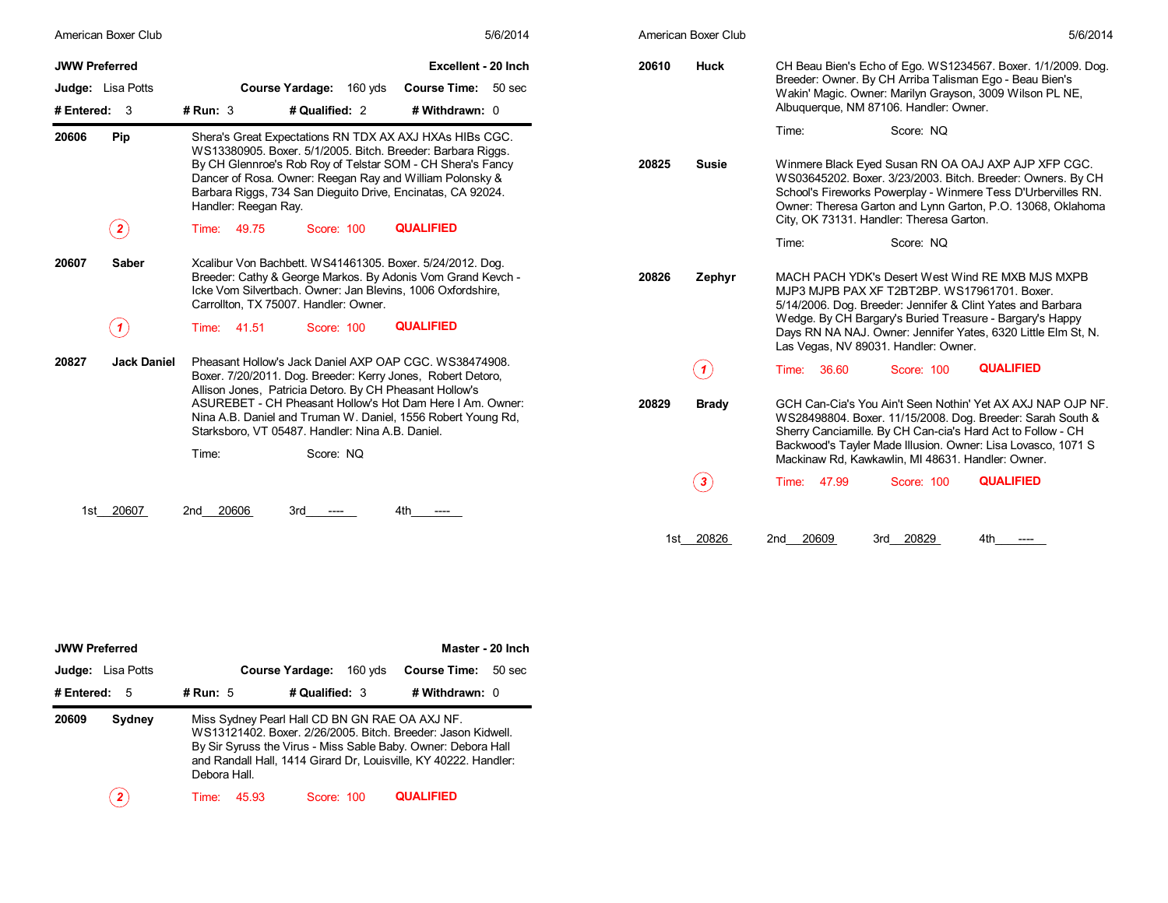| American Boxer Club                                      | 5/6/2014                                                                                                                                                                                                                                                                                                                                                                                 | American Boxer Club            | 5/6/2014                                                                                                                                                                                                                                                                                                             |  |
|----------------------------------------------------------|------------------------------------------------------------------------------------------------------------------------------------------------------------------------------------------------------------------------------------------------------------------------------------------------------------------------------------------------------------------------------------------|--------------------------------|----------------------------------------------------------------------------------------------------------------------------------------------------------------------------------------------------------------------------------------------------------------------------------------------------------------------|--|
| <b>JWW Preferred</b><br>Judge: Lisa Potts<br>#Entered: 3 | Excellent - 20 Inch<br>Course Yardage: 160 yds<br>Course Time: 50 sec<br># Qualified: 2<br># Run: 3<br># Withdrawn: 0                                                                                                                                                                                                                                                                    | 20610<br><b>Huck</b>           | CH Beau Bien's Echo of Ego. WS1234567. Boxer. 1/1/2009. Dog.<br>Breeder: Owner. By CH Arriba Talisman Ego - Beau Bien's<br>Wakin' Magic. Owner: Marilyn Grayson, 3009 Wilson PL NE,<br>Albuquerque, NM 87106. Handler: Owner.                                                                                        |  |
| 20606<br>Pip<br>$\left( \mathbf{2}\right)$               | Shera's Great Expectations RN TDX AX AXJ HXAs HIBs CGC.<br>WS13380905. Boxer. 5/1/2005. Bitch. Breeder: Barbara Riggs.<br>By CH Glennroe's Rob Roy of Telstar SOM - CH Shera's Fancy<br>Dancer of Rosa. Owner: Reegan Ray and William Polonsky &<br>Barbara Riggs, 734 San Dieguito Drive, Encinatas, CA 92024.<br>Handler: Reegan Ray.<br><b>QUALIFIED</b><br>Time: 49.75<br>Score: 100 | 20825<br><b>Susie</b>          | Score: NQ<br>Time:<br>Winmere Black Eyed Susan RN OA OAJ AXP AJP XFP CGC.<br>WS03645202. Boxer. 3/23/2003. Bitch. Breeder: Owners. By CH<br>School's Fireworks Powerplay - Winmere Tess D'Urbervilles RN.<br>Owner: Theresa Garton and Lynn Garton, P.O. 13068, Oklahoma<br>City, OK 73131. Handler: Theresa Garton. |  |
|                                                          |                                                                                                                                                                                                                                                                                                                                                                                          |                                | Score: NQ<br>Time:                                                                                                                                                                                                                                                                                                   |  |
| Saber<br>20607                                           | Xcalibur Von Bachbett. WS41461305. Boxer. 5/24/2012. Dog.<br>Breeder: Cathy & George Markos. By Adonis Vom Grand Kevch -<br>Icke Vom Silvertbach, Owner: Jan Blevins, 1006 Oxfordshire.<br>Carrollton, TX 75007. Handler: Owner.                                                                                                                                                         | 20826<br>Zephyr                | MACH PACH YDK's Desert West Wind RE MXB MJS MXPB<br>MJP3 MJPB PAX XF T2BT2BP, WS17961701, Boxer,<br>5/14/2006. Dog. Breeder: Jennifer & Clint Yates and Barbara<br>Wedge. By CH Bargary's Buried Treasure - Bargary's Happy                                                                                          |  |
| $\boxed{1}$                                              | <b>QUALIFIED</b><br>Time: 41.51<br>Score: 100                                                                                                                                                                                                                                                                                                                                            |                                | Days RN NA NAJ. Owner: Jennifer Yates, 6320 Little Elm St, N.<br>Las Vegas, NV 89031. Handler: Owner.                                                                                                                                                                                                                |  |
| 20827<br><b>Jack Daniel</b>                              | Pheasant Hollow's Jack Daniel AXP OAP CGC, WS38474908.<br>Boxer. 7/20/2011. Dog. Breeder: Kerry Jones, Robert Detoro,<br>Allison Jones, Patricia Detoro. By CH Pheasant Hollow's                                                                                                                                                                                                         | $\mathbf{A}$                   | <b>QUALIFIED</b><br>Time:<br>36.60<br>Score: 100                                                                                                                                                                                                                                                                     |  |
|                                                          | ASUREBET - CH Pheasant Hollow's Hot Dam Here I Am. Owner:<br>Nina A.B. Daniel and Truman W. Daniel, 1556 Robert Young Rd,<br>Starksboro, VT 05487. Handler: Nina A.B. Daniel.                                                                                                                                                                                                            | 20829<br><b>Brady</b>          | GCH Can-Cia's You Ain't Seen Nothin' Yet AX AXJ NAP OJP NF.<br>WS28498804. Boxer. 11/15/2008. Dog. Breeder: Sarah South &<br>Sherry Canciamille. By CH Can-cia's Hard Act to Follow - CH                                                                                                                             |  |
|                                                          | Score: NQ<br>Time:                                                                                                                                                                                                                                                                                                                                                                       |                                | Backwood's Tayler Made Illusion. Owner: Lisa Lovasco, 1071 S<br>Mackinaw Rd, Kawkawlin, MI 48631. Handler: Owner.                                                                                                                                                                                                    |  |
|                                                          |                                                                                                                                                                                                                                                                                                                                                                                          | $\left( \, \mathbf{3} \right)$ | <b>QUALIFIED</b><br>47.99<br>Score: 100<br>Time:                                                                                                                                                                                                                                                                     |  |

| <b>JWW Preferred</b>     |                |                                                | Master - 20 Inch                                                                                                                                                                                  |
|--------------------------|----------------|------------------------------------------------|---------------------------------------------------------------------------------------------------------------------------------------------------------------------------------------------------|
| <b>Judge:</b> Lisa Potts |                | <b>Course Yardage:</b><br>160 vds              | <b>Course Time:</b><br>50 <sub>sec</sub>                                                                                                                                                          |
| # Entered: $5$           | # Run: $5$     | # Qualified: 3                                 | # Withdrawn: $0$                                                                                                                                                                                  |
| 20609<br>Sydney          | Debora Hall.   | Miss Sydney Pearl Hall CD BN GN RAE OA AXJ NF. | WS13121402, Boxer, 2/26/2005, Bitch, Breeder: Jason Kidwell.<br>By Sir Syruss the Virus - Miss Sable Baby. Owner: Debora Hall<br>and Randall Hall, 1414 Girard Dr, Louisville, KY 40222. Handler: |
| $\mathbf{2}$             | 45.93<br>Time: | Score: 100                                     | <b>QUALIFIED</b>                                                                                                                                                                                  |

| 20610 | <b>Huck</b>  | Breeder: Owner. By CH Arriba Talisman Ego - Beau Bien's<br>Albuquerque, NM 87106. Handler: Owner. |              | CH Beau Bien's Echo of Ego. WS1234567. Boxer. 1/1/2009. Dog.<br>Wakin' Magic. Owner: Marilyn Grayson, 3009 Wilson PL NE,                                                                                                                                 |
|-------|--------------|---------------------------------------------------------------------------------------------------|--------------|----------------------------------------------------------------------------------------------------------------------------------------------------------------------------------------------------------------------------------------------------------|
|       |              | Time:                                                                                             | Score: NQ    |                                                                                                                                                                                                                                                          |
| 20825 | <b>Susie</b> | City, OK 73131. Handler: Theresa Garton.                                                          |              | Winmere Black Eyed Susan RN OA OAJ AXP AJP XFP CGC.<br>WS03645202. Boxer. 3/23/2003. Bitch. Breeder: Owners. By CH<br>School's Fireworks Powerplay - Winmere Tess D'Urbervilles RN.<br>Owner: Theresa Garton and Lynn Garton, P.O. 13068, Oklahoma       |
|       |              | Time:                                                                                             | Score: NO    |                                                                                                                                                                                                                                                          |
| 20826 | Zephyr       | MJP3 MJPB PAX XF T2BT2BP. WS17961701. Boxer.<br>Las Vegas, NV 89031. Handler: Owner.              |              | MACH PACH YDK's Desert West Wind RE MXB MJS MXPB<br>5/14/2006. Dog. Breeder: Jennifer & Clint Yates and Barbara<br>Wedge. By CH Bargary's Buried Treasure - Bargary's Happy<br>Days RN NA NAJ. Owner: Jennifer Yates, 6320 Little Elm St, N.             |
|       | 1            | Time:<br>36.60                                                                                    | Score: 100   | <b>QUALIFIED</b>                                                                                                                                                                                                                                         |
| 20829 | <b>Brady</b> | Mackinaw Rd, Kawkawlin, MI 48631. Handler: Owner.                                                 |              | GCH Can-Cia's You Ain't Seen Nothin' Yet AX AXJ NAP OJP NF.<br>WS28498804. Boxer. 11/15/2008. Dog. Breeder: Sarah South &<br>Sherry Canciamille. By CH Can-cia's Hard Act to Follow - CH<br>Backwood's Tayler Made Illusion. Owner: Lisa Lovasco, 1071 S |
|       | $\mathbf{3}$ | Time:<br>47.99                                                                                    | Score: 100   | <b>QUALIFIED</b>                                                                                                                                                                                                                                         |
|       |              |                                                                                                   |              |                                                                                                                                                                                                                                                          |
| 1st   | 20826        | 20609<br>2nd                                                                                      | 20829<br>3rd | 4th                                                                                                                                                                                                                                                      |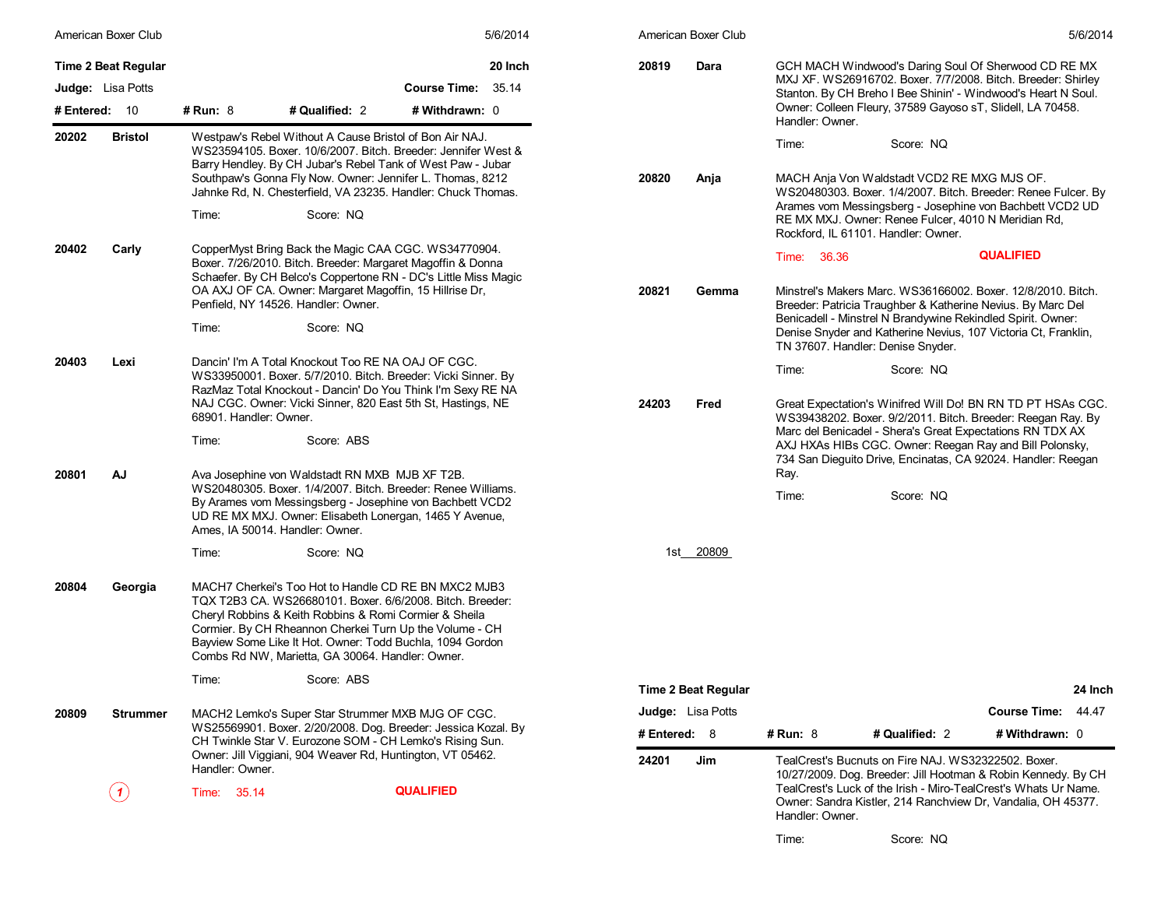|               | American Boxer Club      |                                                                                                                                                                                                                                                                             |                                                                                                                                                                                                                                                                                                                                                         |                    | 5/6/2014 |              | American Boxer Club        |                 |                                                                                                                                                                                       |                                                                                                                                                  | 5/6/2014 |  |  |
|---------------|--------------------------|-----------------------------------------------------------------------------------------------------------------------------------------------------------------------------------------------------------------------------------------------------------------------------|---------------------------------------------------------------------------------------------------------------------------------------------------------------------------------------------------------------------------------------------------------------------------------------------------------------------------------------------------------|--------------------|----------|--------------|----------------------------|-----------------|---------------------------------------------------------------------------------------------------------------------------------------------------------------------------------------|--------------------------------------------------------------------------------------------------------------------------------------------------|----------|--|--|
|               | Time 2 Beat Regular      |                                                                                                                                                                                                                                                                             |                                                                                                                                                                                                                                                                                                                                                         |                    | 20 Inch  | 20819        | Dara                       |                 | GCH MACH Windwood's Daring Soul Of Sherwood CD RE MX<br>MXJ XF. WS26916702. Boxer. 7/7/2008. Bitch. Breeder: Shirley                                                                  |                                                                                                                                                  |          |  |  |
|               | <b>Judge:</b> Lisa Potts |                                                                                                                                                                                                                                                                             |                                                                                                                                                                                                                                                                                                                                                         | Course Time: 35.14 |          |              |                            |                 | Stanton. By CH Breho I Bee Shinin' - Windwood's Heart N Soul.                                                                                                                         |                                                                                                                                                  |          |  |  |
| # Entered: 10 |                          | # Run: $8$                                                                                                                                                                                                                                                                  | # Qualified: 2                                                                                                                                                                                                                                                                                                                                          | # Withdrawn: 0     |          |              |                            | Handler: Owner. | Owner: Colleen Fleury, 37589 Gayoso sT, Slidell, LA 70458.                                                                                                                            |                                                                                                                                                  |          |  |  |
| 20202         | <b>Bristol</b>           |                                                                                                                                                                                                                                                                             | Westpaw's Rebel Without A Cause Bristol of Bon Air NAJ.<br>WS23594105. Boxer. 10/6/2007. Bitch. Breeder: Jennifer West &<br>Barry Hendley. By CH Jubar's Rebel Tank of West Paw - Jubar<br>Southpaw's Gonna Fly Now. Owner: Jennifer L. Thomas, 8212<br>Jahnke Rd, N. Chesterfield, VA 23235. Handler: Chuck Thomas.                                    |                    |          | 20820        | Anja                       | Time:           | Score: NQ<br>MACH Anja Von Waldstadt VCD2 RE MXG MJS OF.<br>WS20480303. Boxer. 1/4/2007. Bitch. Breeder: Renee Fulcer. By<br>Arames vom Messingsberg - Josephine von Bachbett VCD2 UD |                                                                                                                                                  |          |  |  |
|               |                          | Time:                                                                                                                                                                                                                                                                       | Score: NQ                                                                                                                                                                                                                                                                                                                                               |                    |          |              |                            |                 | RE MX MXJ. Owner: Renee Fulcer, 4010 N Meridian Rd,<br>Rockford, IL 61101, Handler: Owner.                                                                                            |                                                                                                                                                  |          |  |  |
| 20402         | Carly                    |                                                                                                                                                                                                                                                                             | CopperMyst Bring Back the Magic CAA CGC. WS34770904.<br>Boxer. 7/26/2010. Bitch. Breeder: Margaret Magoffin & Donna<br>Schaefer. By CH Belco's Coppertone RN - DC's Little Miss Magic<br>OA AXJ OF CA. Owner: Margaret Magoffin, 15 Hillrise Dr,<br>Penfield, NY 14526. Handler: Owner.                                                                 |                    |          | 20821        | Gemma                      | Time: 36.36     | Minstrel's Makers Marc. WS36166002. Boxer. 12/8/2010. Bitch.<br>Breeder: Patricia Traughber & Katherine Nevius. By Marc Del                                                           | <b>QUALIFIED</b>                                                                                                                                 |          |  |  |
|               |                          | Time:                                                                                                                                                                                                                                                                       | Score: NQ                                                                                                                                                                                                                                                                                                                                               |                    |          |              |                            |                 | Benicadell - Minstrel N Brandywine Rekindled Spirit. Owner:<br>Denise Snyder and Katherine Nevius, 107 Victoria Ct, Franklin,<br>TN 37607. Handler: Denise Snyder.                    |                                                                                                                                                  |          |  |  |
| 20403         | Lexi                     | Dancin' I'm A Total Knockout Too RE NA OAJ OF CGC.<br>WS33950001. Boxer. 5/7/2010. Bitch. Breeder: Vicki Sinner. By<br>RazMaz Total Knockout - Dancin' Do You Think I'm Sexy RE NA<br>NAJ CGC. Owner: Vicki Sinner, 820 East 5th St, Hastings, NE<br>68901. Handler: Owner. |                                                                                                                                                                                                                                                                                                                                                         |                    |          |              | 24203<br>Fred              |                 |                                                                                                                                                                                       | Time:<br>Score: NQ<br>Great Expectation's Winifred Will Do! BN RN TD PT HSAs CGC.<br>WS39438202. Boxer. 9/2/2011. Bitch. Breeder: Reegan Ray. By |          |  |  |
|               |                          | Time:                                                                                                                                                                                                                                                                       | Score: ABS                                                                                                                                                                                                                                                                                                                                              |                    |          |              |                            |                 | Marc del Benicadel - Shera's Great Expectations RN TDX AX<br>AXJ HXAs HIBs CGC. Owner: Reegan Ray and Bill Polonsky,<br>734 San Dieguito Drive, Encinatas, CA 92024. Handler: Reegan  |                                                                                                                                                  |          |  |  |
| 20801         | AJ                       |                                                                                                                                                                                                                                                                             | Ava Josephine von Waldstadt RN MXB MJB XF T2B.<br>WS20480305. Boxer. 1/4/2007. Bitch. Breeder: Renee Williams.<br>By Arames vom Messingsberg - Josephine von Bachbett VCD2<br>UD RE MX MXJ. Owner: Elisabeth Lonergan, 1465 Y Avenue,<br>Ames, IA 50014. Handler: Owner.                                                                                |                    |          |              |                            | Ray.<br>Time:   | Score: NQ                                                                                                                                                                             |                                                                                                                                                  |          |  |  |
|               |                          | Time:                                                                                                                                                                                                                                                                       | Score: NQ                                                                                                                                                                                                                                                                                                                                               |                    |          |              | 1st 20809                  |                 |                                                                                                                                                                                       |                                                                                                                                                  |          |  |  |
| 20804         | Georgia                  |                                                                                                                                                                                                                                                                             | MACH7 Cherkei's Too Hot to Handle CD RE BN MXC2 MJB3<br>TQX T2B3 CA. WS26680101. Boxer. 6/6/2008. Bitch. Breeder:<br>Cheryl Robbins & Keith Robbins & Romi Cormier & Sheila<br>Cormier. By CH Rheannon Cherkei Turn Up the Volume - CH<br>Bayview Some Like It Hot. Owner: Todd Buchla, 1094 Gordon<br>Combs Rd NW, Marietta, GA 30064. Handler: Owner. |                    |          |              |                            |                 |                                                                                                                                                                                       |                                                                                                                                                  |          |  |  |
|               |                          | Time:                                                                                                                                                                                                                                                                       | Score: ABS                                                                                                                                                                                                                                                                                                                                              |                    |          |              | <b>Time 2 Beat Regular</b> |                 |                                                                                                                                                                                       |                                                                                                                                                  | 24 Inch  |  |  |
| 20809         | <b>Strummer</b>          |                                                                                                                                                                                                                                                                             | MACH2 Lemko's Super Star Strummer MXB MJG OF CGC.                                                                                                                                                                                                                                                                                                       |                    |          |              | <b>Judge:</b> Lisa Potts   |                 |                                                                                                                                                                                       | <b>Course Time:</b>                                                                                                                              | 44.47    |  |  |
|               |                          |                                                                                                                                                                                                                                                                             | WS25569901. Boxer. 2/20/2008. Dog. Breeder: Jessica Kozal. By                                                                                                                                                                                                                                                                                           |                    |          | # Entered: 8 |                            | <b># Run: 8</b> | # Qualified: 2                                                                                                                                                                        | # Withdrawn: 0                                                                                                                                   |          |  |  |
|               |                          | Handler: Owner.                                                                                                                                                                                                                                                             | CH Twinkle Star V. Eurozone SOM - CH Lemko's Rising Sun.<br>Owner: Jill Viggiani, 904 Weaver Rd, Huntington, VT 05462.                                                                                                                                                                                                                                  |                    |          | 24201        | Jim                        |                 | TealCrest's Bucnuts on Fire NAJ. WS32322502. Boxer.<br>10/27/2009. Dog. Breeder: Jill Hootman & Robin Kennedy. By CH                                                                  |                                                                                                                                                  |          |  |  |
|               | $\mathcal{L}$            | Time: 35.14                                                                                                                                                                                                                                                                 |                                                                                                                                                                                                                                                                                                                                                         | <b>QUALIFIED</b>   |          |              |                            |                 | TealCrest's Luck of the Irish - Miro-TealCrest's Whats Ur Name.<br>Owner: Sandra Kistler, 214 Ranchview Dr, Vandalia, OH 45377.                                                       |                                                                                                                                                  |          |  |  |

| 5/6/2014<br>American Boxer Club<br>20819<br>Dara<br>GCH MACH Windwood's Daring Soul Of Sherwood CD RE MX<br>MXJ XF. WS26916702. Boxer. 7/7/2008. Bitch. Breeder: Shirley<br>Stanton. By CH Breho I Bee Shinin' - Windwood's Heart N Soul.<br>Owner: Colleen Fleury, 37589 Gayoso sT, Slidell, LA 70458.<br>Handler: Owner.                  |  |
|---------------------------------------------------------------------------------------------------------------------------------------------------------------------------------------------------------------------------------------------------------------------------------------------------------------------------------------------|--|
|                                                                                                                                                                                                                                                                                                                                             |  |
|                                                                                                                                                                                                                                                                                                                                             |  |
| Time:<br>Score: NQ                                                                                                                                                                                                                                                                                                                          |  |
| MACH Anja Von Waldstadt VCD2 RE MXG MJS OF.<br>20820<br>Anja<br>WS20480303. Boxer. 1/4/2007. Bitch. Breeder: Renee Fulcer. By<br>Arames vom Messingsberg - Josephine von Bachbett VCD2 UD<br>RE MX MXJ. Owner: Renee Fulcer, 4010 N Meridian Rd,<br>Rockford, IL 61101. Handler: Owner.                                                     |  |
| <b>QUALIFIED</b><br>Time:<br>36.36                                                                                                                                                                                                                                                                                                          |  |
| Minstrel's Makers Marc. WS36166002. Boxer. 12/8/2010. Bitch.<br>20821<br>Gemma<br>Breeder: Patricia Traughber & Katherine Nevius. By Marc Del<br>Benicadell - Minstrel N Brandywine Rekindled Spirit. Owner:<br>Denise Snyder and Katherine Nevius, 107 Victoria Ct, Franklin,<br>TN 37607. Handler: Denise Snyder.                         |  |
| Time:<br>Score: NQ                                                                                                                                                                                                                                                                                                                          |  |
| 24203<br>Fred<br>Great Expectation's Winifred Will Do! BN RN TD PT HSAs CGC.<br>WS39438202. Boxer. 9/2/2011. Bitch. Breeder: Reegan Ray. By<br>Marc del Benicadel - Shera's Great Expectations RN TDX AX<br>AXJ HXAs HIBs CGC. Owner: Reegan Ray and Bill Polonsky,<br>734 San Dieguito Drive, Encinatas, CA 92024. Handler: Reegan<br>Ray. |  |
| Time:<br>Score: NQ                                                                                                                                                                                                                                                                                                                          |  |
|                                                                                                                                                                                                                                                                                                                                             |  |
| 20809<br>1st                                                                                                                                                                                                                                                                                                                                |  |
|                                                                                                                                                                                                                                                                                                                                             |  |
| Time 2 Beat Regular<br>24 Inch<br><b>Course Time:</b><br>44.47                                                                                                                                                                                                                                                                              |  |
| Judge: Lisa Potts<br># Entered:<br># Run: 8<br># Qualified: 2<br># Withdrawn: 0<br>8                                                                                                                                                                                                                                                        |  |
| TealCrest's Bucnuts on Fire NAJ, WS32322502, Boxer,<br>24201<br>Jim<br>10/27/2009. Dog. Breeder: Jill Hootman & Robin Kennedy. By CH<br>TealCrest's Luck of the Irish - Miro-TealCrest's Whats Ur Name.<br>Owner: Sandra Kistler, 214 Ranchview Dr, Vandalia, OH 45377.<br>Handler: Owner.                                                  |  |

Time: Score: NQ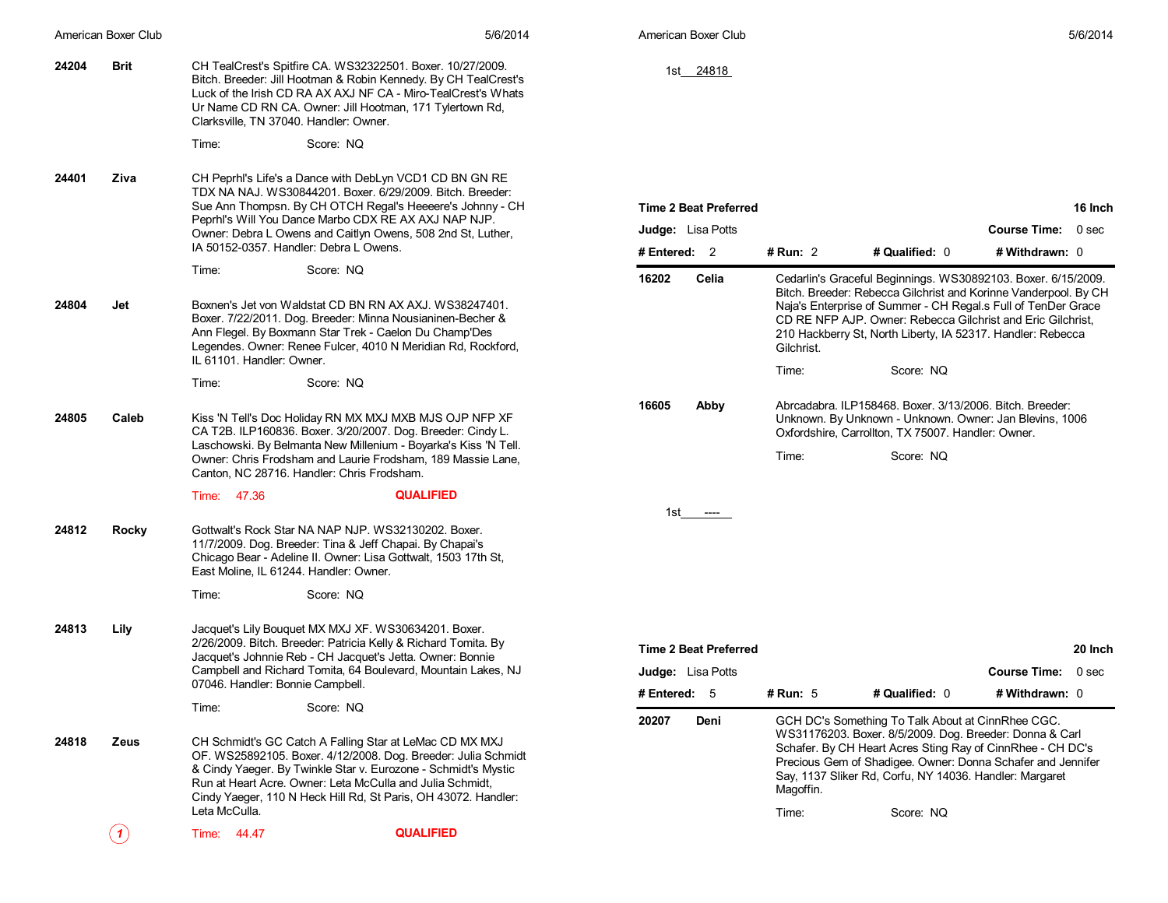|       | American Boxer Club | 5/6/2014                                                                                                                                                                                                                                                                                                                                   | American Boxer Club                                                      |                                                                                                                                                                                                                                                                                                                                               | 5/6/2014                                                    |
|-------|---------------------|--------------------------------------------------------------------------------------------------------------------------------------------------------------------------------------------------------------------------------------------------------------------------------------------------------------------------------------------|--------------------------------------------------------------------------|-----------------------------------------------------------------------------------------------------------------------------------------------------------------------------------------------------------------------------------------------------------------------------------------------------------------------------------------------|-------------------------------------------------------------|
| 24204 | <b>Brit</b>         | CH TealCrest's Spitfire CA. WS32322501. Boxer. 10/27/2009.<br>Bitch. Breeder: Jill Hootman & Robin Kennedy. By CH TealCrest's<br>Luck of the Irish CD RA AX AXJ NF CA - Miro-TealCrest's Whats<br>Ur Name CD RN CA. Owner: Jill Hootman, 171 Tylertown Rd,<br>Clarksville, TN 37040. Handler: Owner.                                       | 1st 24818                                                                |                                                                                                                                                                                                                                                                                                                                               |                                                             |
|       |                     | Time:<br>Score: NQ                                                                                                                                                                                                                                                                                                                         |                                                                          |                                                                                                                                                                                                                                                                                                                                               |                                                             |
| 24401 | Ziva                | CH Peprhl's Life's a Dance with DebLyn VCD1 CD BN GN RE<br>TDX NA NAJ. WS30844201. Boxer. 6/29/2009. Bitch. Breeder:<br>Sue Ann Thompsn. By CH OTCH Regal's Heeeere's Johnny - CH<br>Peprhl's Will You Dance Marbo CDX RE AX AXJ NAP NJP.<br>Owner: Debra L Owens and Caitlyn Owens, 508 2nd St, Luther,                                   | <b>Time 2 Beat Preferred</b><br>Judge: Lisa Potts                        |                                                                                                                                                                                                                                                                                                                                               | 16 Inch<br><b>Course Time:</b><br>0 <sub>sec</sub>          |
|       |                     | IA 50152-0357. Handler: Debra L Owens.                                                                                                                                                                                                                                                                                                     | # Entered: 2                                                             | # Qualified: 0<br># Run: 2                                                                                                                                                                                                                                                                                                                    | # Withdrawn: 0                                              |
| 24804 | Jet                 | Time:<br>Score: NQ<br>Boxnen's Jet von Waldstat CD BN RN AX AXJ. WS38247401.<br>Boxer. 7/22/2011. Dog. Breeder: Minna Nousianinen-Becher &<br>Ann Flegel. By Boxmann Star Trek - Caelon Du Champ'Des<br>Legendes. Owner: Renee Fulcer, 4010 N Meridian Rd, Rockford,                                                                       | 16202<br>Celia                                                           | Cedarlin's Graceful Beginnings. WS30892103. Boxer. 6/15/2009.<br>Bitch. Breeder: Rebecca Gilchrist and Korinne Vanderpool. By CH<br>Naja's Enterprise of Summer - CH Regal.s Full of TenDer Grace<br>CD RE NFP AJP. Owner: Rebecca Gilchrist and Eric Gilchrist,<br>210 Hackberry St. North Liberty, IA 52317. Handler: Rebecca<br>Gilchrist. |                                                             |
|       |                     | IL 61101. Handler: Owner.                                                                                                                                                                                                                                                                                                                  |                                                                          | Time:<br>Score: NQ                                                                                                                                                                                                                                                                                                                            |                                                             |
|       |                     | Score: NQ<br>Time:                                                                                                                                                                                                                                                                                                                         |                                                                          |                                                                                                                                                                                                                                                                                                                                               |                                                             |
| 24805 | Caleb               | Kiss 'N Tell's Doc Holiday RN MX MXJ MXB MJS OJP NFP XF<br>CA T2B. ILP160836. Boxer. 3/20/2007. Dog. Breeder: Cindy L.<br>Laschowski. By Belmanta New Millenium - Boyarka's Kiss 'N Tell.<br>Owner: Chris Frodsham and Laurie Frodsham, 189 Massie Lane,<br>Canton, NC 28716. Handler: Chris Frodsham.                                     | 16605<br>Abby                                                            | Abrcadabra, ILP158468, Boxer, 3/13/2006, Bitch, Breeder:<br>Unknown. By Unknown - Unknown. Owner: Jan Blevins, 1006<br>Oxfordshire, Carrollton, TX 75007. Handler: Owner.<br>Time:<br>Score: NQ                                                                                                                                               |                                                             |
|       |                     | <b>QUALIFIED</b><br>Time: 47.36                                                                                                                                                                                                                                                                                                            |                                                                          |                                                                                                                                                                                                                                                                                                                                               |                                                             |
| 24812 | <b>Rocky</b>        | Gottwalt's Rock Star NA NAP NJP. WS32130202. Boxer.<br>11/7/2009. Dog. Breeder: Tina & Jeff Chapai. By Chapai's<br>Chicago Bear - Adeline II. Owner: Lisa Gottwalt, 1503 17th St,<br>East Moline, IL 61244. Handler: Owner.                                                                                                                | 1st ----                                                                 |                                                                                                                                                                                                                                                                                                                                               |                                                             |
|       |                     | Time:<br>Score: NQ                                                                                                                                                                                                                                                                                                                         |                                                                          |                                                                                                                                                                                                                                                                                                                                               |                                                             |
| 24813 | Lily                | Jacquet's Lily Bouquet MX MXJ XF. WS30634201. Boxer.<br>2/26/2009. Bitch. Breeder: Patricia Kelly & Richard Tomita. By<br>Jacquet's Johnnie Reb - CH Jacquet's Jetta. Owner: Bonnie<br>Campbell and Richard Tomita, 64 Boulevard, Mountain Lakes, NJ<br>07046. Handler: Bonnie Campbell.                                                   | <b>Time 2 Beat Preferred</b><br><b>Judge:</b> Lisa Potts<br># Entered: 5 | # Run: 5<br># Qualified: 0                                                                                                                                                                                                                                                                                                                    | 20 Inch<br><b>Course Time:</b><br>$0$ sec<br># Withdrawn: 0 |
|       |                     | Time:<br>Score: NQ                                                                                                                                                                                                                                                                                                                         |                                                                          |                                                                                                                                                                                                                                                                                                                                               |                                                             |
| 24818 | Zeus                | CH Schmidt's GC Catch A Falling Star at LeMac CD MX MXJ<br>OF. WS25892105. Boxer. 4/12/2008. Dog. Breeder: Julia Schmidt<br>& Cindy Yaeger. By Twinkle Star v. Eurozone - Schmidt's Mystic<br>Run at Heart Acre. Owner: Leta McCulla and Julia Schmidt.<br>Cindy Yaeger, 110 N Heck Hill Rd, St Paris, OH 43072. Handler:<br>Leta McCulla. | 20207<br>Deni                                                            | GCH DC's Something To Talk About at CinnRhee CGC.<br>WS31176203. Boxer. 8/5/2009. Dog. Breeder: Donna & Carl<br>Schafer. By CH Heart Acres Sting Ray of CinnRhee - CH DC's<br>Precious Gem of Shadigee. Owner: Donna Schafer and Jennifer<br>Say, 1137 Sliker Rd, Corfu, NY 14036. Handler: Margaret<br>Magoffin.<br>Time:<br>Score: NQ       |                                                             |
|       |                     | <b>QUALIFIED</b><br>Time: 44.47                                                                                                                                                                                                                                                                                                            |                                                                          |                                                                                                                                                                                                                                                                                                                                               |                                                             |
|       | (1)                 |                                                                                                                                                                                                                                                                                                                                            |                                                                          |                                                                                                                                                                                                                                                                                                                                               |                                                             |
|       |                     |                                                                                                                                                                                                                                                                                                                                            |                                                                          |                                                                                                                                                                                                                                                                                                                                               |                                                             |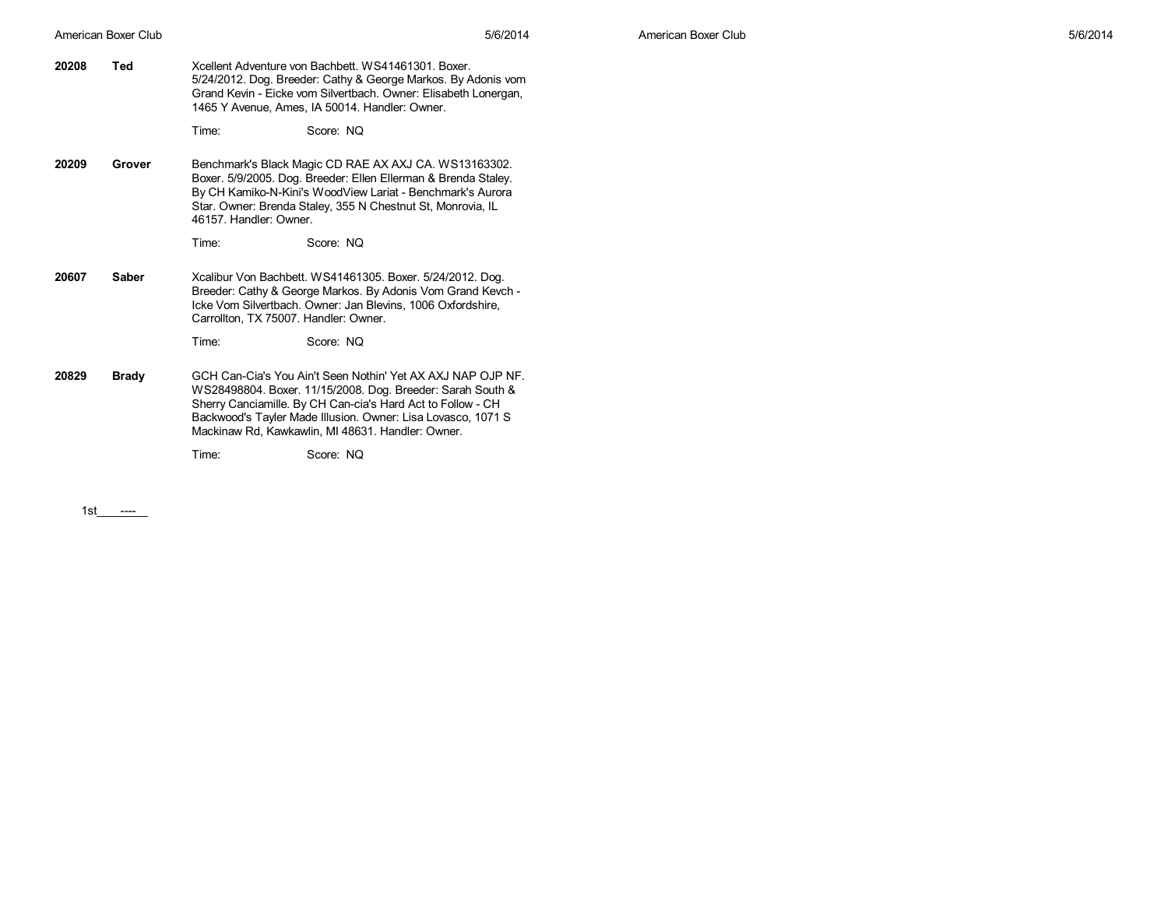**20208 Ted** Xcellent Adventure von Bachbett. WS41461301. Boxer. 5/24/2012. Dog. Breeder: Cathy & George Markos. By Adonis vom Grand Kevin - Eicke vom Silvertbach. Owner: Elisabeth Lonergan, 1465 Y Avenue, Ames, IA 50014. Handler: Owner.

Time: Score: NQ

**20209 Grover** Benchmark's Black Magic CD RAE AX AXJ CA. WS13163302. Boxer. 5/9/2005. Dog. Breeder: Ellen Ellerman & Brenda Staley. By CH Kamiko-N-Kini's WoodView Lariat - Benchmark's Aurora Star. Owner: Brenda Staley, 355 N Chestnut St, Monrovia, IL 46157. Handler: Owner.

Time: Score: NQ

**20607 Saber** Xcalibur Von Bachbett. WS41461305. Boxer. 5/24/2012. Dog. Breeder: Cathy & George Markos. By Adonis Vom Grand Kevch - Icke Vom Silvertbach. Owner: Jan Blevins, 1006 Oxfordshire, Carrollton, TX 75007. Handler: Owner.

Time: Score: NQ

**20829 Brady** GCH Can-Cia's You Ain't Seen Nothin' Yet AX AXJ NAP OJP NF. WS28498804. Boxer. 11/15/2008. Dog. Breeder: Sarah South & Sherry Canciamille. By CH Can-cia's Hard Act to Follow - CH Backwood's Tayler Made Illusion. Owner: Lisa Lovasco, 1071 S Mackinaw Rd, Kawkawlin, MI 48631. Handler: Owner.

Time: Score: NQ

1st\_\_\_\_\_\_\_\_ ----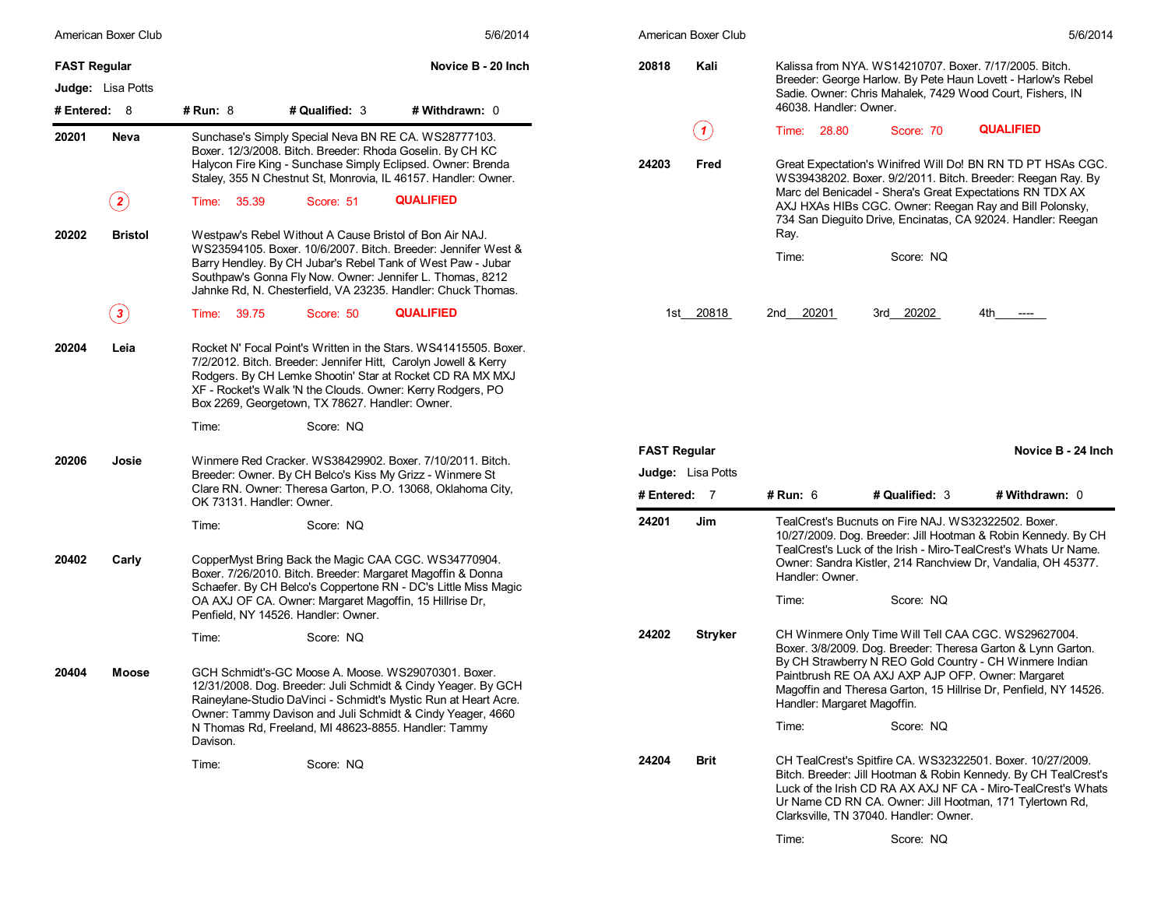| American Boxer Club     |                 |                                                                                                                   | 5/6/2014                                                                                                                                                                                                                                                       |                     | American Boxer Club      |                                                                                                                           |                                                     | 5/6/2014                                                                                                                                                                                                                                                   |
|-------------------------|-----------------|-------------------------------------------------------------------------------------------------------------------|----------------------------------------------------------------------------------------------------------------------------------------------------------------------------------------------------------------------------------------------------------------|---------------------|--------------------------|---------------------------------------------------------------------------------------------------------------------------|-----------------------------------------------------|------------------------------------------------------------------------------------------------------------------------------------------------------------------------------------------------------------------------------------------------------------|
| <b>FAST Regular</b>     |                 |                                                                                                                   | Novice B - 20 Inch                                                                                                                                                                                                                                             | 20818               | Kali                     |                                                                                                                           |                                                     | Kalissa from NYA. WS14210707. Boxer. 7/17/2005. Bitch.                                                                                                                                                                                                     |
| Judge: Lisa Potts       |                 |                                                                                                                   |                                                                                                                                                                                                                                                                |                     |                          | Breeder: George Harlow. By Pete Haun Lovett - Harlow's Rebel<br>Sadie. Owner: Chris Mahalek, 7429 Wood Court, Fishers, IN |                                                     |                                                                                                                                                                                                                                                            |
| # Entered: 8            | <b># Run: 8</b> | # Qualified: 3                                                                                                    | # Withdrawn: 0                                                                                                                                                                                                                                                 |                     |                          | 46038. Handler: Owner.                                                                                                    |                                                     |                                                                                                                                                                                                                                                            |
| 20201<br>Neva           |                 | Sunchase's Simply Special Neva BN RE CA. WS28777103.<br>Boxer. 12/3/2008. Bitch. Breeder: Rhoda Goselin. By CH KC | Halycon Fire King - Sunchase Simply Eclipsed. Owner: Brenda<br>Staley, 355 N Chestnut St, Monrovia, IL 46157. Handler: Owner.                                                                                                                                  | 24203               | (1)<br>Fred              | Time: 28.80                                                                                                               | Score: 70                                           | <b>QUALIFIED</b><br>Great Expectation's Winifred Will Do! BN RN TD PT HSAs CGC.<br>WS39438202. Boxer. 9/2/2011. Bitch. Breeder: Reegan Ray. By                                                                                                             |
| $\bf(2)$                | Time: 35.39     | Score: 51                                                                                                         | <b>QUALIFIED</b>                                                                                                                                                                                                                                               |                     |                          |                                                                                                                           |                                                     | Marc del Benicadel - Shera's Great Expectations RN TDX AX<br>AXJ HXAs HIBs CGC. Owner: Reegan Ray and Bill Polonsky,<br>734 San Dieguito Drive, Encinatas, CA 92024. Handler: Reegan                                                                       |
| 20202<br><b>Bristol</b> |                 | Westpaw's Rebel Without A Cause Bristol of Bon Air NAJ.                                                           | WS23594105. Boxer. 10/6/2007. Bitch. Breeder: Jennifer West &<br>Barry Hendley. By CH Jubar's Rebel Tank of West Paw - Jubar<br>Southpaw's Gonna Fly Now. Owner: Jennifer L. Thomas, 8212<br>Jahnke Rd, N. Chesterfield, VA 23235. Handler: Chuck Thomas.      |                     |                          | Ray.<br>Time:                                                                                                             | Score: NQ                                           |                                                                                                                                                                                                                                                            |
| $\bf(3)$                | Time: 39.75     | Score: 50                                                                                                         | <b>QUALIFIED</b>                                                                                                                                                                                                                                               |                     | 1st 20818                | 2nd 20201                                                                                                                 | 3rd 20202                                           | 4th<br>----                                                                                                                                                                                                                                                |
| 20204<br>Leia           |                 | Box 2269, Georgetown, TX 78627. Handler: Owner.                                                                   | Rocket N' Focal Point's Written in the Stars, WS41415505, Boxer.<br>7/2/2012. Bitch. Breeder: Jennifer Hitt, Carolyn Jowell & Kerry<br>Rodgers. By CH Lemke Shootin' Star at Rocket CD RA MX MXJ<br>XF - Rocket's Walk 'N the Clouds. Owner: Kerry Rodgers, PO |                     |                          |                                                                                                                           |                                                     |                                                                                                                                                                                                                                                            |
|                         | Time:           | Score: NQ                                                                                                         |                                                                                                                                                                                                                                                                |                     |                          |                                                                                                                           |                                                     |                                                                                                                                                                                                                                                            |
|                         |                 | Winmere Red Cracker. WS38429902. Boxer. 7/10/2011. Bitch.                                                         |                                                                                                                                                                                                                                                                | <b>FAST Regular</b> |                          |                                                                                                                           |                                                     | Novice B - 24 Inch                                                                                                                                                                                                                                         |
| 20206<br>Josie          |                 | Breeder: Owner. By CH Belco's Kiss My Grizz - Winmere St                                                          |                                                                                                                                                                                                                                                                |                     | <b>Judge:</b> Lisa Potts |                                                                                                                           |                                                     |                                                                                                                                                                                                                                                            |
|                         |                 | Clare RN. Owner: Theresa Garton, P.O. 13068, Oklahoma City,<br>OK 73131. Handler: Owner.                          |                                                                                                                                                                                                                                                                |                     | # Entered: 7             | # Run: $6$                                                                                                                | # Qualified: 3                                      | # Withdrawn: 0                                                                                                                                                                                                                                             |
| 20402<br>Carly          | Time:           | Score: NQ<br>CopperMyst Bring Back the Magic CAA CGC. WS34770904.                                                 | Boxer. 7/26/2010. Bitch. Breeder: Margaret Magoffin & Donna<br>Schaefer. By CH Belco's Coppertone RN - DC's Little Miss Magic                                                                                                                                  | 24201               | Jim                      | Handler: Owner.                                                                                                           | TealCrest's Bucnuts on Fire NAJ. WS32322502. Boxer. | 10/27/2009. Dog. Breeder: Jill Hootman & Robin Kennedy. By CH<br>TealCrest's Luck of the Irish - Miro-TealCrest's Whats Ur Name.<br>Owner: Sandra Kistler, 214 Ranchview Dr, Vandalia, OH 45377.                                                           |
|                         |                 | OA AXJ OF CA. Owner: Margaret Magoffin, 15 Hillrise Dr,<br>Penfield, NY 14526. Handler: Owner.                    |                                                                                                                                                                                                                                                                |                     |                          | Time:                                                                                                                     | Score: NQ                                           |                                                                                                                                                                                                                                                            |
|                         | Time:           | Score: NQ                                                                                                         |                                                                                                                                                                                                                                                                | 24202               | <b>Stryker</b>           |                                                                                                                           |                                                     | CH Winmere Only Time Will Tell CAA CGC. WS29627004.<br>Boxer. 3/8/2009. Dog. Breeder: Theresa Garton & Lynn Garton.                                                                                                                                        |
| 20404<br>Moose          |                 | GCH Schmidt's-GC Moose A. Moose. WS29070301. Boxer.                                                               | 12/31/2008. Dog. Breeder: Juli Schmidt & Cindy Yeager. By GCH<br>Raineylane-Studio DaVinci - Schmidt's Mystic Run at Heart Acre.<br>Owner: Tammy Davison and Juli Schmidt & Cindy Yeager, 4660                                                                 |                     |                          | Handler: Margaret Magoffin.                                                                                               |                                                     | By CH Strawberry N REO Gold Country - CH Winmere Indian<br>Paintbrush RE OA AXJ AXP AJP OFP. Owner: Margaret<br>Magoffin and Theresa Garton, 15 Hillrise Dr, Penfield, NY 14526.                                                                           |
|                         |                 |                                                                                                                   |                                                                                                                                                                                                                                                                |                     |                          | Time:                                                                                                                     | Score: NQ                                           |                                                                                                                                                                                                                                                            |
|                         | Davison.        | N Thomas Rd, Freeland, MI 48623-8855. Handler: Tammy                                                              |                                                                                                                                                                                                                                                                |                     |                          |                                                                                                                           |                                                     |                                                                                                                                                                                                                                                            |
|                         | Time:           | Score: NQ                                                                                                         |                                                                                                                                                                                                                                                                | 24204               | Brit                     |                                                                                                                           | Clarksville, TN 37040. Handler: Owner.              | CH TealCrest's Spitfire CA. WS32322501. Boxer. 10/27/2009.<br>Bitch. Breeder: Jill Hootman & Robin Kennedy. By CH TealCrest's<br>Luck of the Irish CD RA AX AXJ NF CA - Miro-TealCrest's Whats<br>Ur Name CD RN CA. Owner: Jill Hootman, 171 Tylertown Rd, |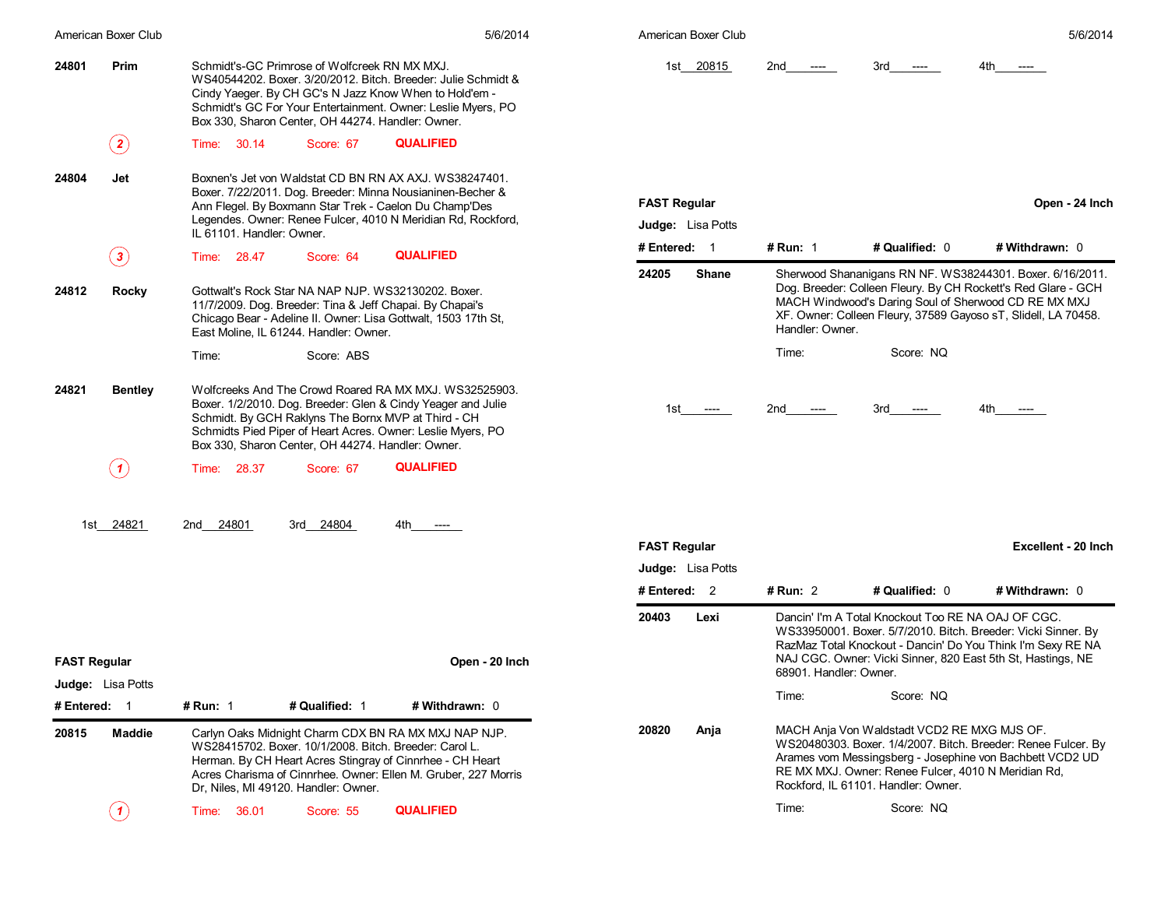|                     | American Boxer Club      |                                                                                                                                                                                                                             |                | 5/6/2014                                                                                                                      |                     | American Boxer Club |                        |                                                                                                                                           | 5/6/2014                                                                                                                                                                                                                                             |
|---------------------|--------------------------|-----------------------------------------------------------------------------------------------------------------------------------------------------------------------------------------------------------------------------|----------------|-------------------------------------------------------------------------------------------------------------------------------|---------------------|---------------------|------------------------|-------------------------------------------------------------------------------------------------------------------------------------------|------------------------------------------------------------------------------------------------------------------------------------------------------------------------------------------------------------------------------------------------------|
| 24801               | Prim                     | Schmidt's-GC Primrose of Wolfcreek RN MX MXJ.<br>Cindy Yaeger. By CH GC's N Jazz Know When to Hold'em -<br>Box 330, Sharon Center, OH 44274. Handler: Owner.                                                                |                | WS40544202, Boxer, 3/20/2012, Bitch, Breeder: Julie Schmidt &<br>Schmidt's GC For Your Entertainment. Owner: Leslie Myers, PO |                     | 1st 20815           | 2nd<br>$---$           | 3rd<br>$---$                                                                                                                              | 4th                                                                                                                                                                                                                                                  |
|                     | $\bf(2)$                 | Time: 30.14                                                                                                                                                                                                                 | Score: 67      | <b>QUALIFIED</b>                                                                                                              |                     |                     |                        |                                                                                                                                           |                                                                                                                                                                                                                                                      |
| 24804               | Jet                      | Ann Flegel. By Boxmann Star Trek - Caelon Du Champ'Des                                                                                                                                                                      |                | Boxnen's Jet von Waldstat CD BN RN AX AXJ. WS38247401.<br>Boxer. 7/22/2011. Dog. Breeder: Minna Nousianinen-Becher &          | <b>FAST Regular</b> |                     |                        |                                                                                                                                           | Open - 24 Inch                                                                                                                                                                                                                                       |
|                     |                          | IL 61101. Handler: Owner.                                                                                                                                                                                                   |                | Legendes. Owner: Renee Fulcer, 4010 N Meridian Rd, Rockford,                                                                  |                     | Judge: Lisa Potts   |                        |                                                                                                                                           |                                                                                                                                                                                                                                                      |
|                     | $\bf(3)$                 | Time: 28.47                                                                                                                                                                                                                 | Score: 64      | <b>QUALIFIED</b>                                                                                                              | # Entered: 1        |                     | # Run: $1$             | # Qualified: 0                                                                                                                            | # Withdrawn: 0                                                                                                                                                                                                                                       |
| 24812               | Rocky                    | Gottwalt's Rock Star NA NAP NJP. WS32130202. Boxer.<br>11/7/2009. Dog. Breeder: Tina & Jeff Chapai. By Chapai's<br>Chicago Bear - Adeline II. Owner: Lisa Gottwalt, 1503 17th St,<br>East Moline, IL 61244. Handler: Owner. |                |                                                                                                                               | 24205               | <b>Shane</b>        | Handler: Owner.        |                                                                                                                                           | Sherwood Shananigans RN NF. WS38244301. Boxer. 6/16/2011.<br>Dog. Breeder: Colleen Fleury. By CH Rockett's Red Glare - GCH<br>MACH Windwood's Daring Soul of Sherwood CD RE MX MXJ<br>XF. Owner: Colleen Fleury, 37589 Gayoso sT, Slidell, LA 70458. |
|                     |                          | Time:                                                                                                                                                                                                                       | Score: ABS     |                                                                                                                               |                     |                     | Time:                  | Score: NQ                                                                                                                                 |                                                                                                                                                                                                                                                      |
| 24821               | <b>Bentley</b>           | Schmidt. By GCH Raklyns The Bornx MVP at Third - CH<br>Schmidts Pied Piper of Heart Acres. Owner: Leslie Myers, PO<br>Box 330, Sharon Center, OH 44274. Handler: Owner.                                                     |                | Wolfcreeks And The Crowd Roared RA MX MXJ. WS32525903.<br>Boxer. 1/2/2010. Dog. Breeder: Glen & Cindy Yeager and Julie        |                     | 1st ----            | 2nd<br>$---$           | $3rd$ ----                                                                                                                                | 4th<br>$---$                                                                                                                                                                                                                                         |
|                     | (1)                      | Time: 28.37                                                                                                                                                                                                                 | Score: 67      | <b>QUALIFIED</b>                                                                                                              |                     |                     |                        |                                                                                                                                           |                                                                                                                                                                                                                                                      |
|                     | 1st 24821                | 2nd 24801                                                                                                                                                                                                                   | 3rd 24804      | 4th<br>----                                                                                                                   |                     |                     |                        |                                                                                                                                           |                                                                                                                                                                                                                                                      |
|                     |                          |                                                                                                                                                                                                                             |                |                                                                                                                               | <b>FAST Regular</b> |                     |                        |                                                                                                                                           | Excellent - 20 Inch                                                                                                                                                                                                                                  |
|                     |                          |                                                                                                                                                                                                                             |                |                                                                                                                               |                     | Judge: Lisa Potts   |                        |                                                                                                                                           |                                                                                                                                                                                                                                                      |
|                     |                          |                                                                                                                                                                                                                             |                |                                                                                                                               | # Entered: 2        |                     | # Run: $2$             | # Qualified: 0                                                                                                                            | # Withdrawn: 0                                                                                                                                                                                                                                       |
| <b>FAST Regular</b> |                          |                                                                                                                                                                                                                             |                | Open - 20 Inch                                                                                                                | 20403               | Lexi                | 68901. Handler: Owner. | Dancin' I'm A Total Knockout Too RE NA OAJ OF CGC.                                                                                        | WS33950001. Boxer. 5/7/2010. Bitch. Breeder: Vicki Sinner. By<br>RazMaz Total Knockout - Dancin' Do You Think I'm Sexy RE NA<br>NAJ CGC. Owner: Vicki Sinner, 820 East 5th St, Hastings, NE                                                          |
|                     | <b>Judge:</b> Lisa Potts |                                                                                                                                                                                                                             |                |                                                                                                                               |                     |                     | Time:                  | Score: NQ                                                                                                                                 |                                                                                                                                                                                                                                                      |
| # Entered: 1        |                          | # Run: 1                                                                                                                                                                                                                    | # Qualified: 1 | # Withdrawn: 0                                                                                                                |                     |                     |                        |                                                                                                                                           |                                                                                                                                                                                                                                                      |
| 20815               | <b>Maddie</b>            | Carlyn Oaks Midnight Charm CDX BN RA MX MXJ NAP NJP.<br>WS28415702, Boxer, 10/1/2008, Bitch, Breeder: Carol L.<br>Herman. By CH Heart Acres Stingray of Cinnrhee - CH Heart<br>Dr, Niles, MI 49120. Handler: Owner.         |                | Acres Charisma of Cinnrhee. Owner: Ellen M. Gruber, 227 Morris                                                                | 20820               | Anja                |                        | MACH Anja Von Waldstadt VCD2 RE MXG MJS OF.<br>RE MX MXJ. Owner: Renee Fulcer, 4010 N Meridian Rd,<br>Rockford, IL 61101. Handler: Owner. | WS20480303. Boxer. 1/4/2007. Bitch. Breeder: Renee Fulcer. By<br>Arames vom Messingsberg - Josephine von Bachbett VCD2 UD                                                                                                                            |
|                     | (1)                      | Time: 36.01                                                                                                                                                                                                                 | Score: 55      | <b>QUALIFIED</b>                                                                                                              |                     |                     | Time:                  | Score: NQ                                                                                                                                 |                                                                                                                                                                                                                                                      |
|                     |                          |                                                                                                                                                                                                                             |                |                                                                                                                               |                     |                     |                        |                                                                                                                                           |                                                                                                                                                                                                                                                      |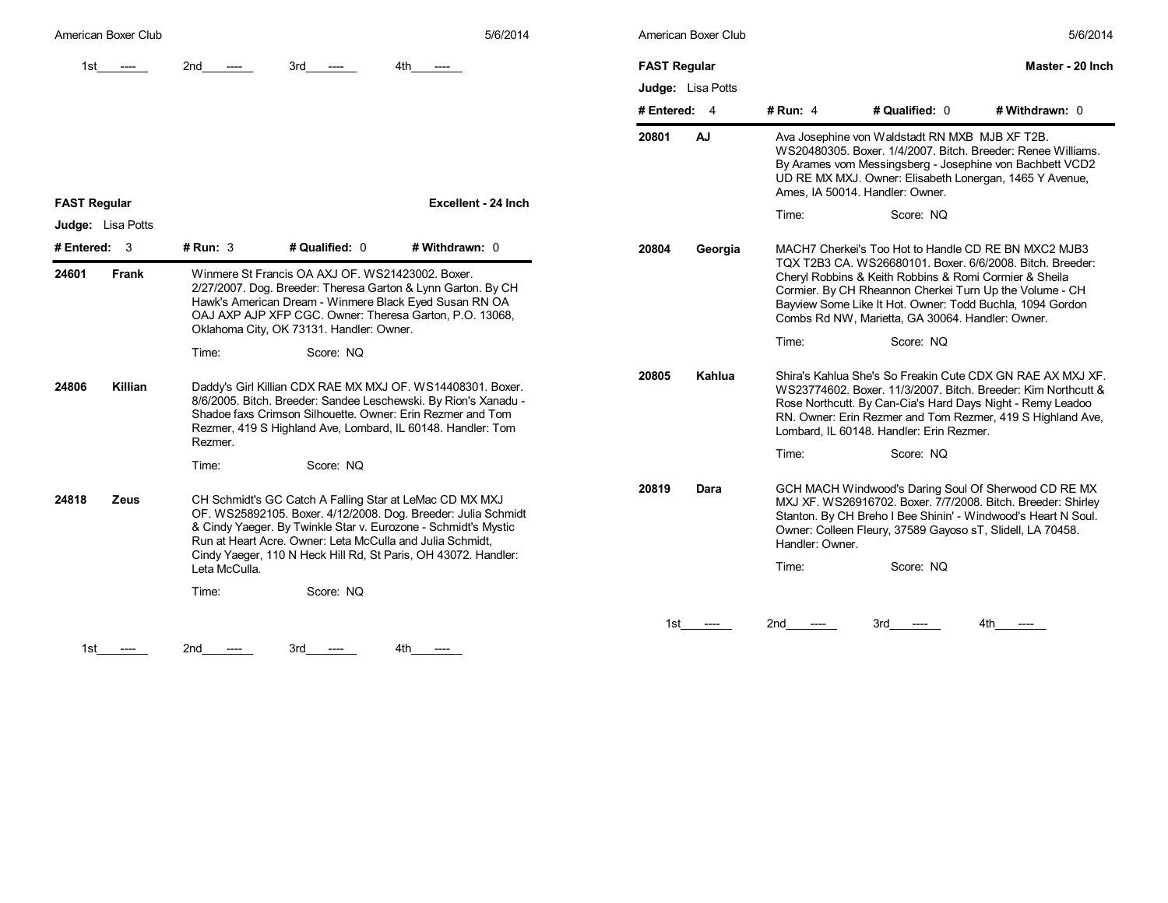| American Boxer Club |                                                                                                                                                                                                                                                                                   |                                                                                                                      | 5/6/2014                                                                                                                                                                                                                                                   |                     | American Boxer Club                                                                                                                                                                                                                                                      |                 |                                                                                                                                                                                                                                    | 5/6/2014                                                                                                                                                                                                                                                |
|---------------------|-----------------------------------------------------------------------------------------------------------------------------------------------------------------------------------------------------------------------------------------------------------------------------------|----------------------------------------------------------------------------------------------------------------------|------------------------------------------------------------------------------------------------------------------------------------------------------------------------------------------------------------------------------------------------------------|---------------------|--------------------------------------------------------------------------------------------------------------------------------------------------------------------------------------------------------------------------------------------------------------------------|-----------------|------------------------------------------------------------------------------------------------------------------------------------------------------------------------------------------------------------------------------------|---------------------------------------------------------------------------------------------------------------------------------------------------------------------------------------------------------------------------------------------------------|
| 1st.<br>$---$       | 2nd                                                                                                                                                                                                                                                                               | 3rd<br>$---$                                                                                                         |                                                                                                                                                                                                                                                            | <b>FAST Regular</b> |                                                                                                                                                                                                                                                                          |                 |                                                                                                                                                                                                                                    | Master - 20 Inch                                                                                                                                                                                                                                        |
|                     |                                                                                                                                                                                                                                                                                   |                                                                                                                      |                                                                                                                                                                                                                                                            |                     | Judge: Lisa Potts                                                                                                                                                                                                                                                        |                 |                                                                                                                                                                                                                                    |                                                                                                                                                                                                                                                         |
|                     |                                                                                                                                                                                                                                                                                   |                                                                                                                      |                                                                                                                                                                                                                                                            | # Entered: $4$      |                                                                                                                                                                                                                                                                          | # Run: 4        | # Qualified: 0                                                                                                                                                                                                                     | # Withdrawn: 0                                                                                                                                                                                                                                          |
| <b>FAST Regular</b> |                                                                                                                                                                                                                                                                                   |                                                                                                                      | 20801                                                                                                                                                                                                                                                      | AJ                  | Ava Josephine von Waldstadt RN MXB MJB XF T2B.<br>WS20480305. Boxer. 1/4/2007. Bitch. Breeder: Renee Williams.<br>By Arames vom Messingsberg - Josephine von Bachbett VCD2<br>UD RE MX MXJ. Owner: Elisabeth Lonergan, 1465 Y Avenue,<br>Ames, IA 50014. Handler: Owner. |                 |                                                                                                                                                                                                                                    |                                                                                                                                                                                                                                                         |
| Judge: Lisa Potts   |                                                                                                                                                                                                                                                                                   |                                                                                                                      |                                                                                                                                                                                                                                                            |                     | Time:<br>Score: NQ                                                                                                                                                                                                                                                       |                 |                                                                                                                                                                                                                                    |                                                                                                                                                                                                                                                         |
| # Entered: $3$      | $#$ Run: 3                                                                                                                                                                                                                                                                        | # Qualified: 0                                                                                                       | # Withdrawn: 0                                                                                                                                                                                                                                             | 20804               | Georgia                                                                                                                                                                                                                                                                  |                 | MACH7 Cherkei's Too Hot to Handle CD RE BN MXC2 MJB3                                                                                                                                                                               |                                                                                                                                                                                                                                                         |
| 24601<br>Frank      | Winmere St Francis OA AXJ OF. WS21423002. Boxer.<br>2/27/2007. Dog. Breeder: Theresa Garton & Lynn Garton. By CH<br>Hawk's American Dream - Winmere Black Eyed Susan RN OA<br>OAJ AXP AJP XFP CGC. Owner: Theresa Garton, P.O. 13068,<br>Oklahoma City, OK 73131. Handler: Owner. |                                                                                                                      |                                                                                                                                                                                                                                                            |                     |                                                                                                                                                                                                                                                                          |                 | Cheryl Robbins & Keith Robbins & Romi Cormier & Sheila<br>Cormier. By CH Rheannon Cherkei Turn Up the Volume - CH<br>Bayview Some Like It Hot. Owner: Todd Buchla, 1094 Gordon<br>Combs Rd NW, Marietta, GA 30064. Handler: Owner. | TQX T2B3 CA, WS26680101, Boxer, 6/6/2008, Bitch, Breeder:                                                                                                                                                                                               |
|                     | Time:                                                                                                                                                                                                                                                                             | Score: NQ                                                                                                            |                                                                                                                                                                                                                                                            |                     |                                                                                                                                                                                                                                                                          | Time:           | Score: NQ                                                                                                                                                                                                                          |                                                                                                                                                                                                                                                         |
| 24806<br>Killian    | Rezmer.                                                                                                                                                                                                                                                                           |                                                                                                                      | Daddy's Girl Killian CDX RAE MX MXJ OF. WS14408301. Boxer.<br>8/6/2005. Bitch. Breeder: Sandee Leschewski. By Rion's Xanadu -<br>Shadoe faxs Crimson Silhouette, Owner: Erin Rezmer and Tom<br>Rezmer, 419 S Highland Ave, Lombard, IL 60148. Handler: Tom | 20805               | Kahlua                                                                                                                                                                                                                                                                   |                 | Lombard, IL 60148. Handler: Erin Rezmer.                                                                                                                                                                                           | Shira's Kahlua She's So Freakin Cute CDX GN RAE AX MXJ XF.<br>WS23774602. Boxer. 11/3/2007. Bitch. Breeder: Kim Northcutt &<br>Rose Northcutt. By Can-Cia's Hard Days Night - Remy Leadoo<br>RN. Owner: Erin Rezmer and Tom Rezmer, 419 S Highland Ave, |
|                     | Time:                                                                                                                                                                                                                                                                             | Score: NQ                                                                                                            |                                                                                                                                                                                                                                                            |                     |                                                                                                                                                                                                                                                                          | Time:           | Score: NQ                                                                                                                                                                                                                          |                                                                                                                                                                                                                                                         |
| 24818<br>Zeus       |                                                                                                                                                                                                                                                                                   | CH Schmidt's GC Catch A Falling Star at LeMac CD MX MXJ<br>Run at Heart Acre. Owner: Leta McCulla and Julia Schmidt, | OF. WS25892105. Boxer. 4/12/2008. Dog. Breeder: Julia Schmidt<br>& Cindy Yaeger. By Twinkle Star v. Eurozone - Schmidt's Mystic<br>Cindy Yaeger, 110 N Heck Hill Rd, St Paris, OH 43072. Handler:                                                          | 20819               | Dara                                                                                                                                                                                                                                                                     | Handler: Owner. | Owner: Colleen Fleury, 37589 Gayoso sT, Slidell, LA 70458.                                                                                                                                                                         | GCH MACH Windwood's Daring Soul Of Sherwood CD RE MX<br>MXJ XF. WS26916702. Boxer. 7/7/2008. Bitch. Breeder: Shirley<br>Stanton. By CH Breho I Bee Shinin' - Windwood's Heart N Soul.                                                                   |
|                     | Leta McCulla.                                                                                                                                                                                                                                                                     |                                                                                                                      |                                                                                                                                                                                                                                                            |                     | Time:                                                                                                                                                                                                                                                                    | Score: NQ       |                                                                                                                                                                                                                                    |                                                                                                                                                                                                                                                         |
|                     | Time:                                                                                                                                                                                                                                                                             | Score: NQ                                                                                                            |                                                                                                                                                                                                                                                            |                     |                                                                                                                                                                                                                                                                          |                 |                                                                                                                                                                                                                                    |                                                                                                                                                                                                                                                         |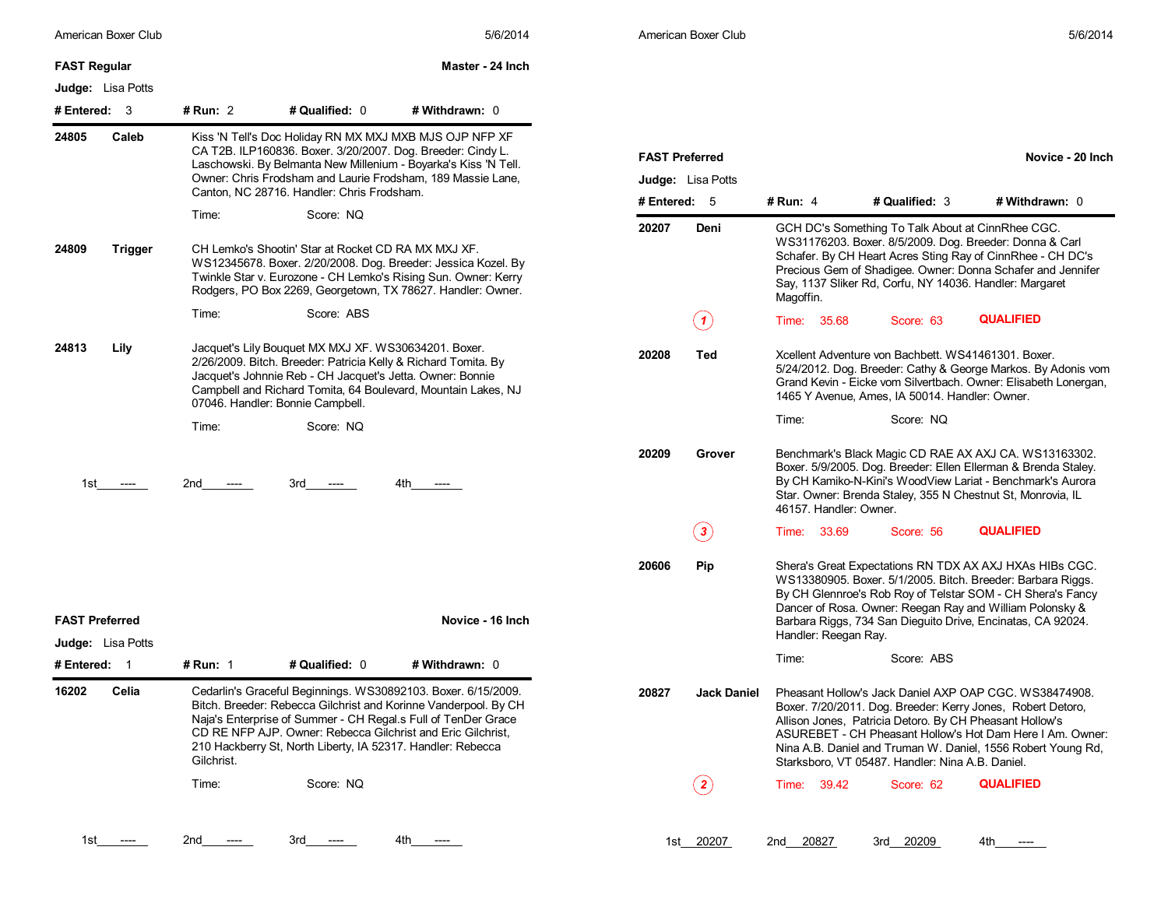| American Boxer Club                               |                 |                                                                                                                                                                                                                                                              | 5/6/2014                                                                                                                                                                                       |                       | American Boxer Club         |                        |                                                                                                              | 5/6/2014                                                                                                                                                                                                                                                                                                        |
|---------------------------------------------------|-----------------|--------------------------------------------------------------------------------------------------------------------------------------------------------------------------------------------------------------------------------------------------------------|------------------------------------------------------------------------------------------------------------------------------------------------------------------------------------------------|-----------------------|-----------------------------|------------------------|--------------------------------------------------------------------------------------------------------------|-----------------------------------------------------------------------------------------------------------------------------------------------------------------------------------------------------------------------------------------------------------------------------------------------------------------|
| <b>FAST Regular</b>                               |                 |                                                                                                                                                                                                                                                              | Master - 24 Inch                                                                                                                                                                               |                       |                             |                        |                                                                                                              |                                                                                                                                                                                                                                                                                                                 |
| <b>Judge:</b> Lisa Potts                          |                 |                                                                                                                                                                                                                                                              |                                                                                                                                                                                                |                       |                             |                        |                                                                                                              |                                                                                                                                                                                                                                                                                                                 |
| # Entered: $3$                                    | # Run: 2        | # Qualified: 0                                                                                                                                                                                                                                               | # Withdrawn: 0                                                                                                                                                                                 |                       |                             |                        |                                                                                                              |                                                                                                                                                                                                                                                                                                                 |
| 24805<br>Caleb                                    |                 | Kiss 'N Tell's Doc Holiday RN MX MXJ MXB MJS OJP NFP XF<br>CA T2B. ILP160836. Boxer. 3/20/2007. Dog. Breeder: Cindy L.<br>Laschowski. By Belmanta New Millenium - Boyarka's Kiss 'N Tell.<br>Owner: Chris Frodsham and Laurie Frodsham, 189 Massie Lane,     |                                                                                                                                                                                                | <b>FAST Preferred</b> | <b>Judge:</b> Lisa Potts    |                        |                                                                                                              | Novice - 20 Inch                                                                                                                                                                                                                                                                                                |
|                                                   |                 | Canton, NC 28716. Handler: Chris Frodsham.                                                                                                                                                                                                                   |                                                                                                                                                                                                | # Entered: 5          |                             | # Run: $4$             | # Qualified: 3                                                                                               | # Withdrawn: 0                                                                                                                                                                                                                                                                                                  |
| 24809<br>Trigger                                  | Time:           | Score: NQ<br>CH Lemko's Shootin' Star at Rocket CD RA MX MXJ XF.                                                                                                                                                                                             | WS12345678. Boxer. 2/20/2008. Dog. Breeder: Jessica Kozel. By<br>Twinkle Star v. Eurozone - CH Lemko's Rising Sun. Owner: Kerry<br>Rodgers, PO Box 2269, Georgetown, TX 78627. Handler: Owner. | 20207                 | Deni                        | Magoffin.              | GCH DC's Something To Talk About at CinnRhee CGC.<br>Say, 1137 Sliker Rd, Corfu, NY 14036. Handler: Margaret | WS31176203. Boxer. 8/5/2009. Dog. Breeder: Donna & Carl<br>Schafer. By CH Heart Acres Sting Ray of CinnRhee - CH DC's<br>Precious Gem of Shadigee. Owner: Donna Schafer and Jennifer                                                                                                                            |
|                                                   | Time:           | Score: ABS                                                                                                                                                                                                                                                   |                                                                                                                                                                                                |                       | (1)                         | Time: 35.68            | Score: 63                                                                                                    | <b>QUALIFIED</b>                                                                                                                                                                                                                                                                                                |
| 24813<br>Lily                                     |                 | Jacquet's Lily Bouquet MX MXJ XF. WS30634201. Boxer.<br>2/26/2009. Bitch. Breeder: Patricia Kelly & Richard Tomita. By<br>Jacquet's Johnnie Reb - CH Jacquet's Jetta. Owner: Bonnie<br>07046. Handler: Bonnie Campbell.                                      | Campbell and Richard Tomita, 64 Boulevard, Mountain Lakes, NJ                                                                                                                                  | 20208                 | Ted                         |                        | Xcellent Adventure von Bachbett. WS41461301. Boxer.<br>1465 Y Avenue, Ames, IA 50014. Handler: Owner.        | 5/24/2012. Dog. Breeder: Cathy & George Markos. By Adonis vom<br>Grand Kevin - Eicke vom Silvertbach. Owner: Elisabeth Lonergan,                                                                                                                                                                                |
|                                                   | Time:           | Score: NQ                                                                                                                                                                                                                                                    |                                                                                                                                                                                                |                       |                             | Time:                  | Score: NQ                                                                                                    |                                                                                                                                                                                                                                                                                                                 |
| 1st<br>-----                                      | 2nd<br>$---$    | 3rd -<br>----                                                                                                                                                                                                                                                | 4th                                                                                                                                                                                            | 20209                 | Grover                      | 46157. Handler: Owner. |                                                                                                              | Benchmark's Black Magic CD RAE AX AXJ CA. WS13163302.<br>Boxer. 5/9/2005. Dog. Breeder: Ellen Ellerman & Brenda Staley.<br>By CH Kamiko-N-Kini's WoodView Lariat - Benchmark's Aurora<br>Star. Owner: Brenda Staley, 355 N Chestnut St, Monrovia, IL                                                            |
|                                                   |                 |                                                                                                                                                                                                                                                              |                                                                                                                                                                                                |                       | $\left( \, {\bf 3} \right)$ | Time: 33.69            | Score: 56                                                                                                    | <b>QUALIFIED</b>                                                                                                                                                                                                                                                                                                |
| <b>FAST Preferred</b><br><b>Judge:</b> Lisa Potts |                 |                                                                                                                                                                                                                                                              | Novice - 16 Inch                                                                                                                                                                               | 20606                 | Pip                         | Handler: Reegan Ray.   |                                                                                                              | Shera's Great Expectations RN TDX AX AXJ HXAs HIBs CGC.<br>WS13380905. Boxer. 5/1/2005. Bitch. Breeder: Barbara Riggs.<br>By CH Glennroe's Rob Roy of Telstar SOM - CH Shera's Fancy<br>Dancer of Rosa. Owner: Reegan Ray and William Polonsky &<br>Barbara Riggs, 734 San Dieguito Drive, Encinatas, CA 92024. |
| # Entered: 1                                      | <b># Run: 1</b> | # Qualified: 0                                                                                                                                                                                                                                               | # Withdrawn: 0                                                                                                                                                                                 |                       |                             | Time:                  | Score: ABS                                                                                                   |                                                                                                                                                                                                                                                                                                                 |
| 16202<br>Celia                                    | Gilchrist.      | Cedarlin's Graceful Beginnings. WS30892103. Boxer. 6/15/2009.<br>Naja's Enterprise of Summer - CH Regal.s Full of TenDer Grace<br>CD RE NFP AJP. Owner: Rebecca Gilchrist and Eric Gilchrist.<br>210 Hackberry St, North Liberty, IA 52317. Handler: Rebecca | Bitch. Breeder: Rebecca Gilchrist and Korinne Vanderpool. By CH                                                                                                                                | 20827                 | Jack Daniel                 |                        | Allison Jones, Patricia Detoro. By CH Pheasant Hollow's<br>Starksboro, VT 05487. Handler: Nina A.B. Daniel.  | Pheasant Hollow's Jack Daniel AXP OAP CGC. WS38474908.<br>Boxer. 7/20/2011. Dog. Breeder: Kerry Jones, Robert Detoro,<br>ASUREBET - CH Pheasant Hollow's Hot Dam Here I Am. Owner:<br>Nina A.B. Daniel and Truman W. Daniel, 1556 Robert Young Rd,                                                              |
|                                                   | Time:           | Score: NQ                                                                                                                                                                                                                                                    |                                                                                                                                                                                                |                       | $\bf(2)$                    | Time: 39.42            | Score: 62                                                                                                    | <b>QUALIFIED</b>                                                                                                                                                                                                                                                                                                |
| 1st_                                              | 2nd<br>$---$    | 3rd<br>----                                                                                                                                                                                                                                                  | 4tn<br>----                                                                                                                                                                                    |                       | 1st 20207                   | 2nd 20827              | 3rd 20209                                                                                                    | 4th<br>$---$                                                                                                                                                                                                                                                                                                    |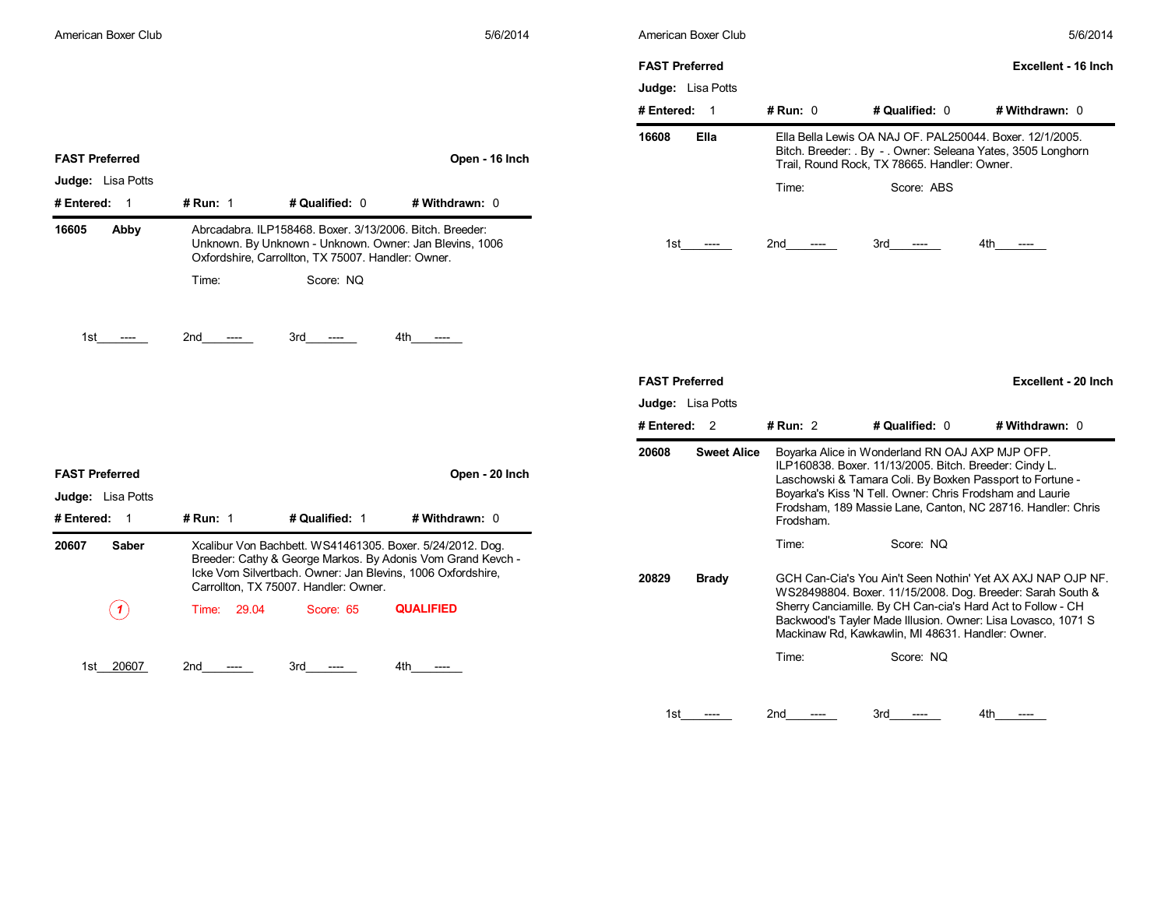|                                                                                       |                                                                                                                                                                           |                                                    |                                                                                                                                                                                         | <b>FAST Preferred</b>                   |                                              |                                                                                                                          | Excellent - 16 Inch                                                                                                        |
|---------------------------------------------------------------------------------------|---------------------------------------------------------------------------------------------------------------------------------------------------------------------------|----------------------------------------------------|-----------------------------------------------------------------------------------------------------------------------------------------------------------------------------------------|-----------------------------------------|----------------------------------------------|--------------------------------------------------------------------------------------------------------------------------|----------------------------------------------------------------------------------------------------------------------------|
|                                                                                       |                                                                                                                                                                           |                                                    |                                                                                                                                                                                         | <b>Judge:</b> Lisa Potts<br>#Entered: 1 | # Run: 0                                     | # Qualified: 0                                                                                                           | # Withdrawn: 0                                                                                                             |
| <b>FAST Preferred</b>                                                                 |                                                                                                                                                                           |                                                    | Open - 16 Inch                                                                                                                                                                          | 16608<br>Ella                           | Trail, Round Rock, TX 78665. Handler: Owner. | Ella Bella Lewis OA NAJ OF. PAL250044. Boxer. 12/1/2005.<br>Bitch. Breeder: . By - . Owner: Seleana Yates, 3505 Longhorn |                                                                                                                            |
| <b>Judge:</b> Lisa Potts                                                              |                                                                                                                                                                           |                                                    |                                                                                                                                                                                         |                                         | Time:                                        | Score: ABS                                                                                                               |                                                                                                                            |
| # Entered: 1                                                                          | # Run: 1                                                                                                                                                                  | # Qualified: 0                                     | # Withdrawn: 0                                                                                                                                                                          |                                         |                                              |                                                                                                                          |                                                                                                                            |
| 16605<br>Abby                                                                         | Abrcadabra. ILP158468. Boxer. 3/13/2006. Bitch. Breeder:<br>Unknown. By Unknown - Unknown. Owner: Jan Blevins, 1006<br>Oxfordshire, Carrollton, TX 75007. Handler: Owner. |                                                    |                                                                                                                                                                                         | 1st<br>$---$                            | 2nd<br>$---$                                 | $3rd$ ----                                                                                                               | 4th<br>----                                                                                                                |
|                                                                                       | Time:                                                                                                                                                                     | Score: NQ                                          |                                                                                                                                                                                         |                                         |                                              |                                                                                                                          |                                                                                                                            |
|                                                                                       |                                                                                                                                                                           |                                                    |                                                                                                                                                                                         |                                         |                                              |                                                                                                                          |                                                                                                                            |
| 1st<br>$---$                                                                          | 2nd<br>$---$                                                                                                                                                              | 3rd<br>----                                        | 4th -<br>-----                                                                                                                                                                          |                                         |                                              |                                                                                                                          |                                                                                                                            |
|                                                                                       |                                                                                                                                                                           |                                                    |                                                                                                                                                                                         | <b>FAST Preferred</b>                   |                                              |                                                                                                                          |                                                                                                                            |
|                                                                                       |                                                                                                                                                                           |                                                    |                                                                                                                                                                                         |                                         |                                              |                                                                                                                          | <b>Excellent - 20 Inch</b>                                                                                                 |
|                                                                                       |                                                                                                                                                                           |                                                    |                                                                                                                                                                                         | <b>Judge:</b> Lisa Potts                |                                              |                                                                                                                          |                                                                                                                            |
|                                                                                       |                                                                                                                                                                           |                                                    |                                                                                                                                                                                         | # Entered: 2                            | <b># Run: 2</b>                              | # Qualified: 0                                                                                                           | # Withdrawn: 0                                                                                                             |
|                                                                                       |                                                                                                                                                                           |                                                    |                                                                                                                                                                                         | 20608<br><b>Sweet Alice</b>             |                                              | Boyarka Alice in Wonderland RN OAJ AXP MJP OFP.                                                                          |                                                                                                                            |
|                                                                                       |                                                                                                                                                                           |                                                    | Open - 20 Inch                                                                                                                                                                          |                                         |                                              | ILP160838. Boxer. 11/13/2005. Bitch. Breeder: Cindy L.<br>Laschowski & Tamara Coli. By Boxken Passport to Fortune -      |                                                                                                                            |
|                                                                                       |                                                                                                                                                                           |                                                    |                                                                                                                                                                                         |                                         |                                              | Boyarka's Kiss 'N Tell. Owner: Chris Frodsham and Laurie                                                                 | Frodsham, 189 Massie Lane, Canton, NC 28716. Handler: Chris                                                                |
|                                                                                       | # Run: $1$                                                                                                                                                                | # Qualified: 1                                     | # Withdrawn: 0                                                                                                                                                                          |                                         | Frodsham.                                    |                                                                                                                          |                                                                                                                            |
| <b>FAST Preferred</b><br><b>Judge:</b> Lisa Potts<br># Entered: $1$<br>20607<br>Saber |                                                                                                                                                                           |                                                    | Xcalibur Von Bachbett. WS41461305. Boxer. 5/24/2012. Dog.<br>Breeder: Cathy & George Markos. By Adonis Vom Grand Kevch -<br>Icke Vom Silvertbach. Owner: Jan Blevins, 1006 Oxfordshire, | 20829<br><b>Brady</b>                   | Time:                                        | Score: NQ                                                                                                                | GCH Can-Cia's You Ain't Seen Nothin' Yet AX AXJ NAP OJP NF.                                                                |
| (1)                                                                                   | Time: 29.04                                                                                                                                                               | Carrollton, TX 75007. Handler: Owner.<br>Score: 65 | <b>QUALIFIED</b>                                                                                                                                                                        |                                         |                                              | Sherry Canciamille. By CH Can-cia's Hard Act to Follow - CH<br>Mackinaw Rd, Kawkawlin, MI 48631. Handler: Owner.         | WS28498804. Boxer. 11/15/2008. Dog. Breeder: Sarah South &<br>Backwood's Tayler Made Illusion. Owner: Lisa Lovasco, 1071 S |